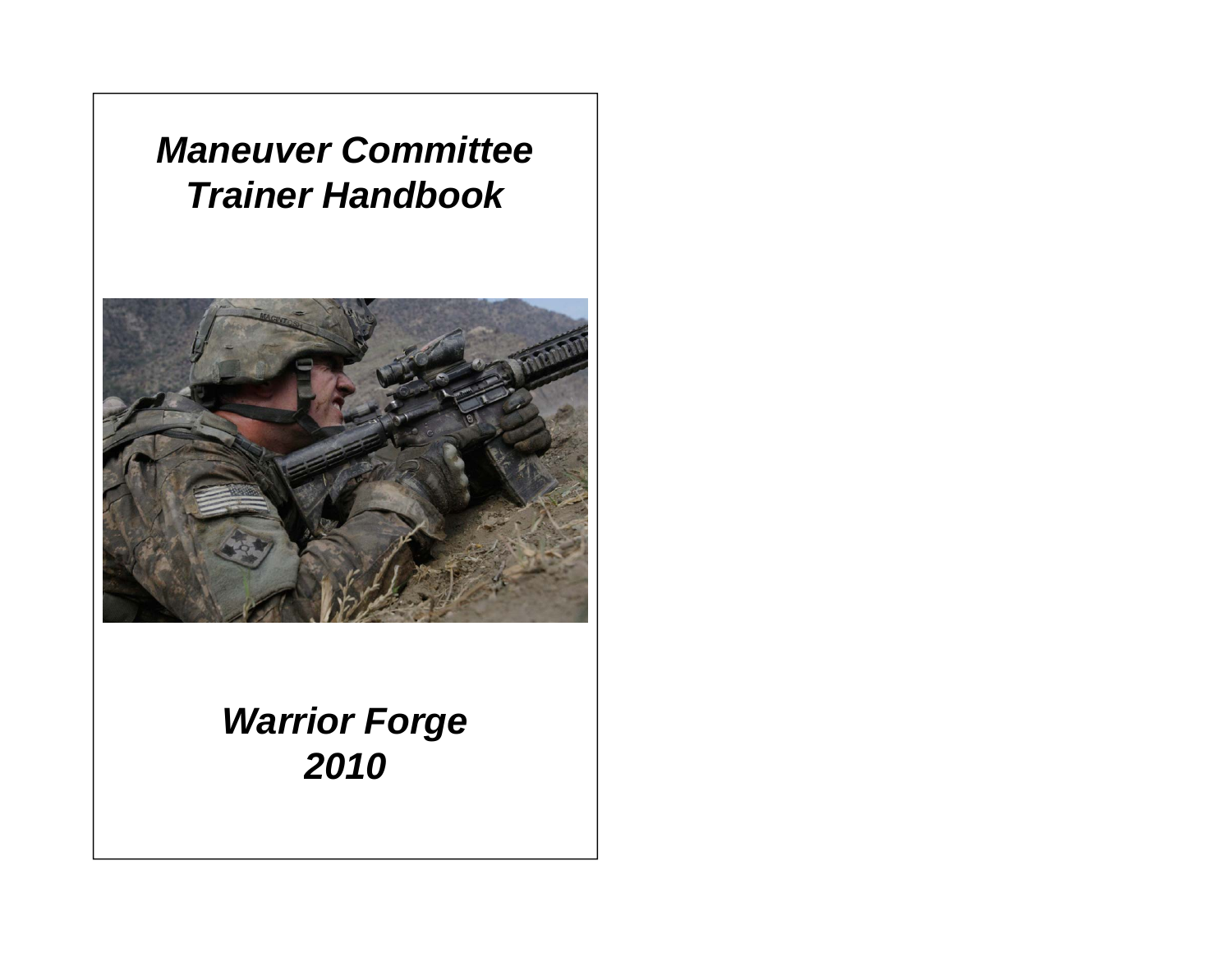# *Maneuver Committee Trainer Handboo k*



# *Warrior Forge 2010*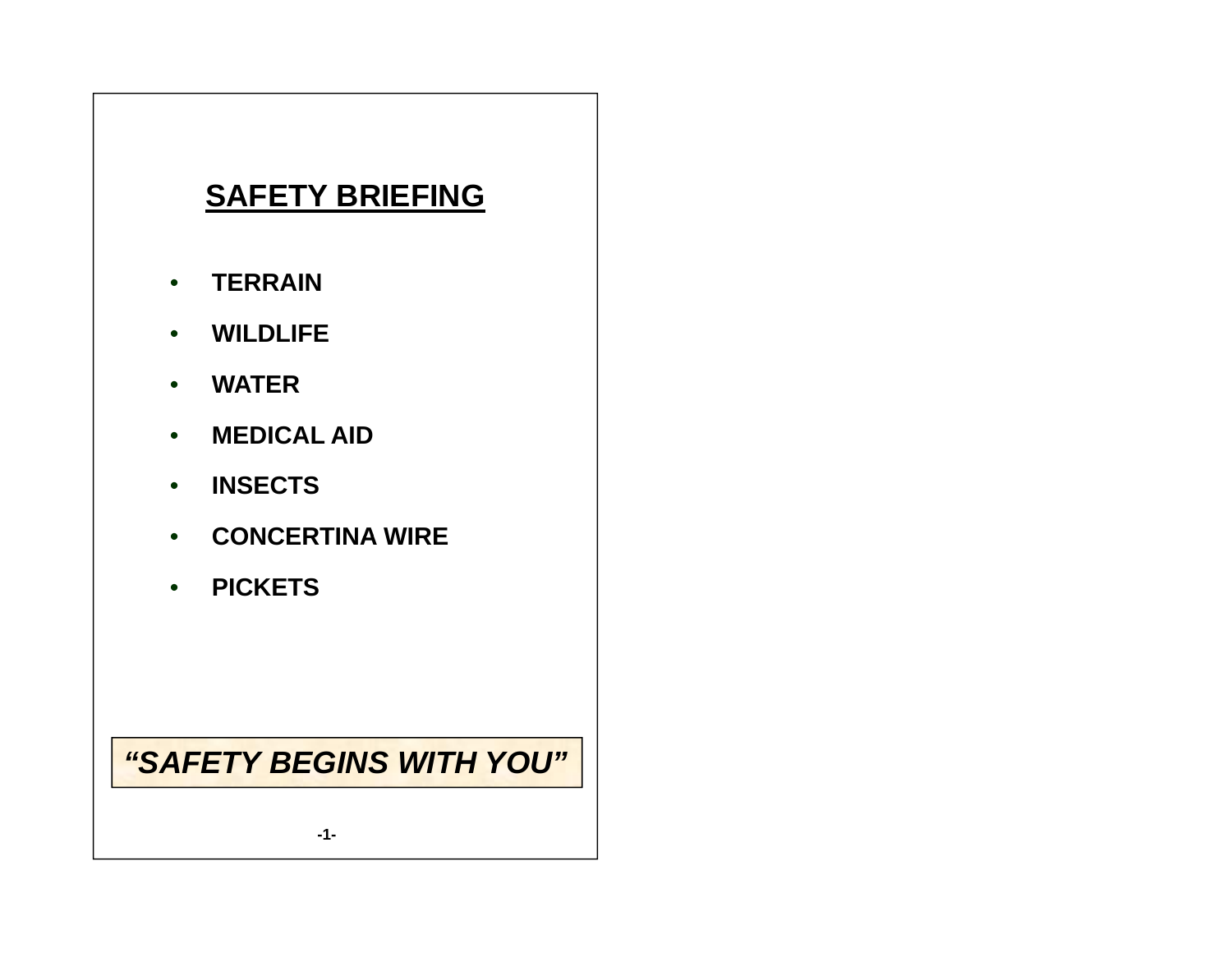## **SAFETY BRIEFING**

- $\bullet$ **TERRAIN**
- $\bullet$ **WILDLIFE**
- $\bullet$ **WATER**
- $\bullet$ **MEDICAL AID**
- $\bullet$ **INSECTS**
- **CONCERTINA WIRE CONCERTINA**
- **PICKETS**

#### *"SAFETY BEGINS WITH YOU "*

**-1-**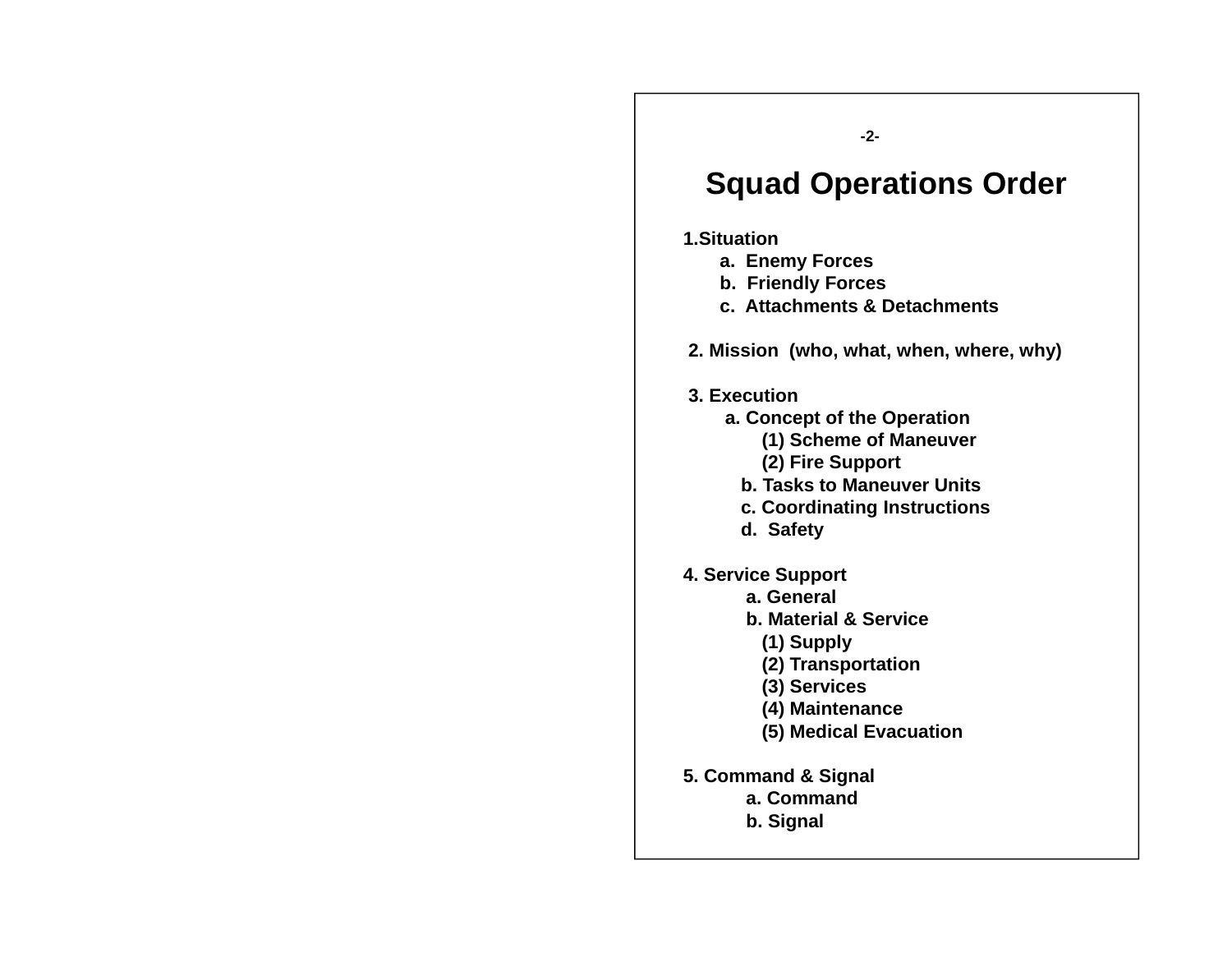**-2-**

#### **S d O ti O d Squa Operations O r der**

#### **1.Situation**

- **a. Enemy Forces**
- **b. Friendly Forces**
- **c. Attachments & Detachments**
- **2. Mission (who, what, when, where, why)**
- **3. Execution**
	- **<sup>a</sup> Concept of the Operation a.** 
		- **(1) Scheme of Maneuver**
		- **(2) Fire Support**
		- **b. Tasks to Maneuver Units**
		- **c. Coordinating Instructions**
		- **d. Safety**
- **4. Service Support**
	- **a. General**
	- **b. Material & Service**
		- **(1) Supply**
		- **(2) Transportation**
		- **(3) Services**
		- **(4) Maintenance**
		- **(5) Medical Evacuation**
- **5 Command & Signal 5.** 
	- **a. Command**
	- **b. Signal**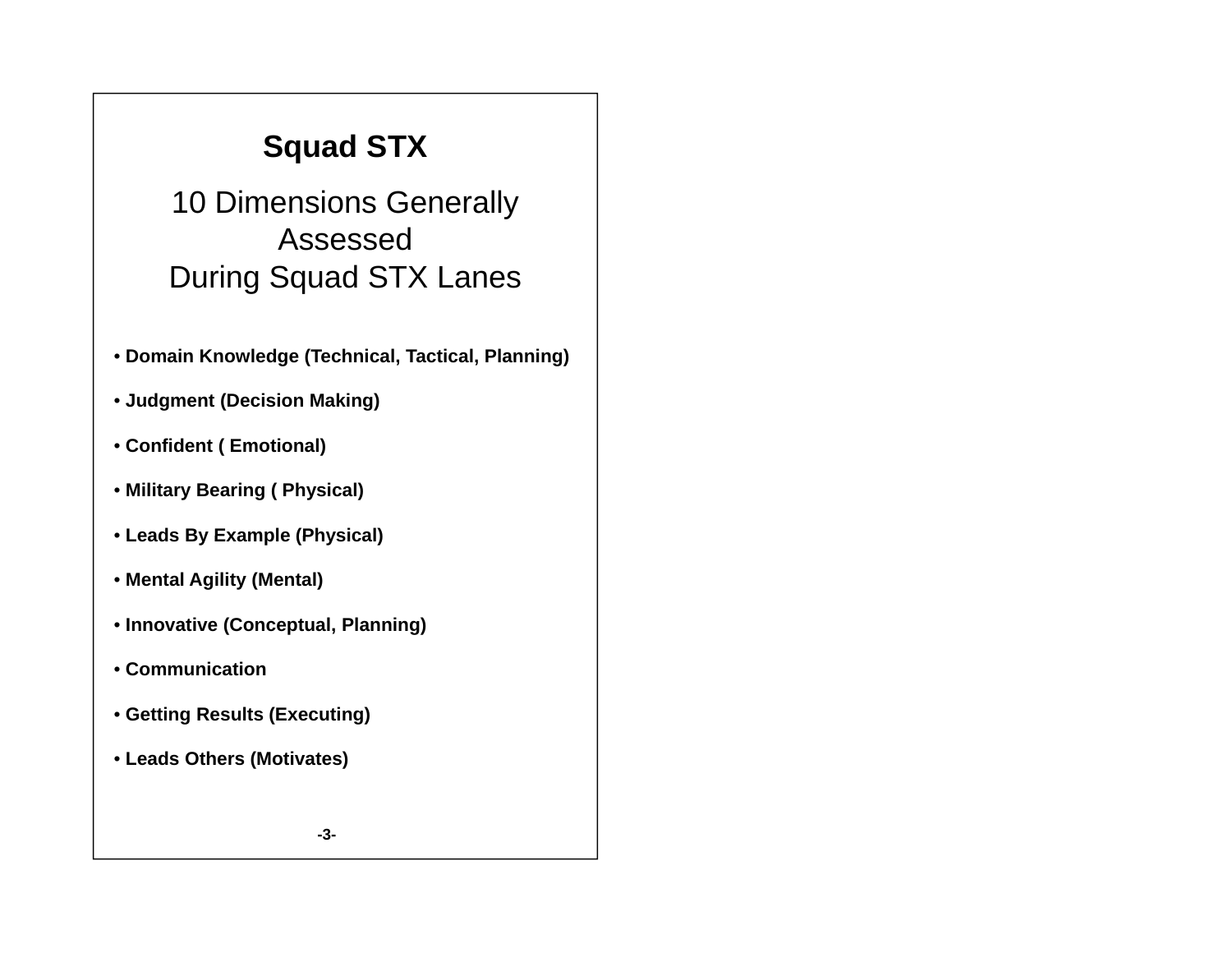# **Squad STX**

10 Dimensions Generally Assessed During Squad STX Lanes

- **Domain Knowledge (Technical, Tactical, Planning)**
- **Judgment (Decision Making)**
- **Confident ( Emotional)**
- **Military Bearing ( Physical)**
- **Leads By Example (Physical)**
- **Mental Agility (Mental)**
- **Innovative (Conceptual, Planning)**
- **Communication**
- **Getting Results (Executing)**
- **Leads Others (Motivates)**

**-3-**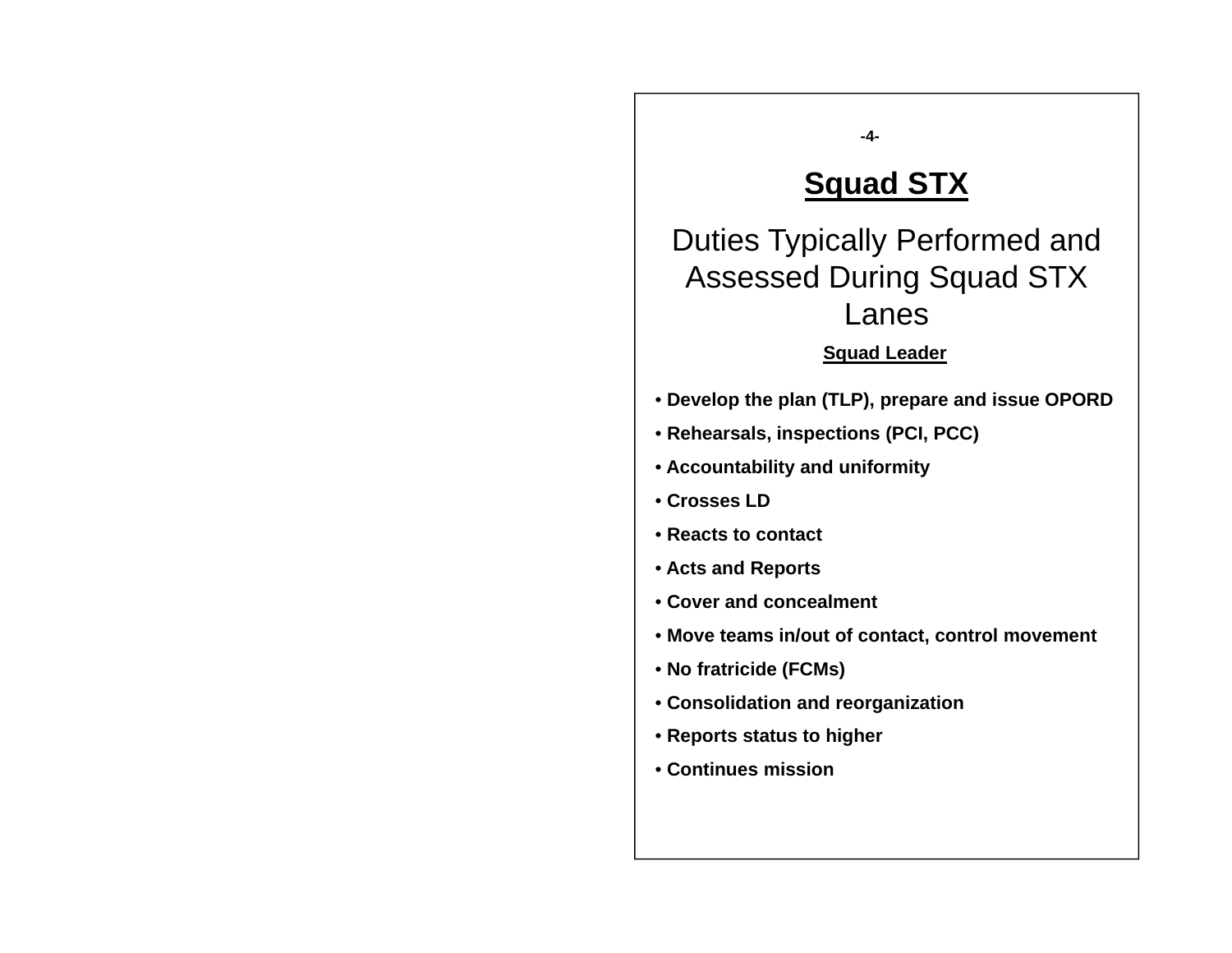## **S d STX Squad**

**-4-**

Duties Typically Performed and Assessed During Squad STX Lanes

#### **Squad Leader**

- **Develop the plan (TLP), prepare and issue OPORD**
- **Rehearsals, inspections (PCI, PCC)**
- **Accountability and uniformity**
- **Crosses LD**
- **Reacts to contact**
- **Acts and Reports**
- **Cover and concealment**
- **Move teams in/out of contact, control movement**
- **No fratricide (FCMs)**
- **Consolidation and reorganization**
- **Reports status to higher**
- **Continues mission**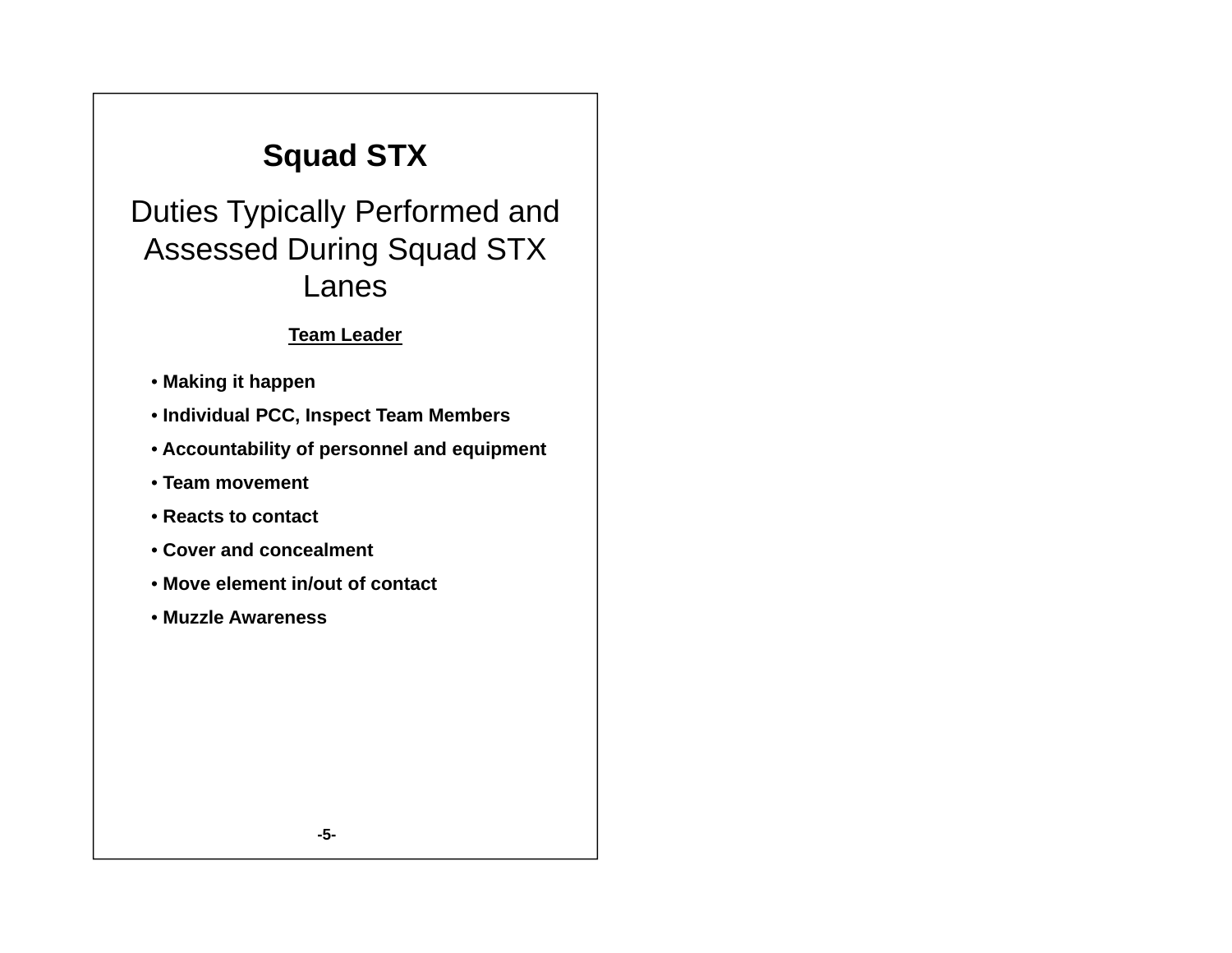# **Squad STX**

Duties Typically Performed and Assessed During Squad STX Lanes

#### **Team Leader**

- **Making it happen**
- **Individual PCC Inspect Team Members PCC,**
- **Accountability of personnel and equipment**
- **Team movement**
- **Reacts to contact**
- **Cover and concealment**
- **Move element in/out of contact**
- **Muzzle Awareness**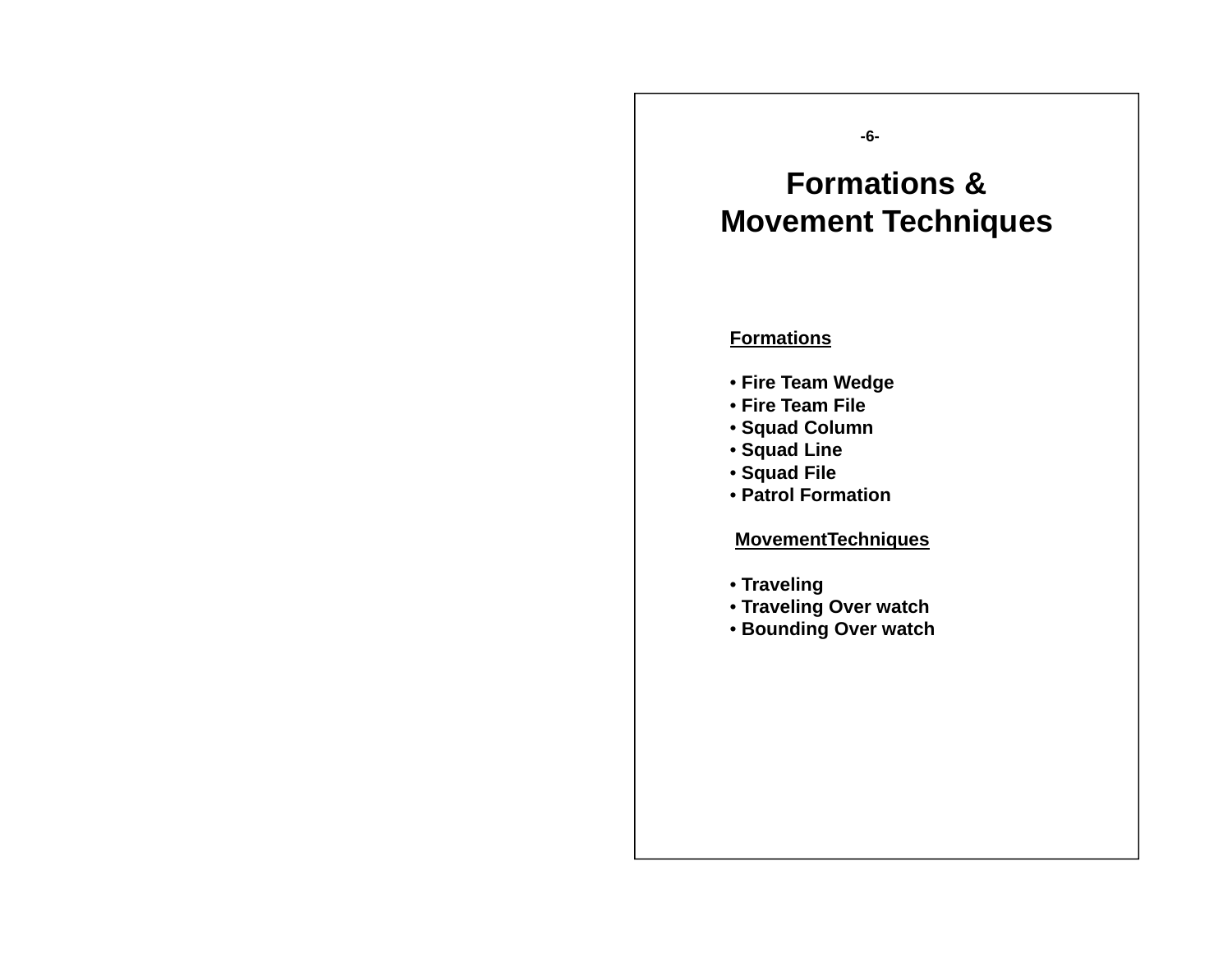#### **-6-**

#### **F ti & ormations Movement Techniques**

#### **Formations**

- **Fire Team Wedge**
- **Fire Team File**
- **Squad Column**
- **Squad Line**
- **Squad File**
- **Patrol Formation**

#### **M tT h i MovementTechniques**

- **Traveling**
- **Traveling Over watch**
- **Bounding Over watch**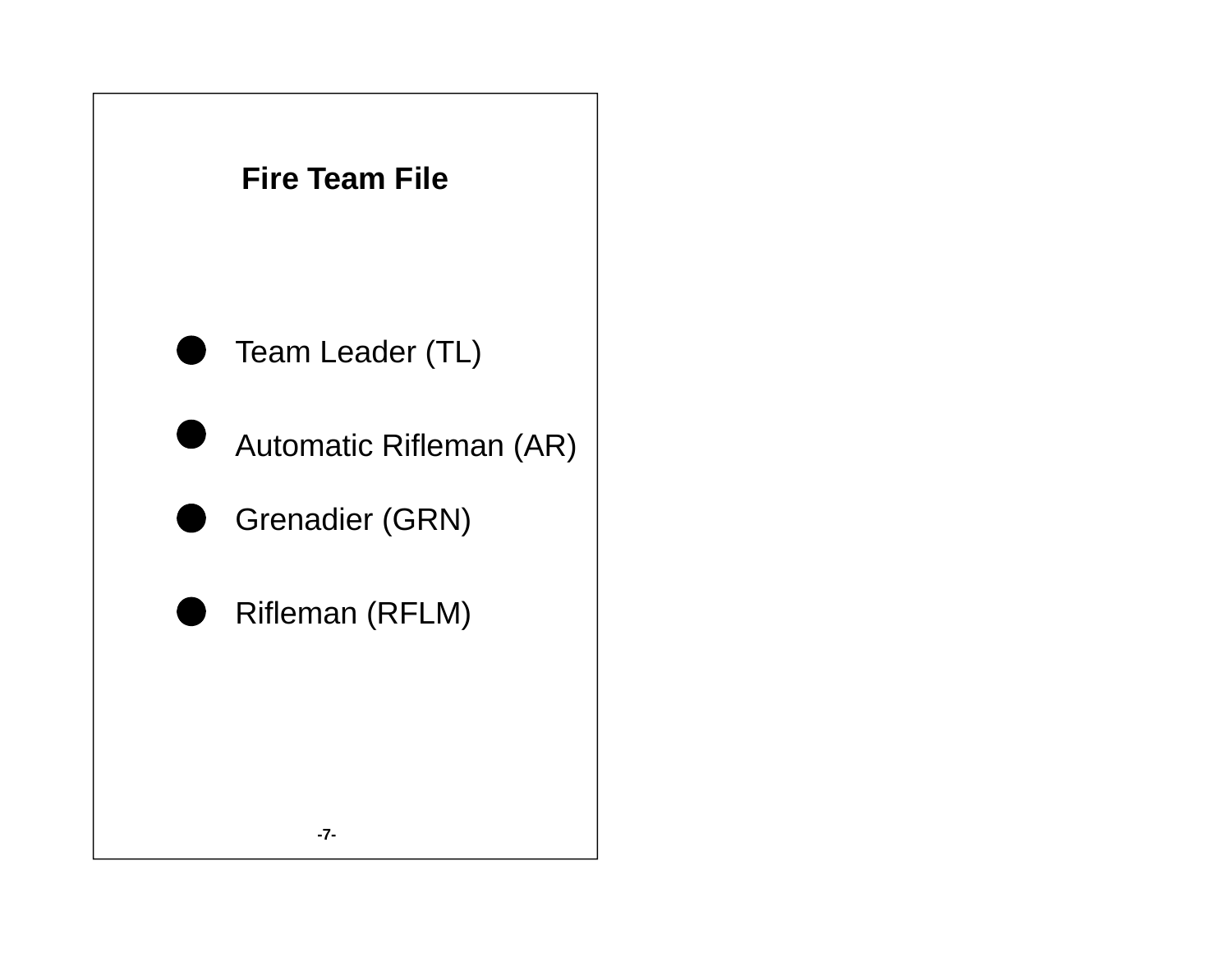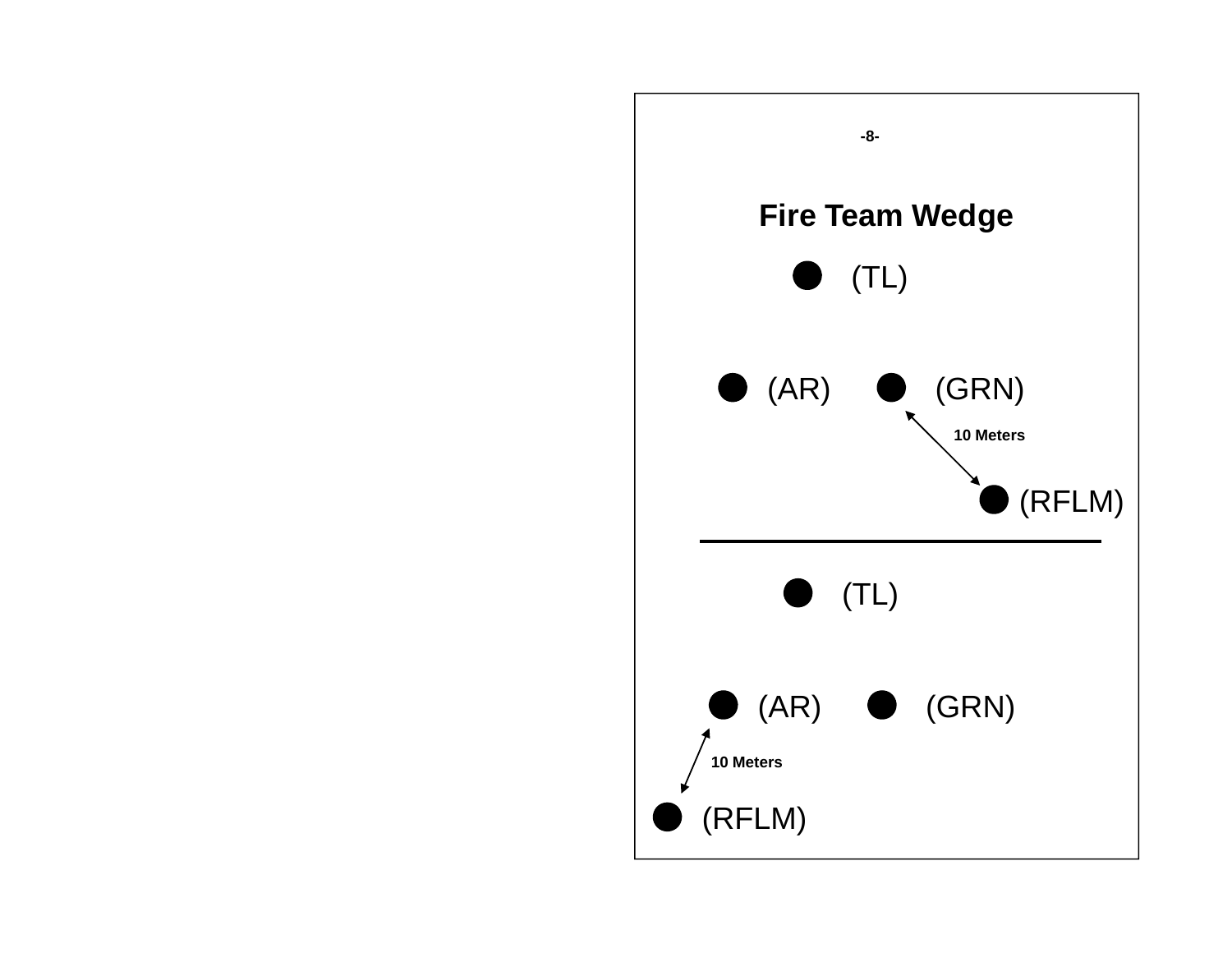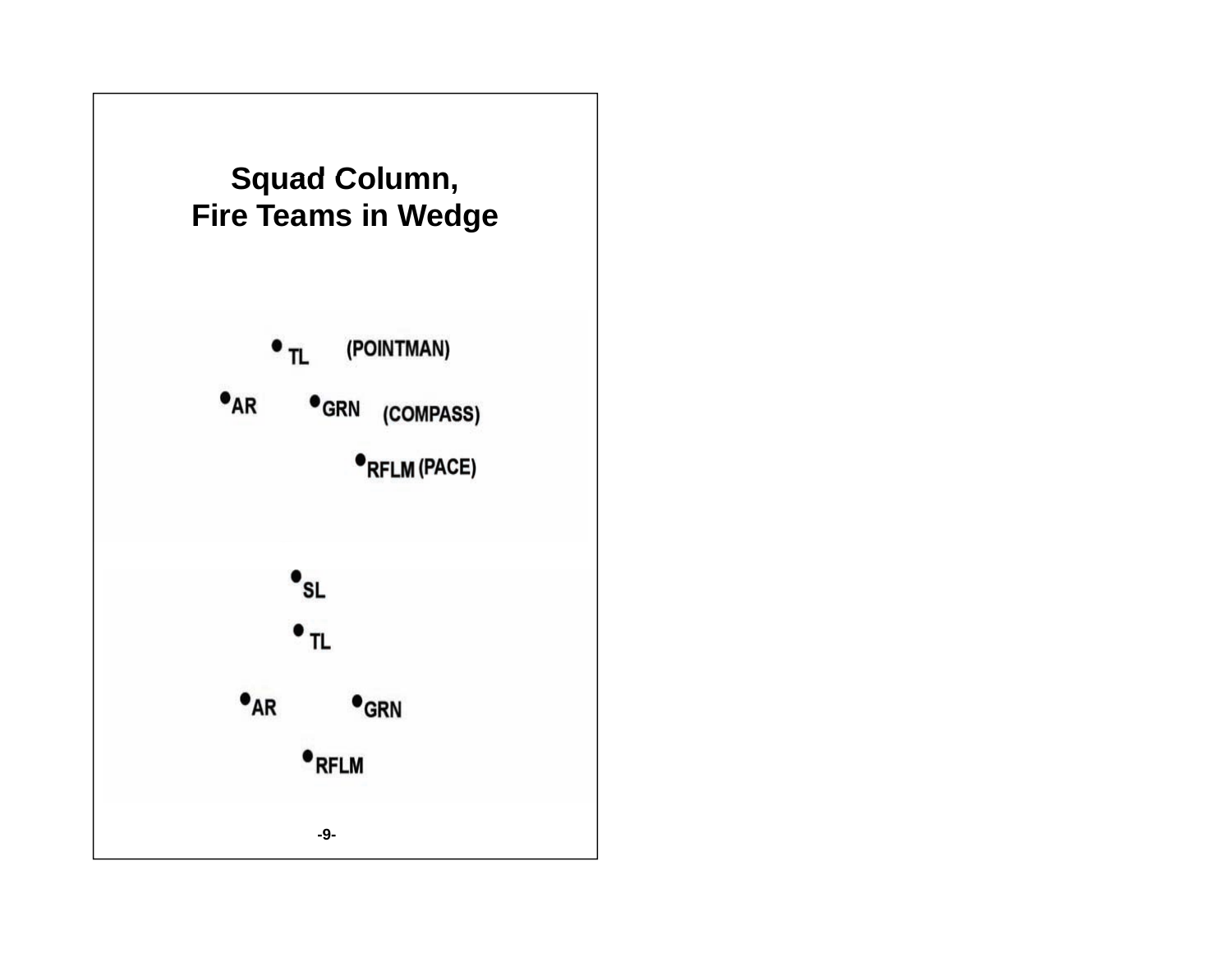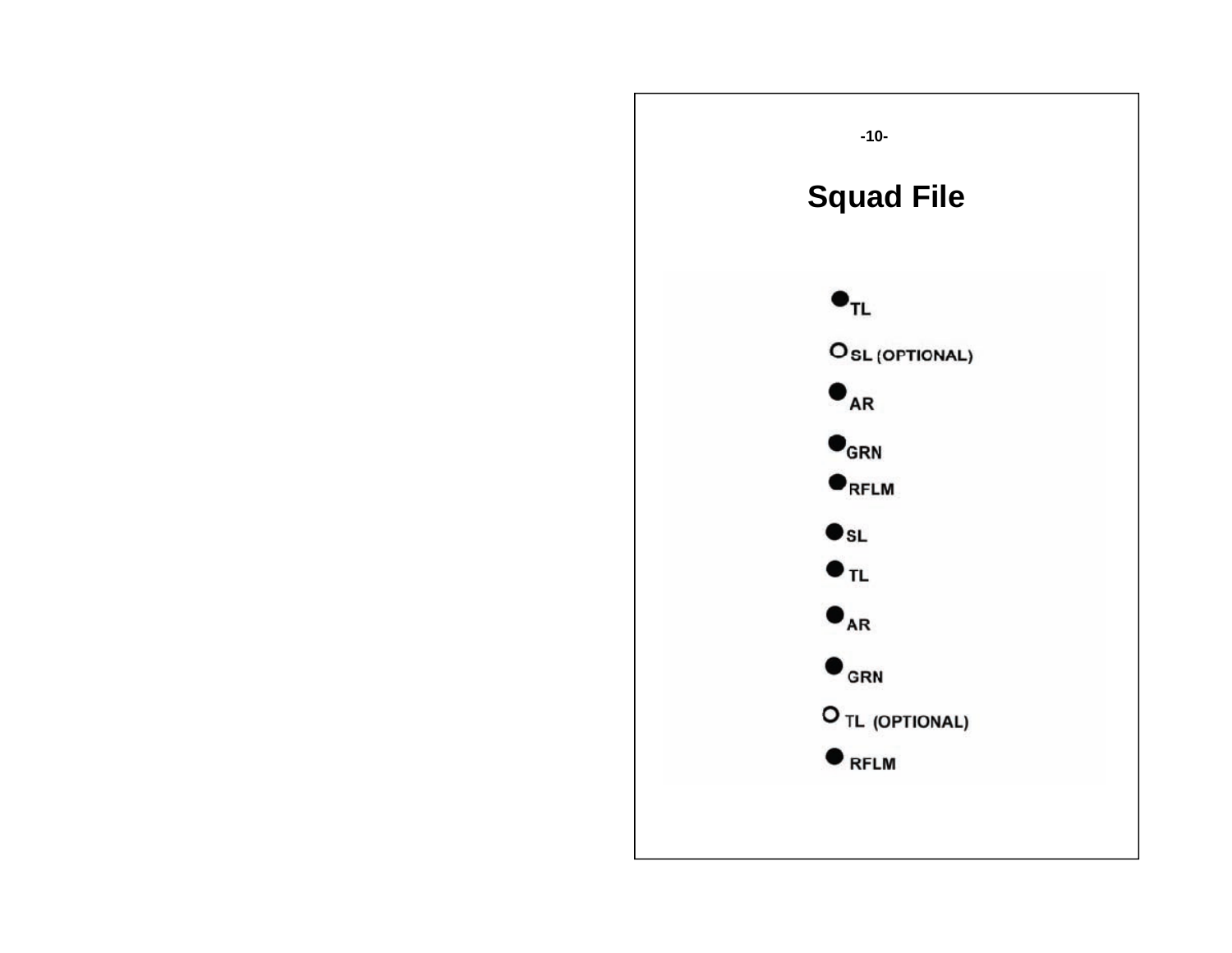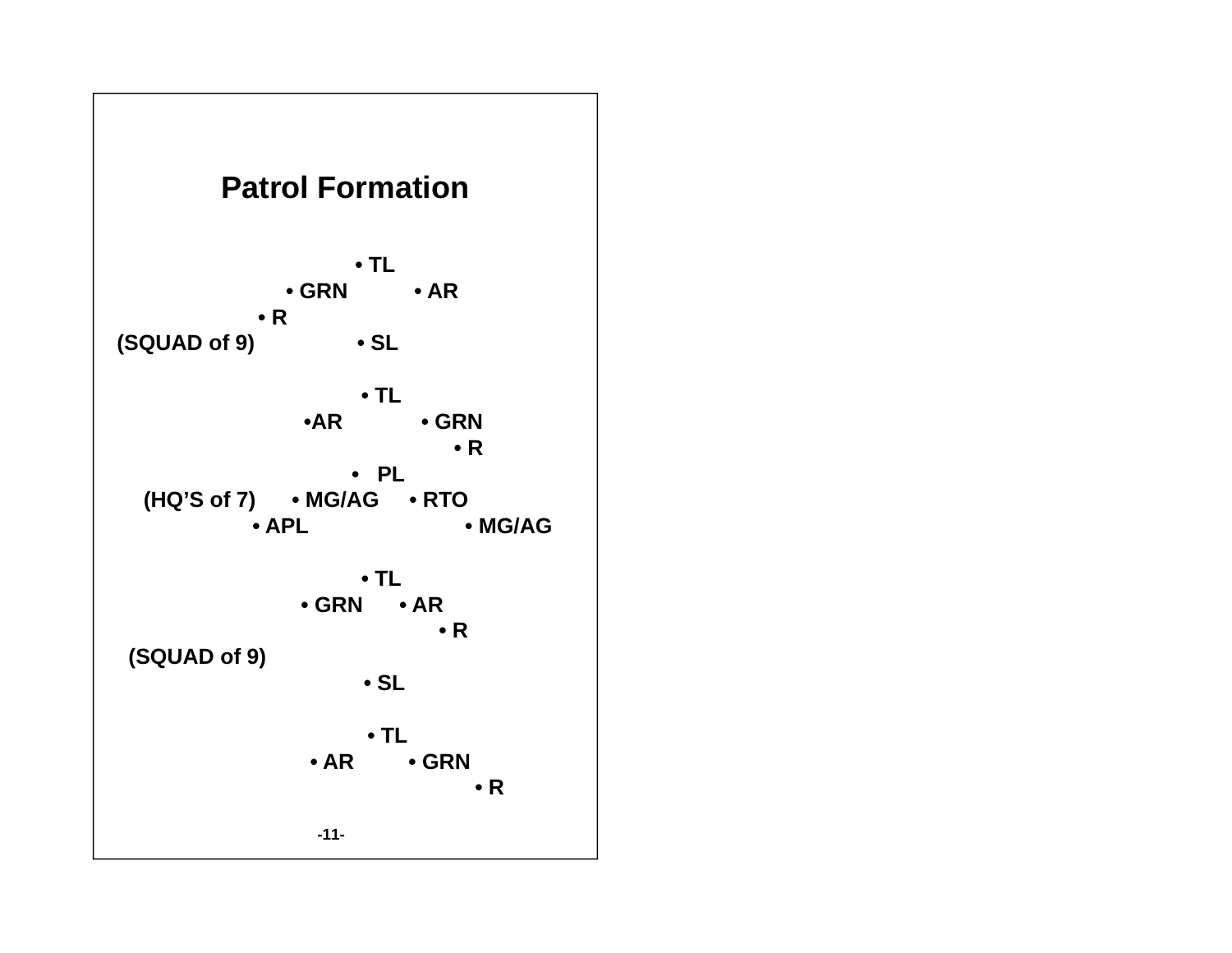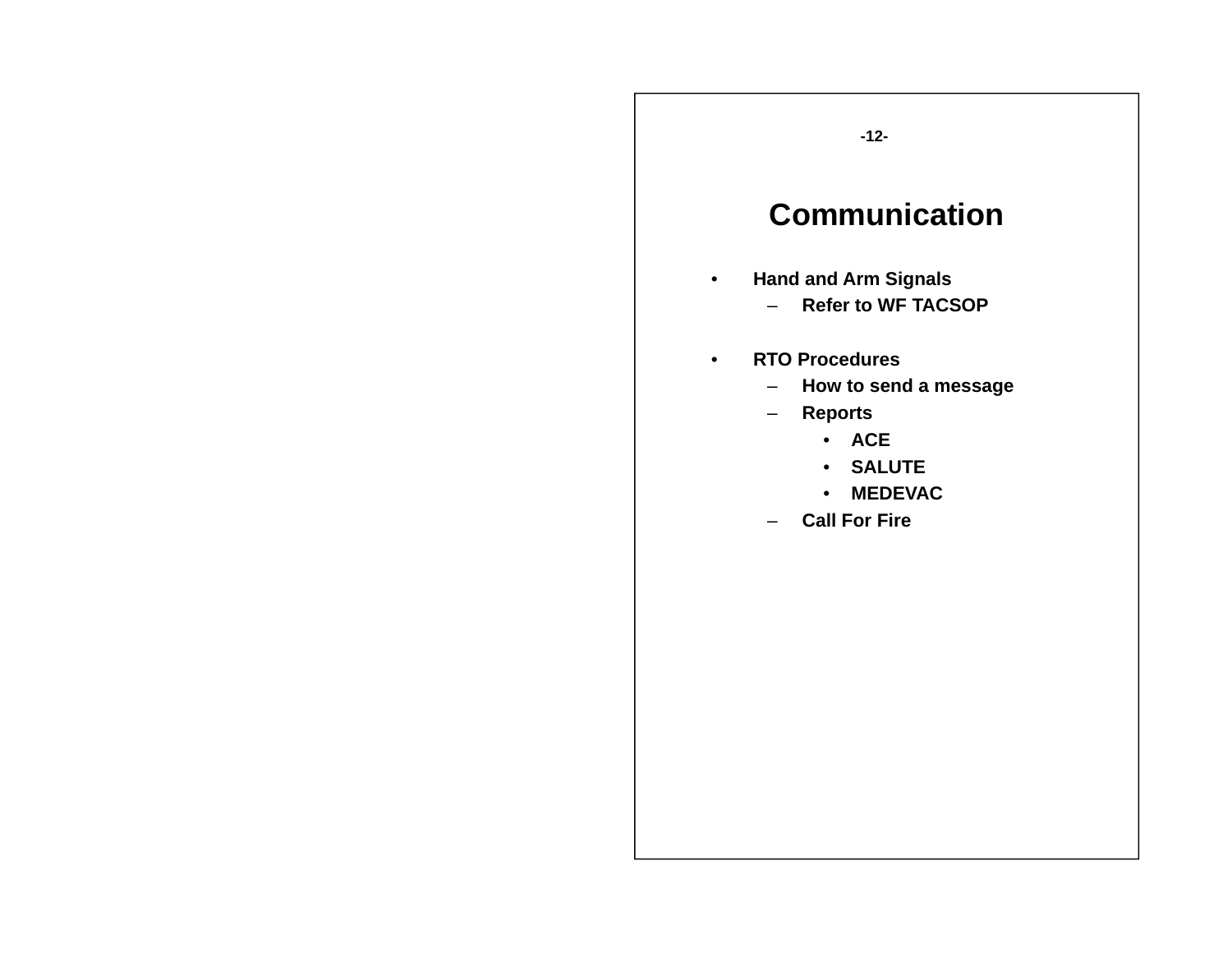### **Communication**

- • **Hand and Arm Signals**
	- **Refer to WF TACSOP**
- • **RTO Procedures**
	- –**How to send a message**
	- **Reports**
		- **ACE**
		- **SALUTE**
		- **MEDEVAC**
	- **Call For Fire**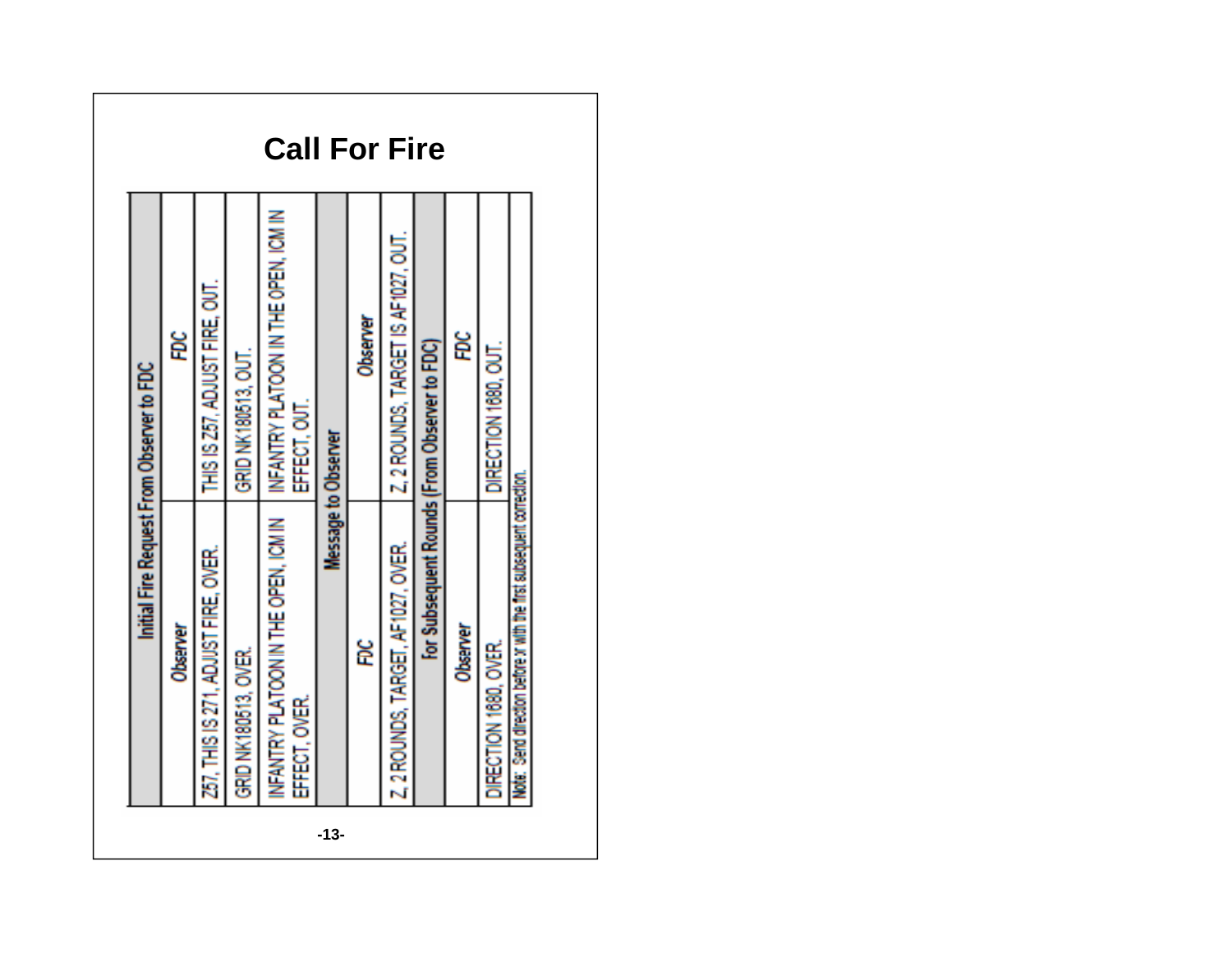|        |                                                                     | Initial Fire Request From Observer to FDC           |                      |
|--------|---------------------------------------------------------------------|-----------------------------------------------------|----------------------|
|        | Observer                                                            | ğ                                                   |                      |
|        | 257, THIS IS 271, ADJUST FIRE, OVER.                                | THIS IS 257, ADJUST FIRE, OUT.                      |                      |
|        | GRID NK180513, OVER.                                                | GRID NK180513, OUT.                                 |                      |
|        | NFANTRY PLATOON IN THE OPEN, IOM IN<br>EFFECT, OVER.                | NFANTRY PLATOON IN THE OPEN, ICM IN<br>EFFECT, OUT. | <b>Call For Fire</b> |
| $-13-$ |                                                                     | <b>Message to Observer</b>                          |                      |
|        | ទី                                                                  | Observer                                            |                      |
|        | Z, 2 ROUNDS, TARGET, AF1027, OVER.                                  | Z, 2 ROUNDS, TARGET IS AF1027, OUT.                 |                      |
|        |                                                                     | For Subsequent Rounds (From Observer to FDC)        |                      |
|        | Observer                                                            | Ë                                                   |                      |
|        | DIRECTION 1680, OVER.                                               | DIRECTION 1680, CAT.                                |                      |
|        | Note: Send direction before a with the first subsequent correction. |                                                     |                      |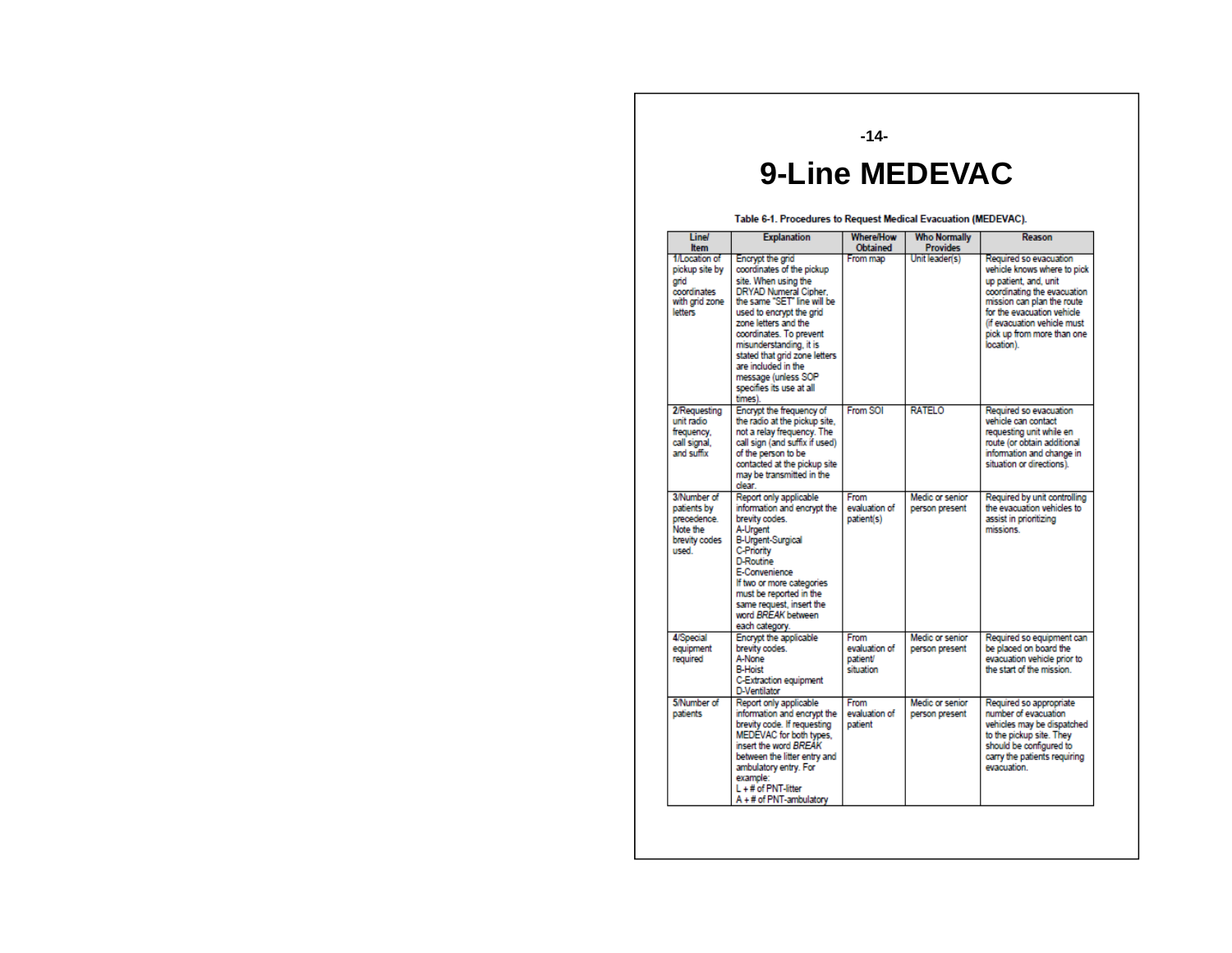#### **-14-**

#### **9-Line MEDEVAC Line**

Table 6-1. Procedures to Request Medical Evacuation (MEDEVAC).

| <b>Line/</b><br><b>Item</b>                                                         | <b>Explanation</b>                                                                                                                                                                                                                                                                                                                                            | <b>Where/How</b><br><b>Obtained</b>            | <b>Who Normally</b><br><b>Provides</b> | Reason                                                                                                                                                                                                                                               |
|-------------------------------------------------------------------------------------|---------------------------------------------------------------------------------------------------------------------------------------------------------------------------------------------------------------------------------------------------------------------------------------------------------------------------------------------------------------|------------------------------------------------|----------------------------------------|------------------------------------------------------------------------------------------------------------------------------------------------------------------------------------------------------------------------------------------------------|
| 1/Location of<br>pickup site by<br>grid<br>coordinates<br>with grid zone<br>letters | Encrypt the grid<br>coordinates of the pickup<br>site. When using the<br>DRYAD Numeral Cipher.<br>the same "SET" line will be<br>used to encrypt the grid<br>zone letters and the<br>coordinates. To prevent<br>misunderstanding, it is<br>stated that grid zone letters<br>are included in the<br>message (unless SOP<br>specifies its use at all<br>times). | From map                                       | Unit leader(s)                         | Required so evacuation<br>vehicle knows where to pick<br>up patient, and, unit<br>coordinating the evacuation<br>mission can plan the route<br>for the evacuation vehicle<br>(if evacuation vehicle must<br>pick up from more than one<br>location). |
| 2/Requesting<br>unit radio<br>frequency.<br>call signal.<br>and suffix              | Encrypt the frequency of<br>the radio at the pickup site.<br>not a relav frequency. The<br>call sign (and suffix if used)<br>of the person to be<br>contacted at the pickup site<br>may be transmitted in the<br>dear.                                                                                                                                        | From SOI                                       | <b>RATELO</b>                          | Required so evacuation<br>vehicle can contact<br>requesting unit while en<br>route (or obtain additional<br>information and change in<br>situation or directions).                                                                                   |
| 3/Number of<br>patients by<br>precedence.<br>Note the<br>brevity codes<br>used.     | Report only applicable<br>information and encrypt the<br>brevity codes.<br>A-Urgent<br><b>B-Urgent-Surgical</b><br>C-Priority<br><b>D-Routine</b><br>E-Convenience<br>If two or more categories<br>must be reported in the<br>same request, insert the<br>word BREAK between<br>each category.                                                                | From<br>evaluation of<br>patient(s)            | Medic or senior<br>person present      | Required by unit controlling<br>the evacuation vehicles to<br>assist in prioritizing<br>missions                                                                                                                                                     |
| <b>4/Special</b><br>equipment<br>required                                           | Encrypt the applicable<br>brevity codes.<br>A-None<br><b>B-Hoist</b><br><b>C-Extraction equipment</b><br>D-Ventilator                                                                                                                                                                                                                                         | From<br>evaluation of<br>patient/<br>situation | Medic or senior<br>person present      | Required so equipment can<br>be placed on board the<br>evacuation vehicle prior to<br>the start of the mission.                                                                                                                                      |
| 5/Number of<br>patients                                                             | Report only applicable<br>information and encrypt the<br>brevity code. If requesting<br>MEDEVAC for both types.<br>insert the word BREAK<br>between the litter entry and<br>ambulatory entry. For<br>example:<br>L + # of PNT-litter<br>A + # of PNT-ambulatory                                                                                               | From<br>evaluation of<br>patient               | Medic or senior<br>person present      | Required so appropriate<br>number of evacuation<br>vehicles may be dispatched<br>to the pickup site. They<br>should be configured to<br>carry the patients requiring<br>evacuation                                                                   |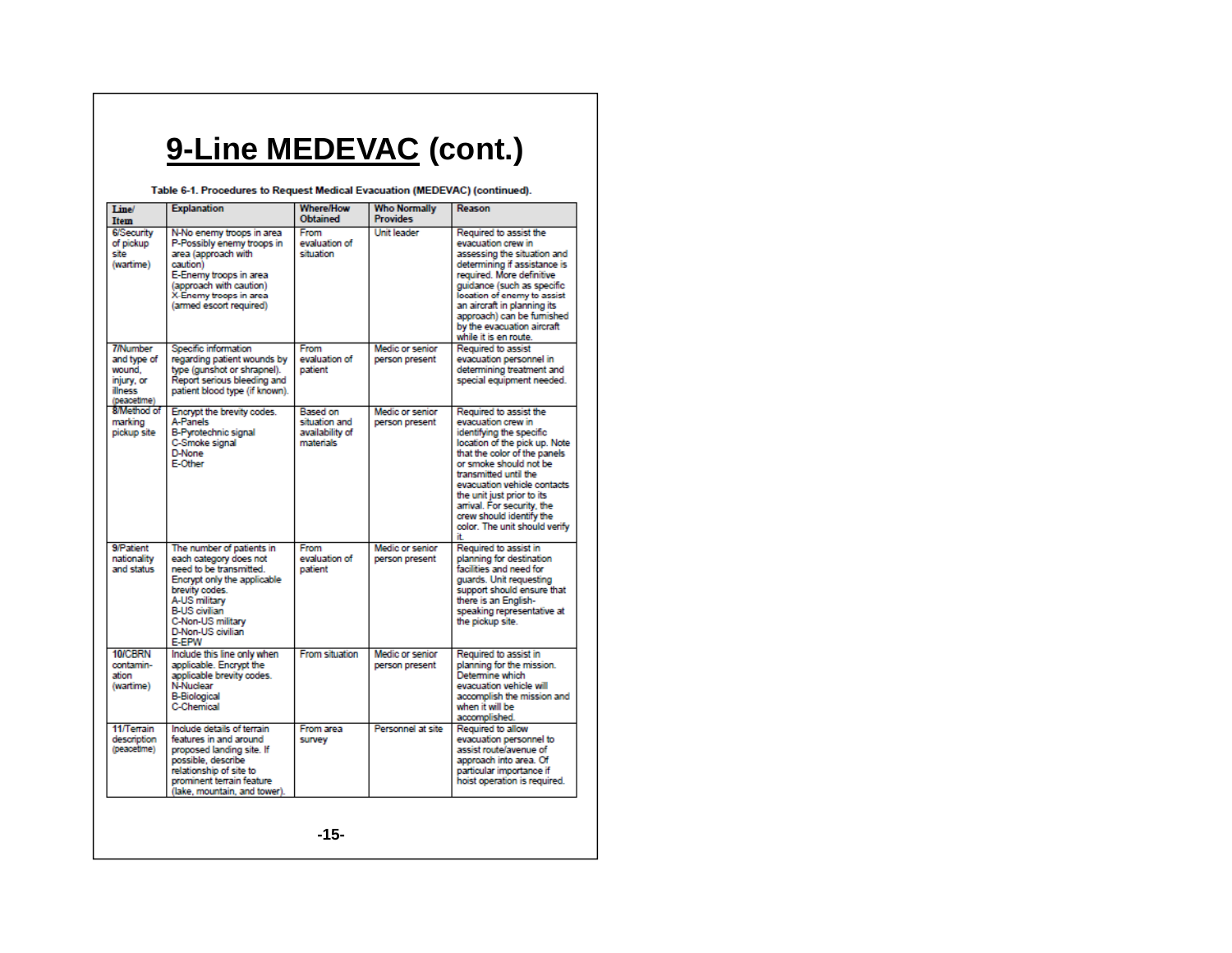### **9-Line MEDEVAC (cont.)**

Table 6-1. Procedures to Request Medical Evacuation (MEDEVAC) (continued).

| Line/<br>Item                                                                    | <b>Explanation</b>                                                                                                                                                                                                                 | <b>Where/How</b><br><b>Obtained</b>                       | <b>Who Normally</b><br><b>Provides</b>   | Reason                                                                                                                                                                                                                                                                                                                                                      |
|----------------------------------------------------------------------------------|------------------------------------------------------------------------------------------------------------------------------------------------------------------------------------------------------------------------------------|-----------------------------------------------------------|------------------------------------------|-------------------------------------------------------------------------------------------------------------------------------------------------------------------------------------------------------------------------------------------------------------------------------------------------------------------------------------------------------------|
| <b>6/Security</b><br>of pickup<br>site<br>(wartime)                              | N-No enemy troops in area<br>P-Possibly enemy troops in<br>area (approach with<br>caution)<br>E-Enemy troops in area<br>(approach with caution)<br>X-Enemy troops in area<br>(armed escort required)                               | From<br>evaluation of<br>situation                        | Unit leader                              | Required to assist the<br>evacuation crew in<br>assessing the situation and<br>determining if assistance is<br>required. More definitive<br>guidance (such as specific<br>location of enemy to assist<br>an aircraft in planning its<br>approach) can be furnished<br>by the evacuation aircraft<br>while it is en route.                                   |
| <b>7/Number</b><br>and type of<br>wound.<br>injury, or<br>illness<br>(peacetime) | Specific information<br>regarding patient wounds by<br>type (gunshot or shrapnel).<br>Report serious bleeding and<br>patient blood type (if known).                                                                                | From<br>evaluation of<br>patient                          | <b>Medic or senior</b><br>person present | Required to assist<br>evacuation personnel in<br>determining treatment and<br>special equipment needed.                                                                                                                                                                                                                                                     |
| 8/Method of<br>marking<br>pickup site                                            | Encrypt the brevity codes.<br>A-Panels<br>B-Pyrotechnic signal<br>C-Smoke signal<br>D-None<br>E-Other                                                                                                                              | Based on<br>situation and<br>availability of<br>materials | Medic or senior<br>person present        | Required to assist the<br>evacuation crew in<br>identifying the specific<br>location of the pick up. Note<br>that the color of the panels<br>or smoke should not be<br>transmitted until the<br>evacuation vehicle contacts<br>the unit just prior to its<br>arrival. For security, the<br>crew should identify the<br>color. The unit should verify<br>ìt. |
| 9/Patient<br>nationality<br>and status                                           | The number of patients in<br>each category does not<br>need to be transmitted.<br>Encrypt only the applicable<br>brevity codes.<br>A-US military<br><b>B-US civilian</b><br>C-Non-US military<br>D-Non-US civilian<br><b>E-EPW</b> | From<br>evaluation of<br>patient                          | Medic or senior<br>person present        | Required to assist in<br>planning for destination<br>facilities and need for<br>guards. Unit requesting<br>support should ensure that<br>there is an English-<br>speaking representative at<br>the pickup site.                                                                                                                                             |
| 10/CRRN<br>contamin-<br>ation<br>(wartime)                                       | Include this line only when<br>applicable. Encrypt the<br>applicable brevity codes.<br>N-Nuclear<br><b>B-Biological</b><br><b>C-Chemical</b>                                                                                       | <b>From situation</b>                                     | Medic or senior<br>person present        | Required to assist in<br>planning for the mission.<br>Determine which<br>evacuation vehicle will<br>accomplish the mission and<br>when it will be<br>accomplished.                                                                                                                                                                                          |
| 11/Terrain<br>description<br>(peacetime)                                         | Include details of terrain<br>features in and around<br>proposed landing site. If<br>possible, describe<br>relationship of site to<br>prominent terrain feature<br>(lake, mountain, and tower).                                    | From area<br>survey                                       | Personnel at site                        | Required to allow<br>evacuation personnel to<br>assist route/avenue of<br>approach into area. Of<br>particular importance if<br>hoist operation is required.                                                                                                                                                                                                |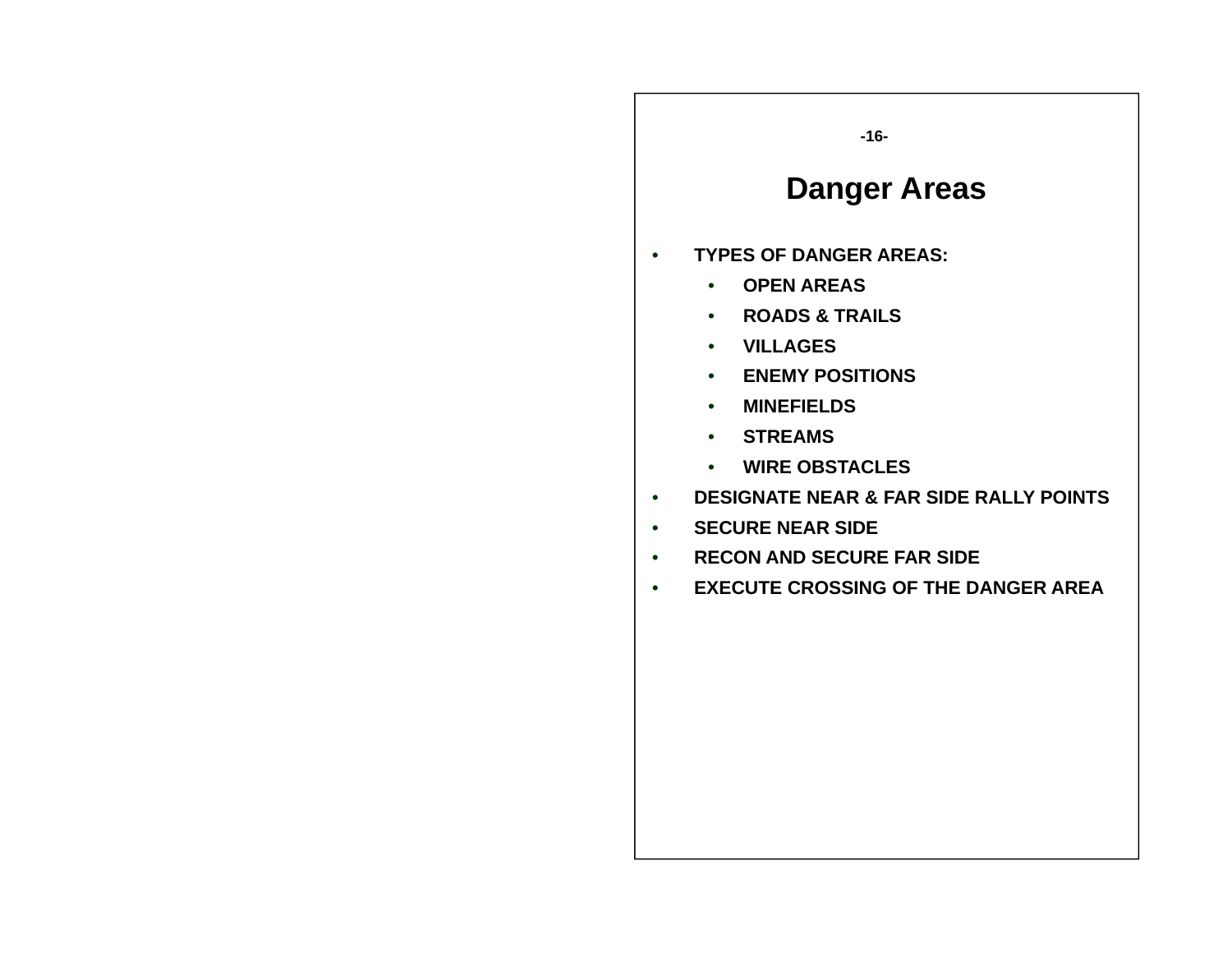#### **-16-**

### **Danger Areas**

- • **TYPES OF DANGER AREAS:**
	- **OPEN AREAS**
	- **ROADS & TRAILS**
	- **VILLAGES**
	- **ENEMY POSITIONS**
	- **MINEFIELDS**
	- **STREAMS**
	- **WIRE OBSTACLES**
- •**DESIGNATE NEAR & FAR SIDE RALLY POINTS**
- •**SECURE NEAR SIDE**
- •**RECON AND SECURE FAR SIDE**
- •**EXECUTE CROSSING OF THE DANGER AREA**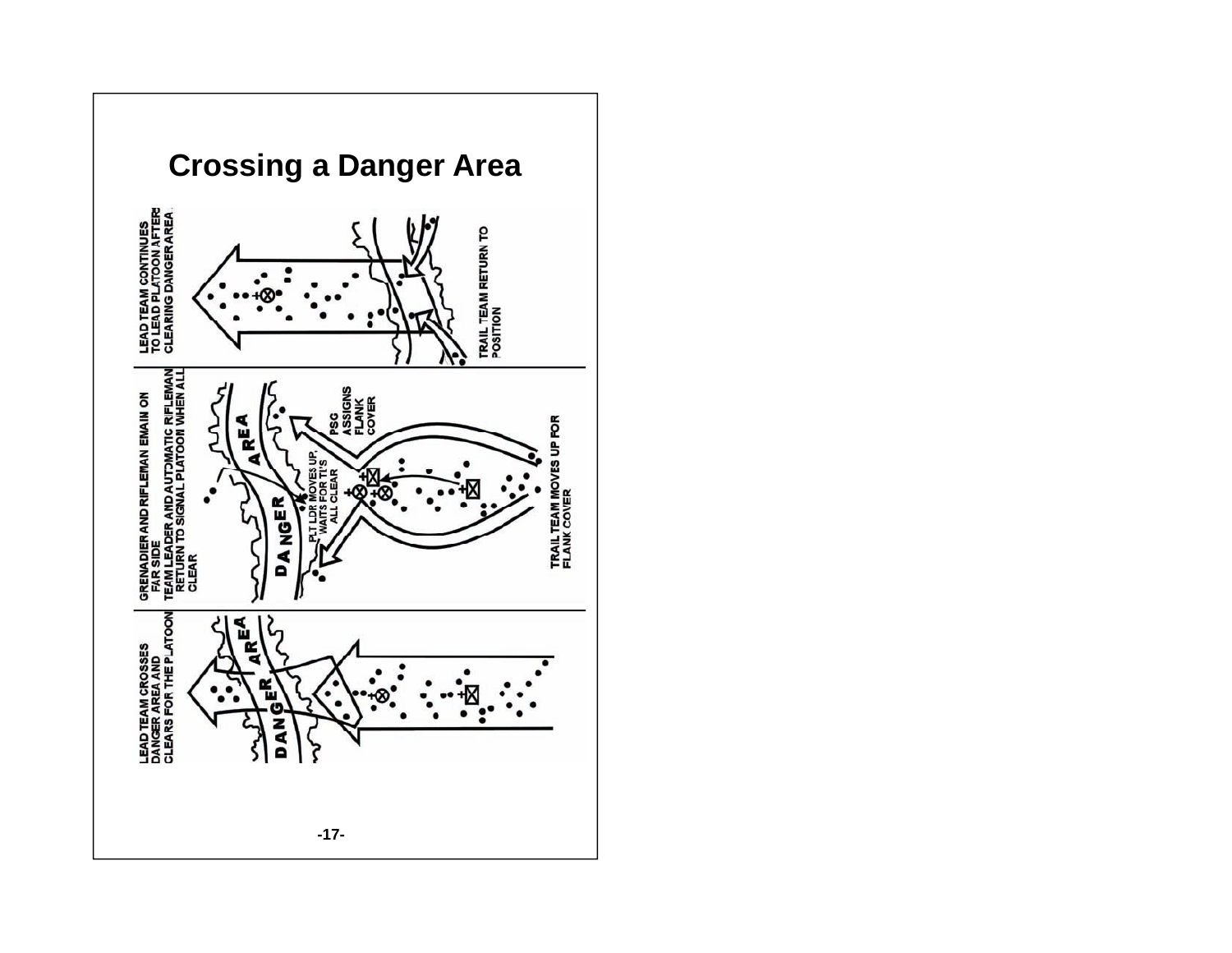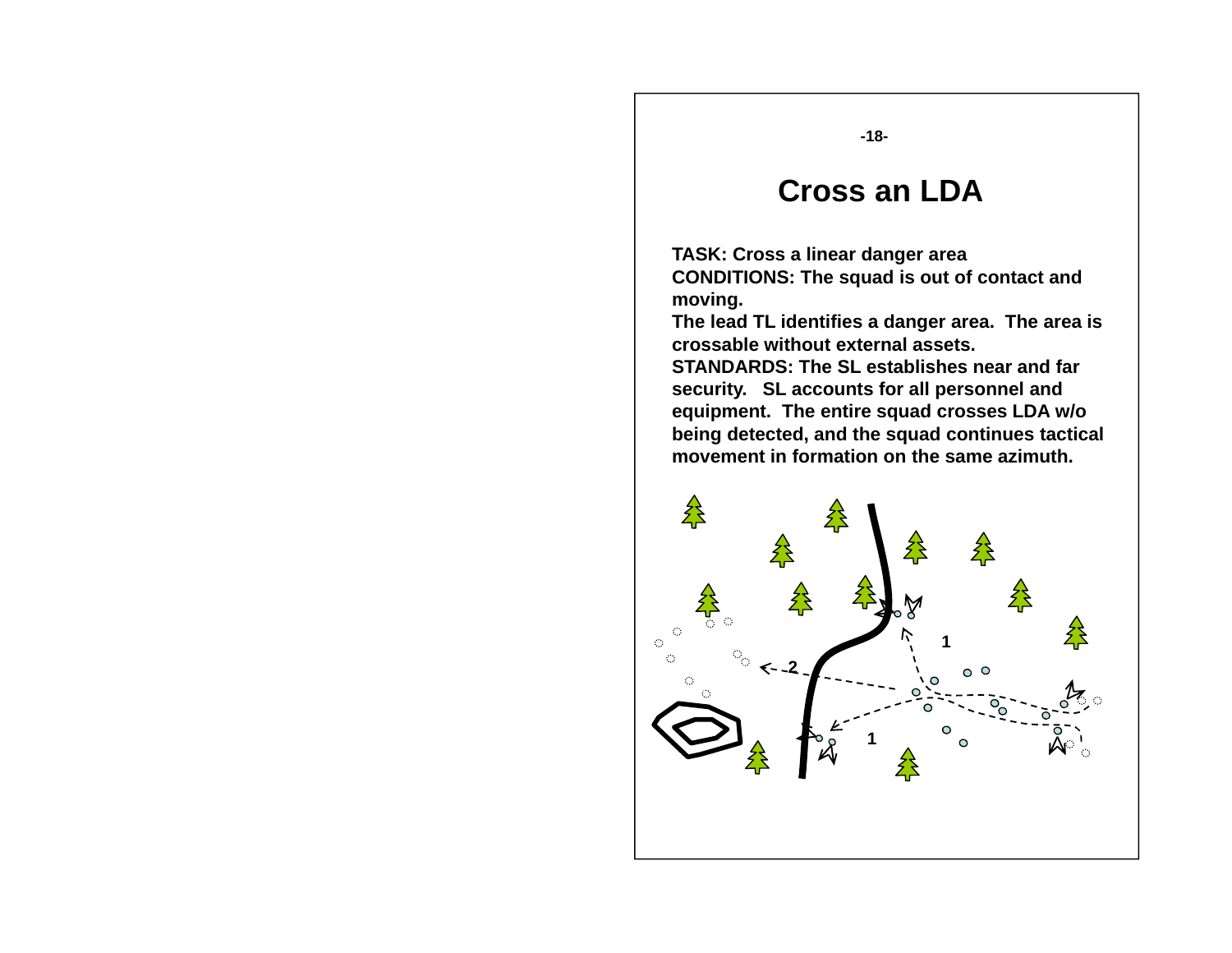**-18-**

#### **Cross an LDA**

**TASK: Cross a linear danger area CONDITIONS: The squad is out of contact and moving.**

**The lead TL identifies a danger area. The area is crossable without external assets.**

**STANDARDS: The SL establishes near and far security. SL accounts for all personnel and equipment. The entire squad crosses LDA w/o w/o being detected, and the squad continues tactical movement in formation on the same azimuth.**

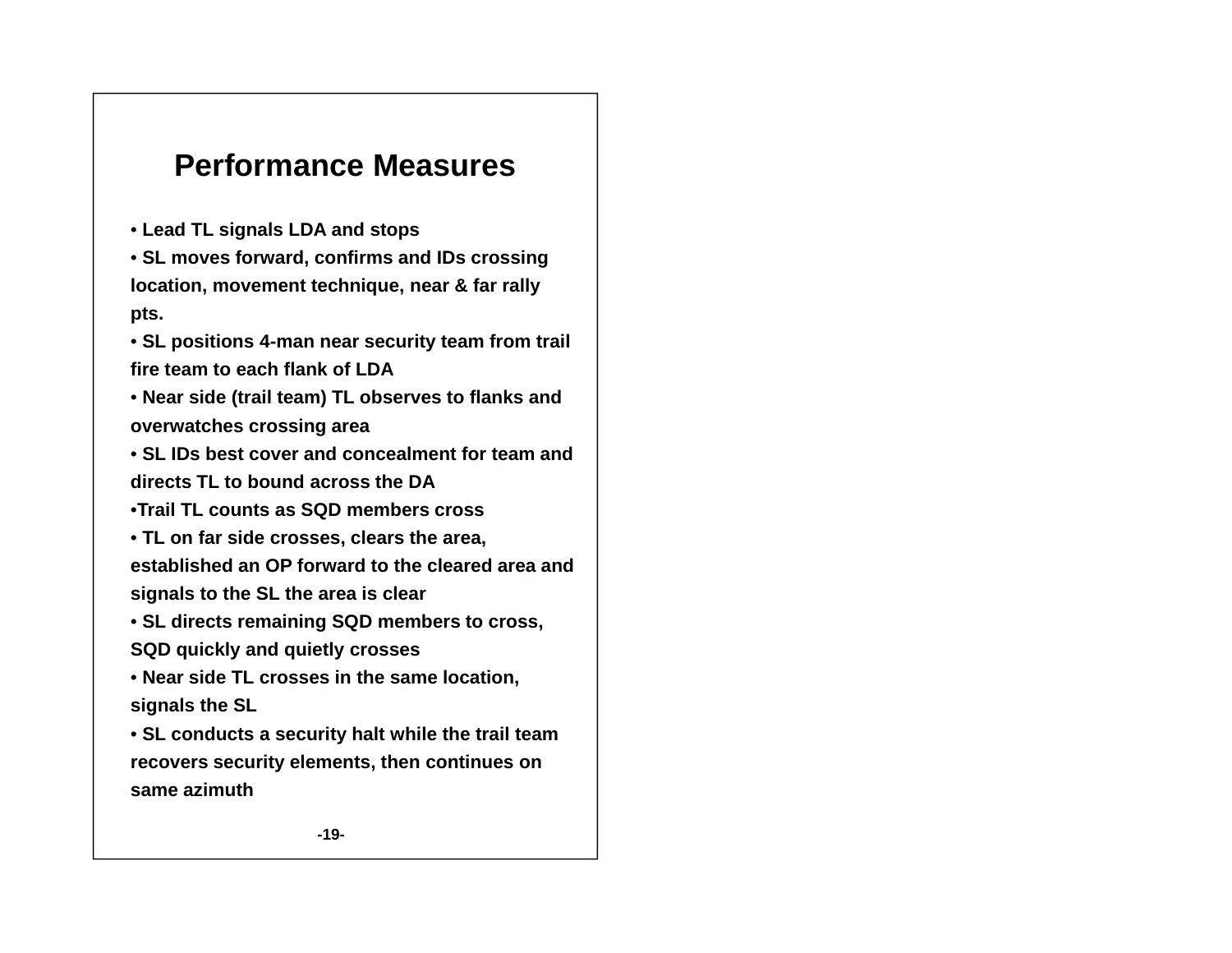### **Pe o a ce easu es rformance Measures**

• **Lead TL signals LDA and stops**

• **SL moves forward, confirms and IDs crossing location, movement technique, near & far rally pts.**

• **SL positions 4-man near security team from trail fire team to each flank of LDA**

• **Near side (trail team) TL observes to flanks and overwatches crossing area**

• **SL IDs best cover and concealment for team and directs TL to bound across the DA**

•**Trail TL counts as SQD members cross**

• **TL on far side crosses clears the area crosses, area, established an OP forward to the cleared area and signals to the SL the area is clear**

• **SL directs remaining SQD members to cross, SQD** quickly and quietly crosses

• **Near side TL crosses in the same location, signals the SL**

• **SL conducts a security halt while the trail team recovers security elements, then continues on same azimuth**

**-19-**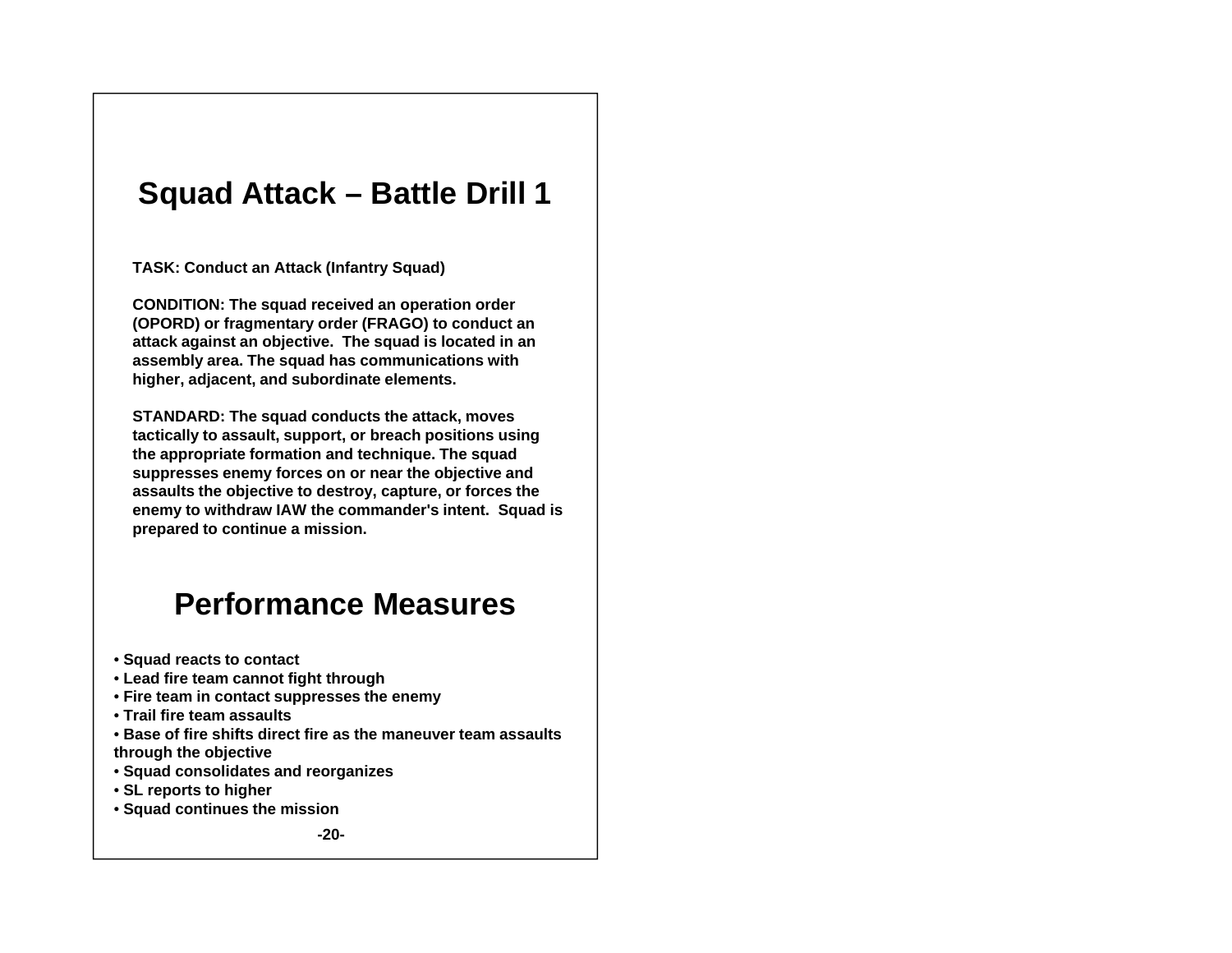### **Squad Attack – Battle Drill 1**

**TASK: Conduct an Attack (Infantry Squad)**

**CONDITION: The squad received an operation order (OPORD) or fragmentary order (FRAGO) to conduct an attack against an objective. The squad is located in an assembly area. The squad has communications with higher, adjacent, and subordinate elements.** 

**STANDARD: The squad conducts the attack moves conducts attack, tactically to assault, support, or breach positions using the appropriate formation and technique. The squad suppresses enemy forces on or near the objective and assaults the objective to destroy, capture, or forces the enemy to withdraw IAW the commander's intent. Squad is p p re pared to continue a mission.**

### **Performance Measures**

- **S d tt t t Squa d reacts to contact**
- **Lead fire team cannot fight through**
- **Fire team in contact suppresses the enemy**
- **Trail fire team assaults**
- **Base of fire shifts direct fire as the maneuver team assaults through the objective**
- **Squad consolidates and reorganizes**
- **SL reports to higher**
- **Squad continues the mission**

**-20-**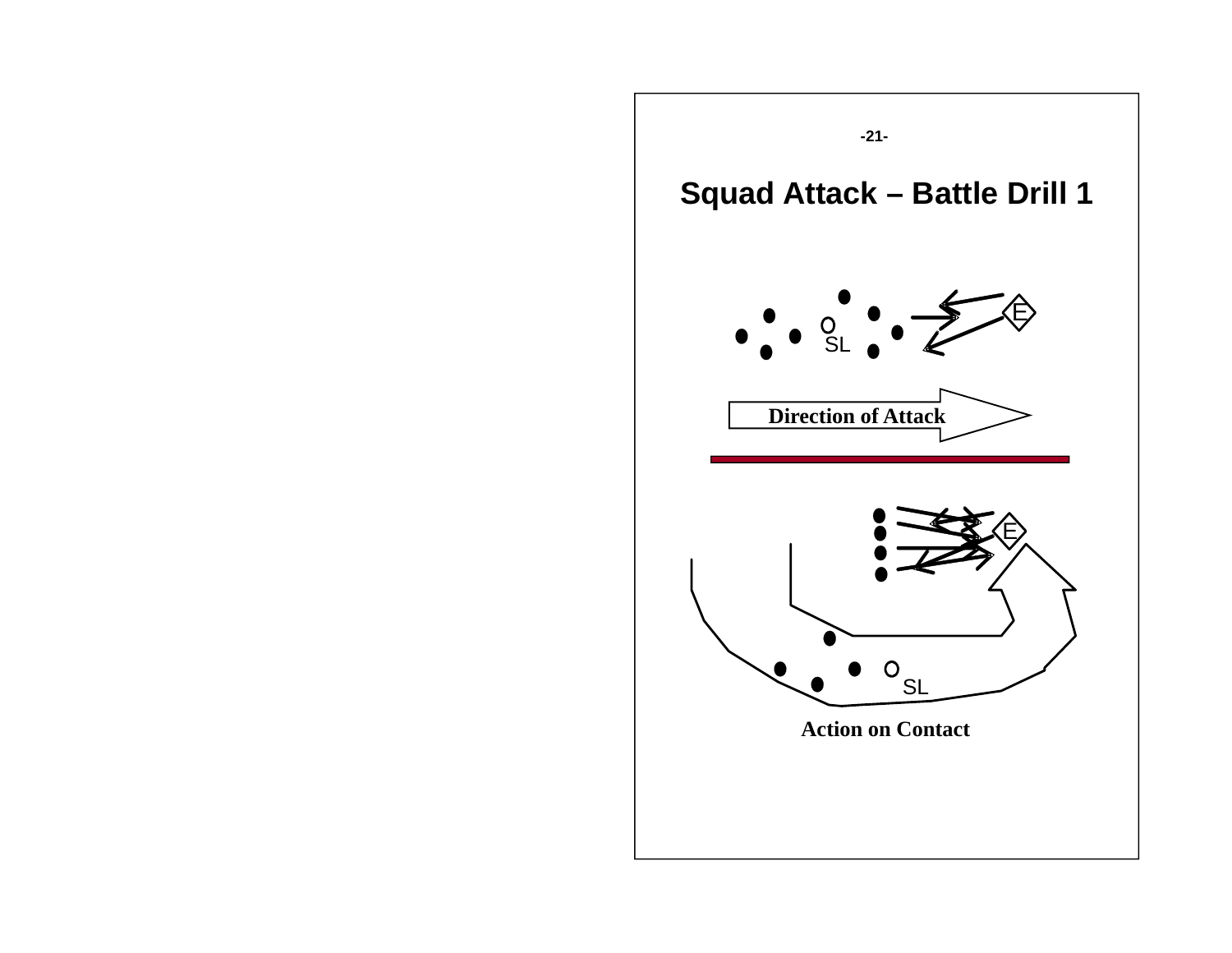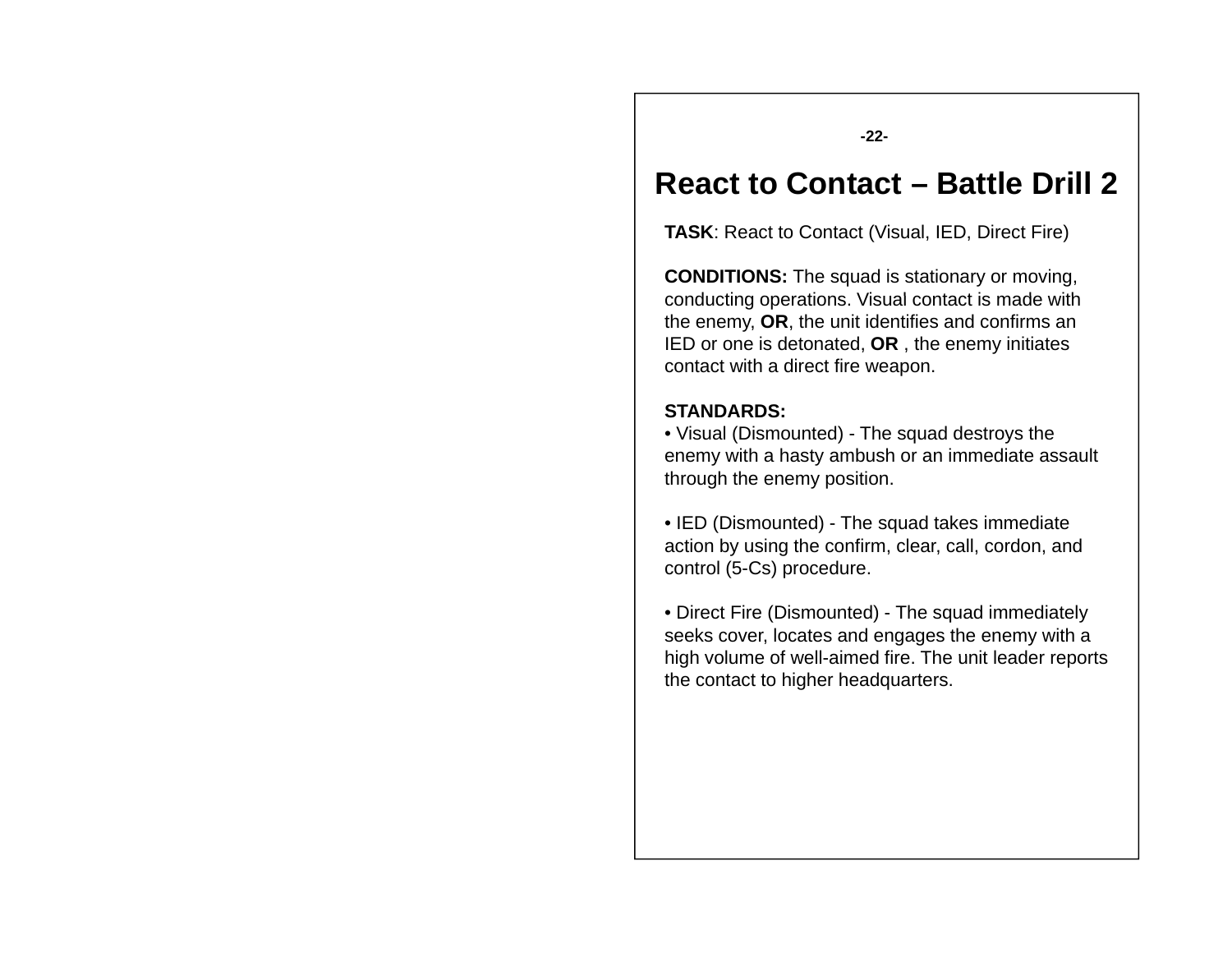**-22-**

#### **R tt C t t React to Contact – B ttl D ill 2 Battle Drill**

**TASK**: React to Contact (Visual, IED, Direct Fire)

**CONDITIONS:** The squad is stationary or moving, conducting operations. Visual contact is made with the enemy, **OR**, the unit identifies and confirms an IED or one is detonated, **OR** , the enemy initiates contact with a direct fire weapon.

#### **STANDARDS:**

• Visual (Dismounted) - The squad destroys the enemy with a hasty ambush or an immediate assault through the enemy position.

• IED (Dismounted) - The squad takes immediate action by using the confirm, clear, call, cordon, and control (5-Cs) procedure.

• Direct Fire (Dismounted) - The squad immediately seeks cover, locates and engages the enemy with a high volume of well-aimed fire. The unit leader reports the contact to higher headquarters.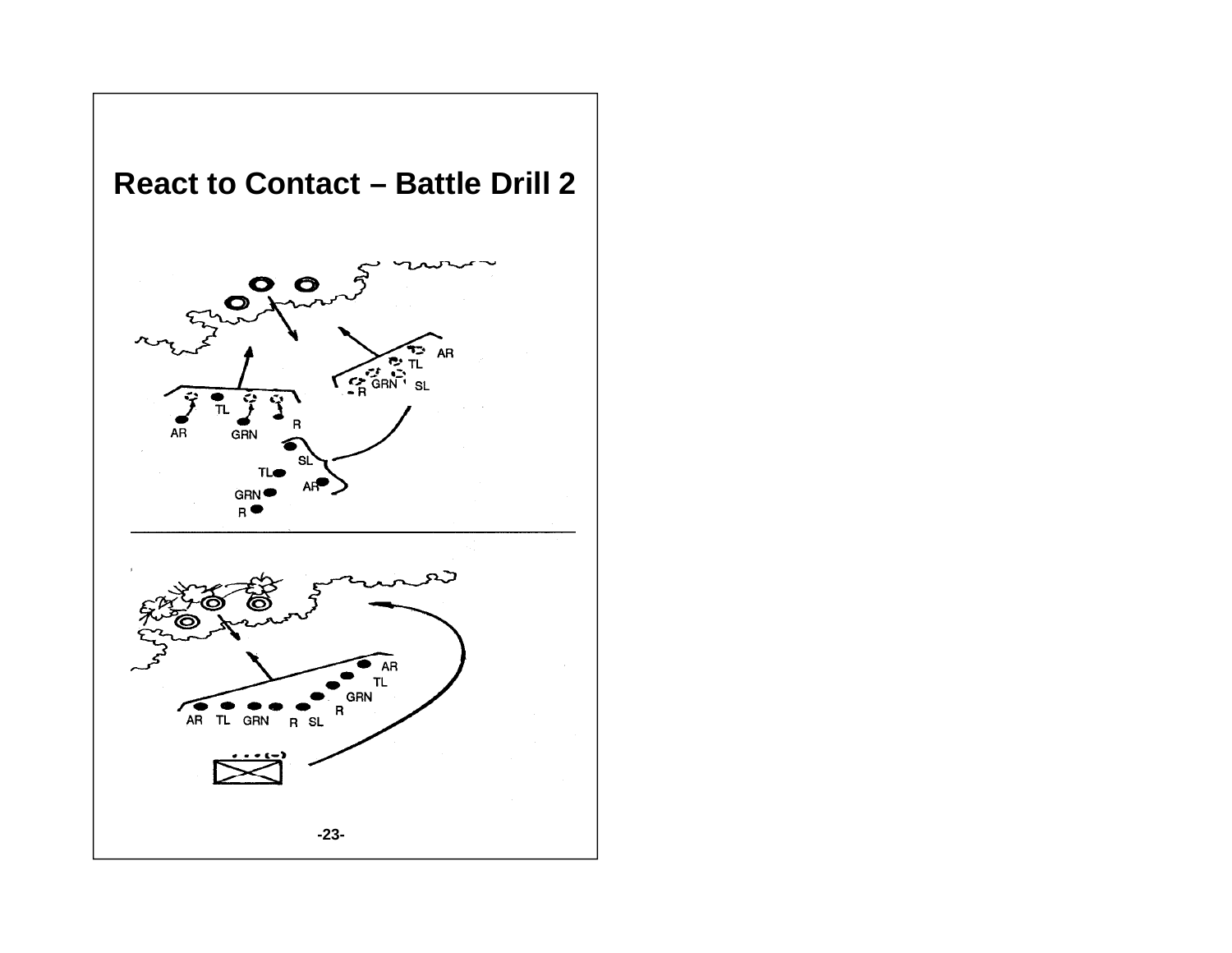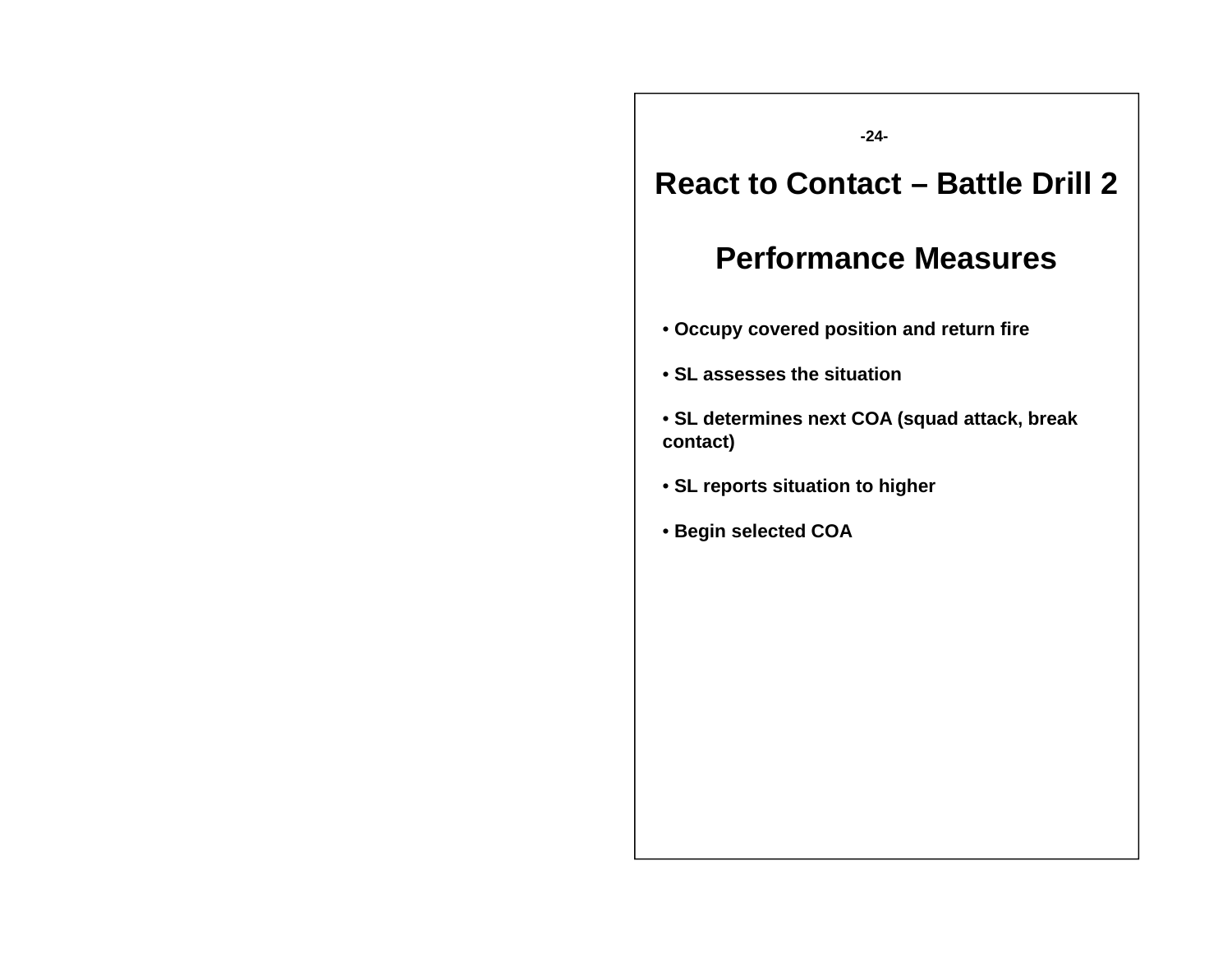**-24-**

### **R tt C t t React to Contact – B ttl D ill 2 Battle Drill**

- **Occupy covered position and return fire**
- **SL assesses the situation**
- **SL determines next COA (squad attack break attack, contact)**
- **SL reports situation to higher**
- **Begin selected COA**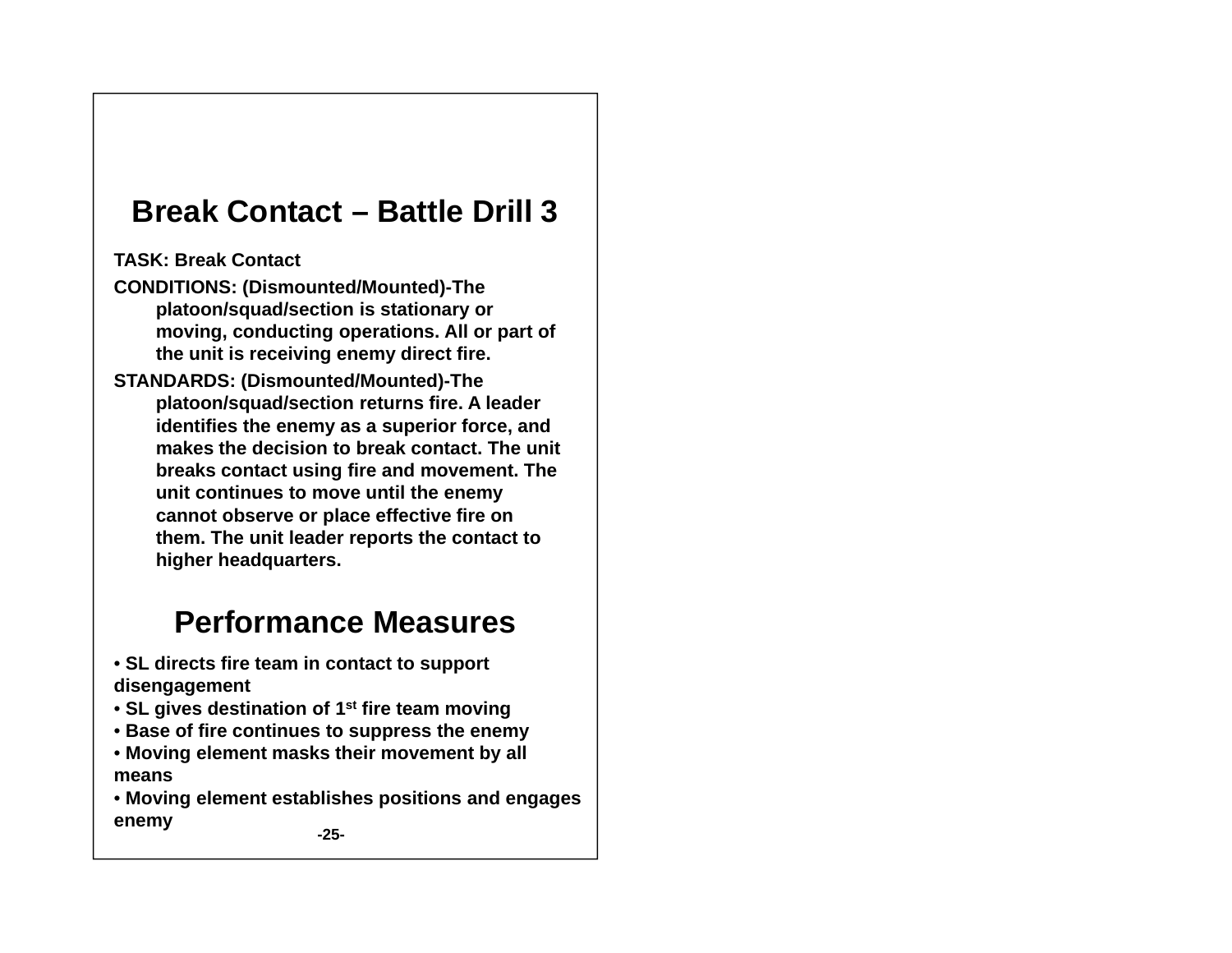## **Break Contact – Battle Drill 3**

**TASK: Break Contact** 

**CONDITIONS: ( ) Dismounted/Mounted)-The platoon/squad/section is stationary or moving, conducting operations. All or part of the unit is receiving enemy direct fire.**

**STANDARDS: (Dismounted/Mounted)-The platoon/squad/section returns fire. A leader identifies the enemy as a superior force, and makes the decision to break contact. The unit breaks contact using fire and movement. The unit continues to move until the enemy cannot observe or place effective fire on them The unit leader reports the contact to them. higher headquarters.**

- **SL directs fire team in contact to support disengagement**
- **SL gives destination of 1st fire team moving**
- **Base of fire continues to suppress the enemy**
- **Moving element masks their movement by all means**
- **Moving element establishes positions and engages enemy -25-**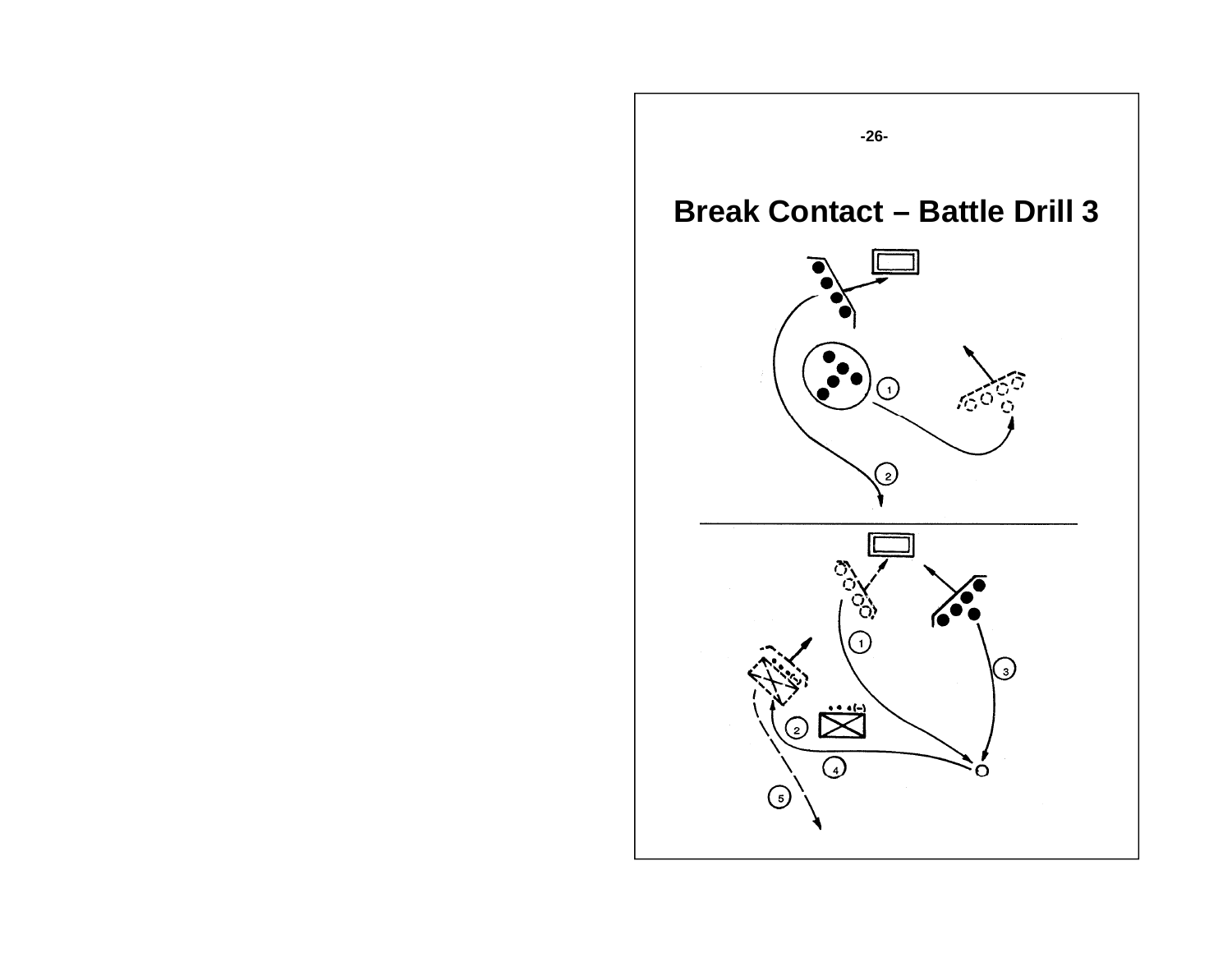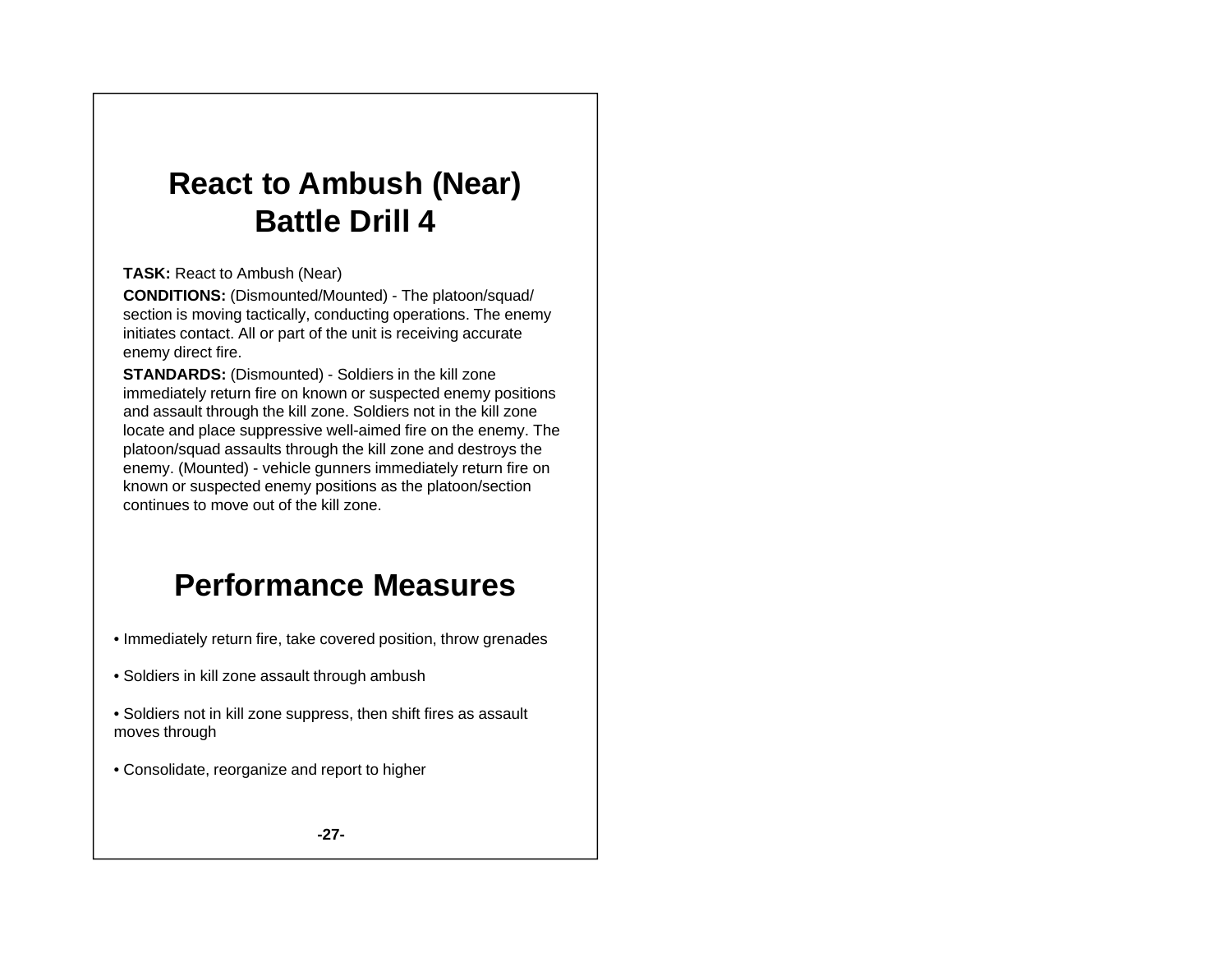## **R t t A b h (N ) Reac to m bus (Near Battle Drill 4**

**TASK:** React to Ambush (Near)

**CONDITIONS:** (Dismounted/Mounted) - The platoon/squad/ section is moving tactically, conducting operations. The enemy initiates contact. All or part of the unit is receiving accurate enemy direct fire.

**STANDARDS:** (Dismounted) - Soldiers in the kill zone immediately return fire on known or suspected enemy positions and assault through the kill zone. Soldiers not in the kill zone locate and place suppressive well-aimed fire on the enemy. The platoon/squad assaults through the kill zone and destroys the enemy. (Mounted) - vehicle gunners immediately return fire on known or suspected enemy positions as the platoon/section continues to move out of the kill zone.

- Immediately return fire, take covered position, throw grenades
- Soldiers in kill zone assault through ambush
- Soldiers not in kill zone suppress, then shift fires as assault moves through
- Consolidate, reorganize and report to higher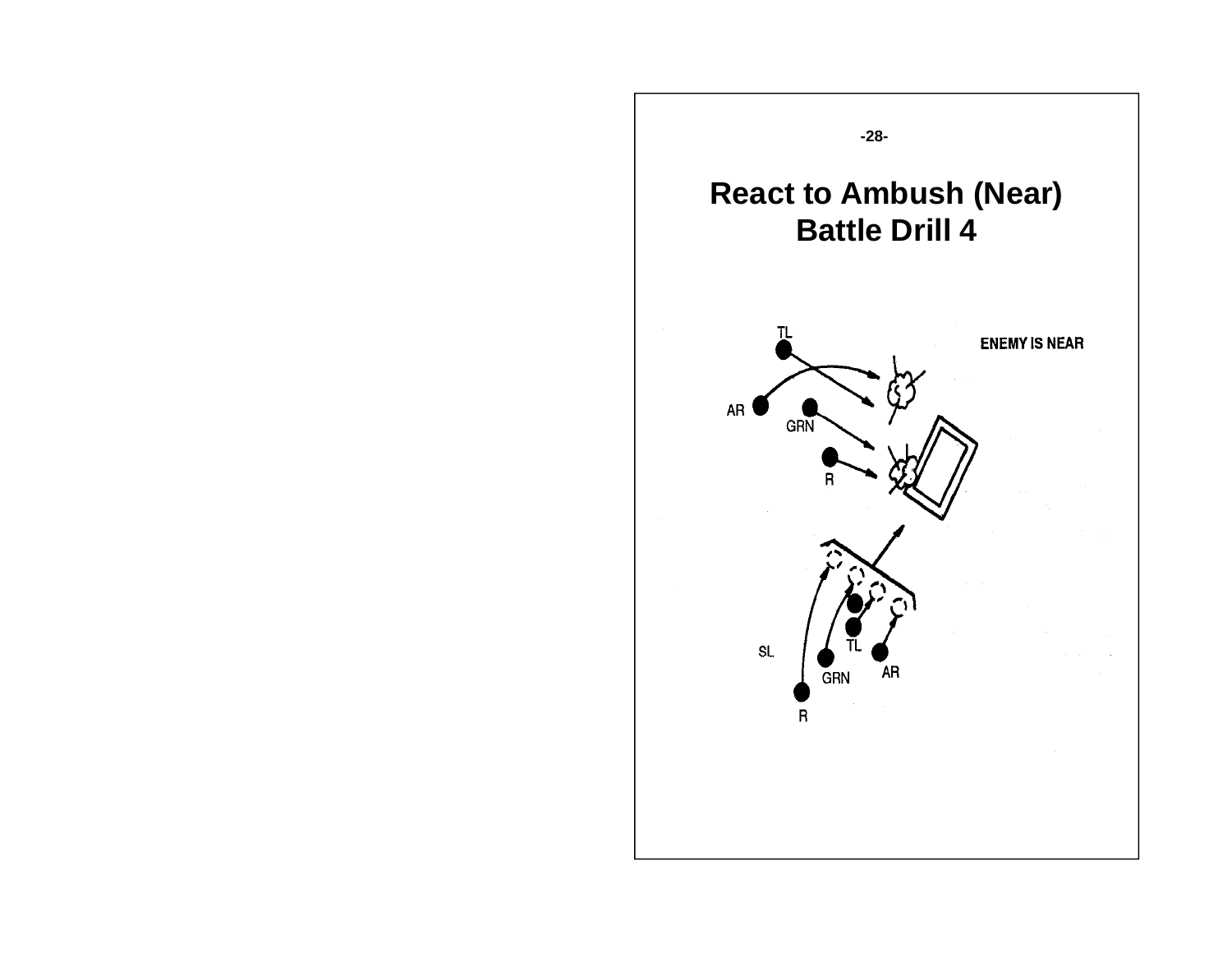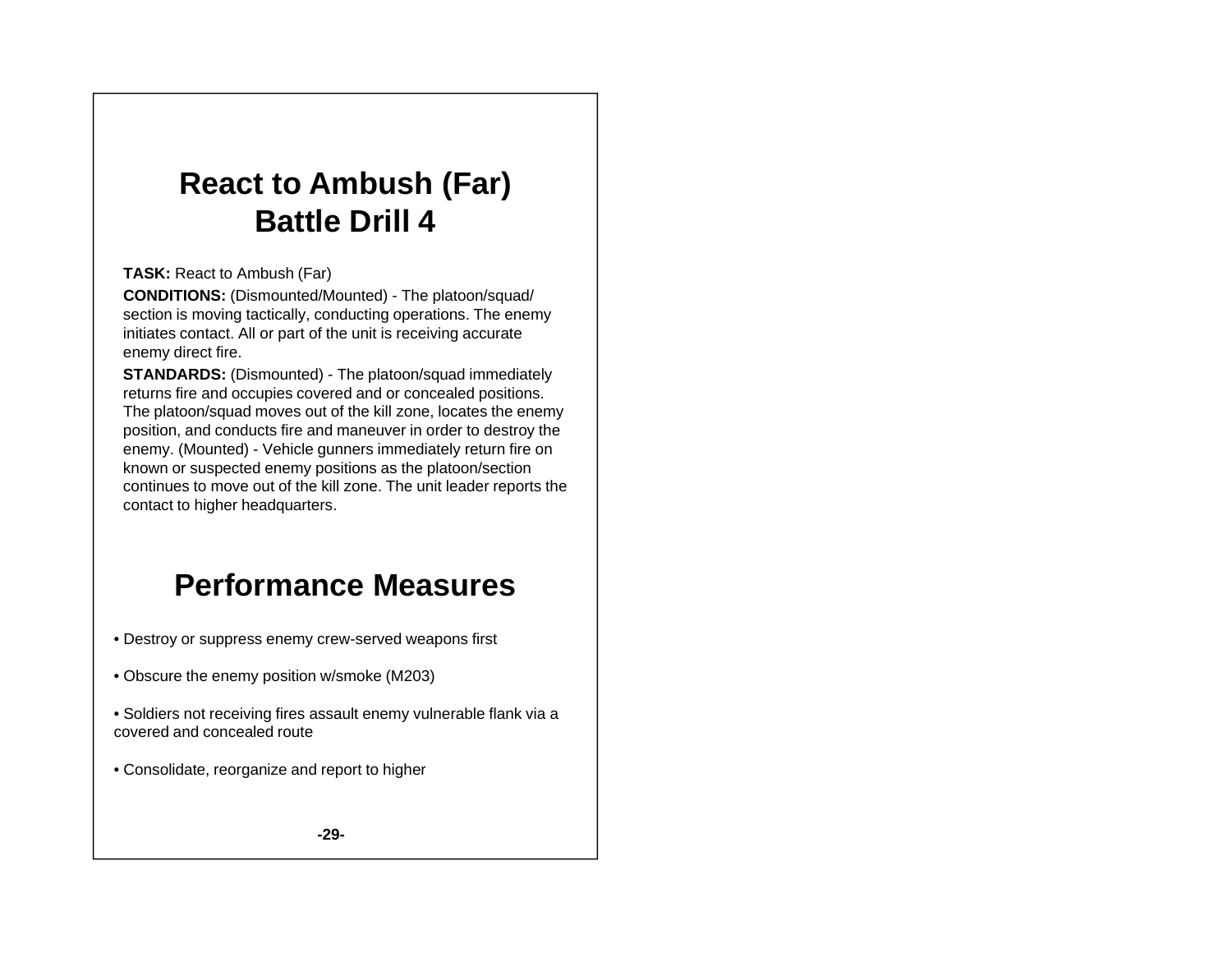## **R t t A b h (F ) Reac to m bus (Far Battle Drill 4**

#### **TASK:** React to Ambush (Far)

**CONDITIONS:** (Dismounted/Mounted) - The platoon/squad/ section is moving tactically, conducting operations. The enemy initiates contact. All or part of the unit is receiving accurate enemy direct fire.

**STANDARDS:** (Dismounted) - The platoon/squad immediately returns fire and occupies covered and or concealed positions. The platoon/squad moves out of the kill zone, locates the enemy position, and conducts fire and maneuver in order to destroy the enemy. (Mounted) - Vehicle gunners immediately return fire on known or suspected enemy positions as the platoon/section continues to move out of the kill zone. The unit leader reports the contact to higher headquarters.

## **Performance Measures**

- Destroy or suppress enemy crew-served weapons first
- Obscure the enemy position w/smoke (M203)
- Soldiers not receiving fires assault enemy vulnerable flank via a covered and concealed route
- Consolidate, reorganize and report to higher

**-29-**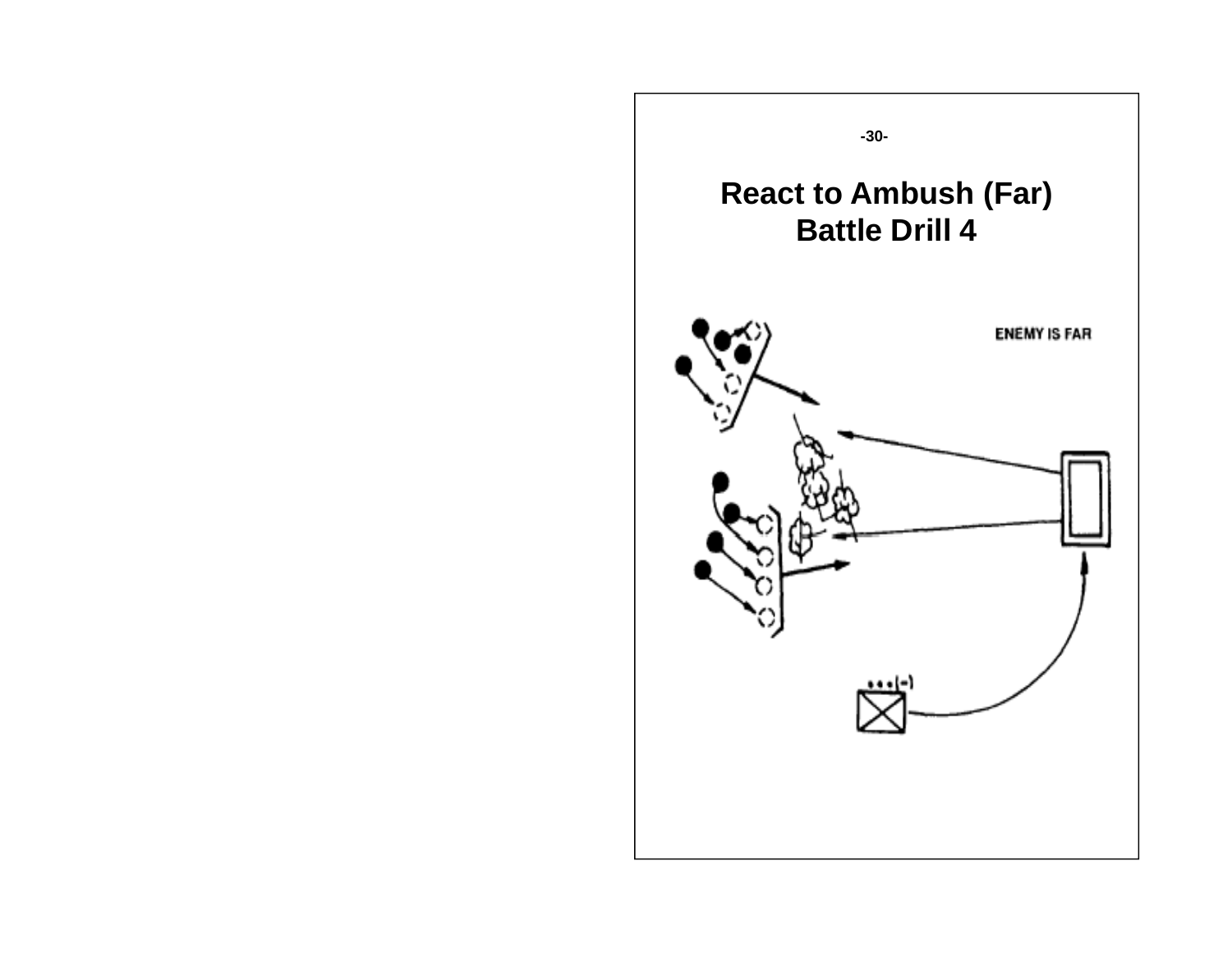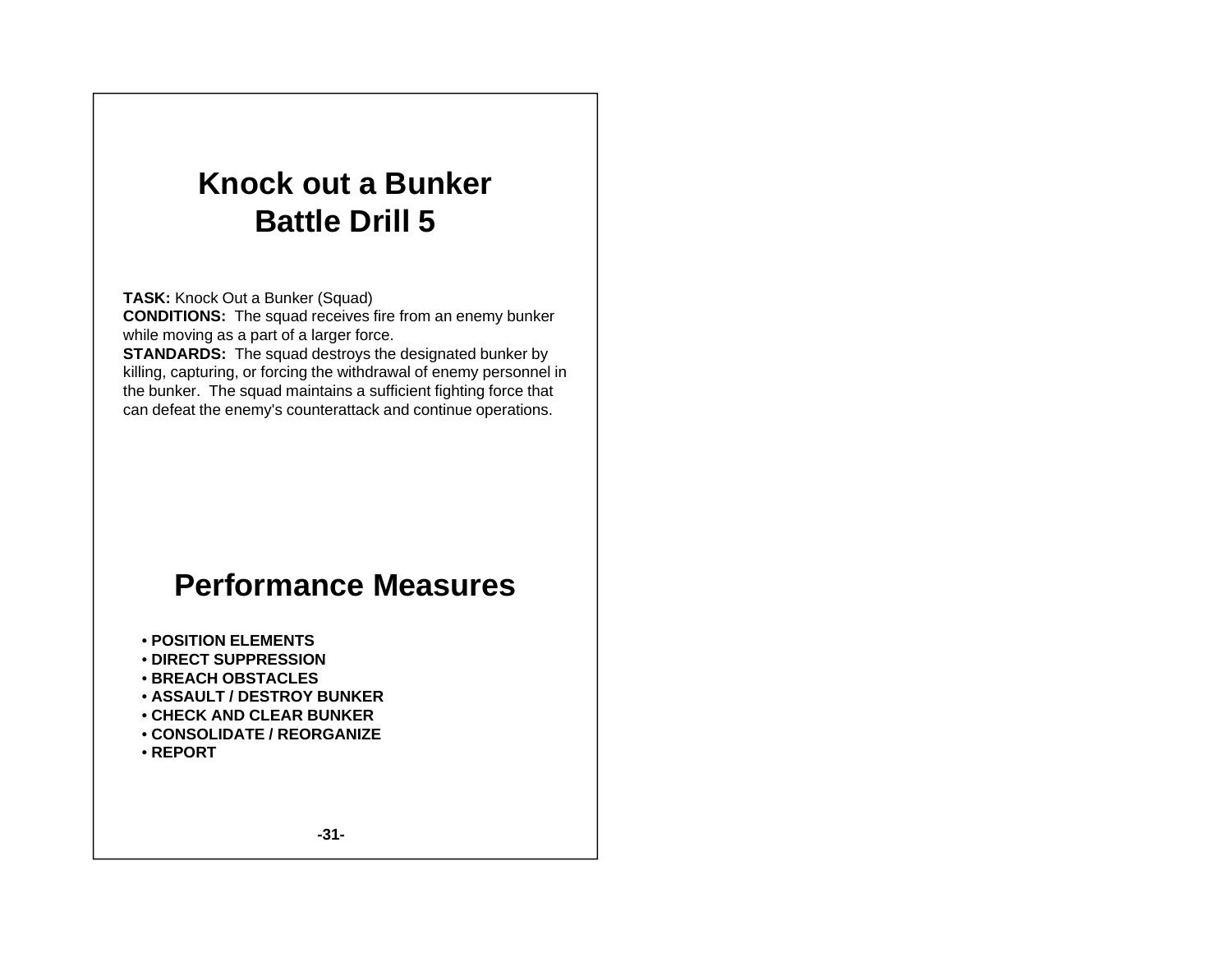## **K k tBk Knoc k out a Bunker Battle Drill 5**

**TASK:** Knock Out <sup>a</sup> Bunker (Squad)

**CONDITIONS:** The squad receives fire from an enemy bunker while moving as a part of a larger force.

**STANDARDS:** The squad destroys the designated bunker by killing, capturing, or forcing the withdrawal of enemy personnel in the bunker. The squad maintains a sufficient fighting force that can defeat the enemy's counterattack and continue operations.

- **POSITION ELEMENTS**
- **DIRECT SUPPRESSION DIRECT**
- **BREACH OBSTACLES**
- **ASSAULT / DESTROY BUNKER**
- **CHECK AND CLEAR BUNKER**
- **CONSOLIDATE / REORGANIZE**
- **REPORT**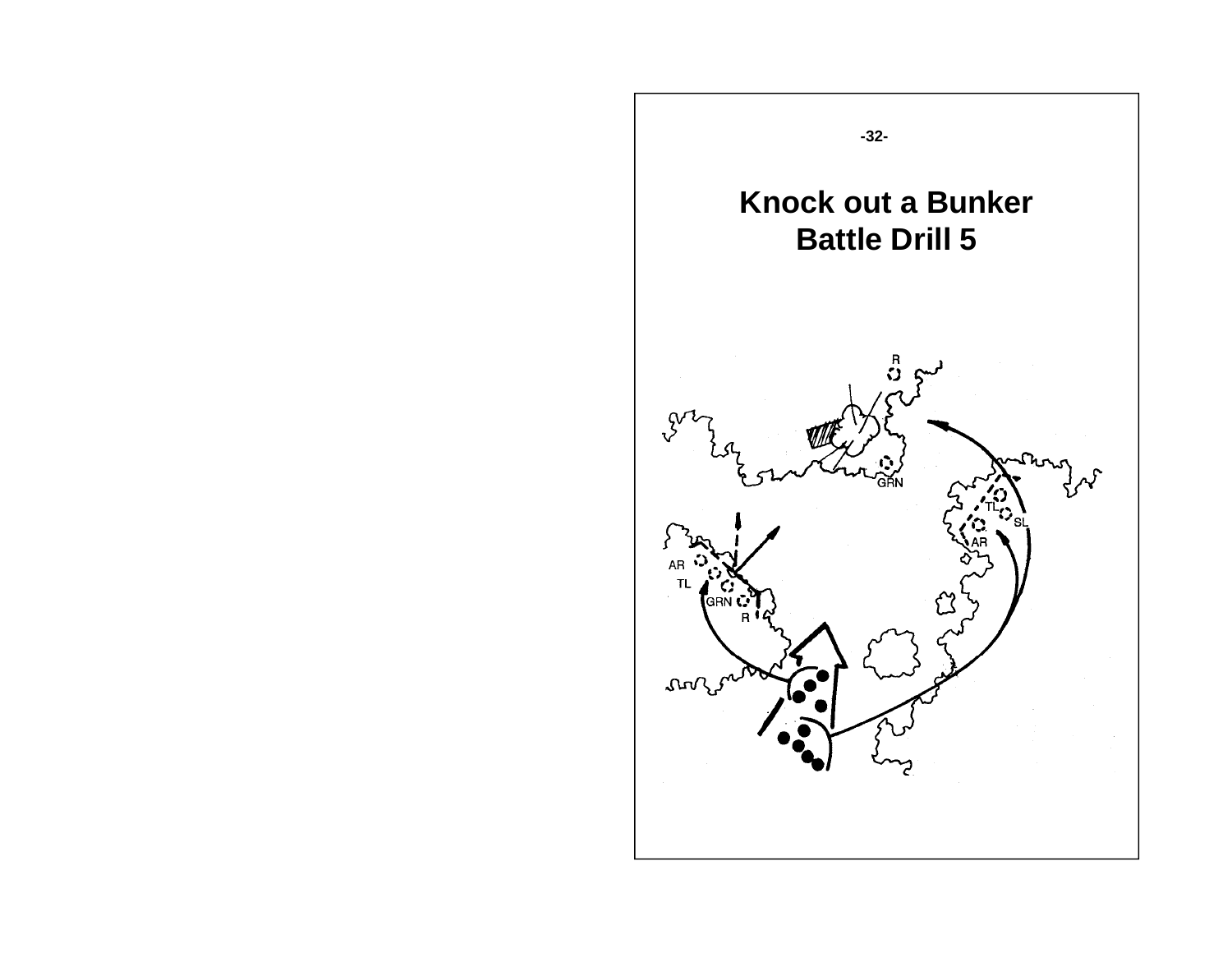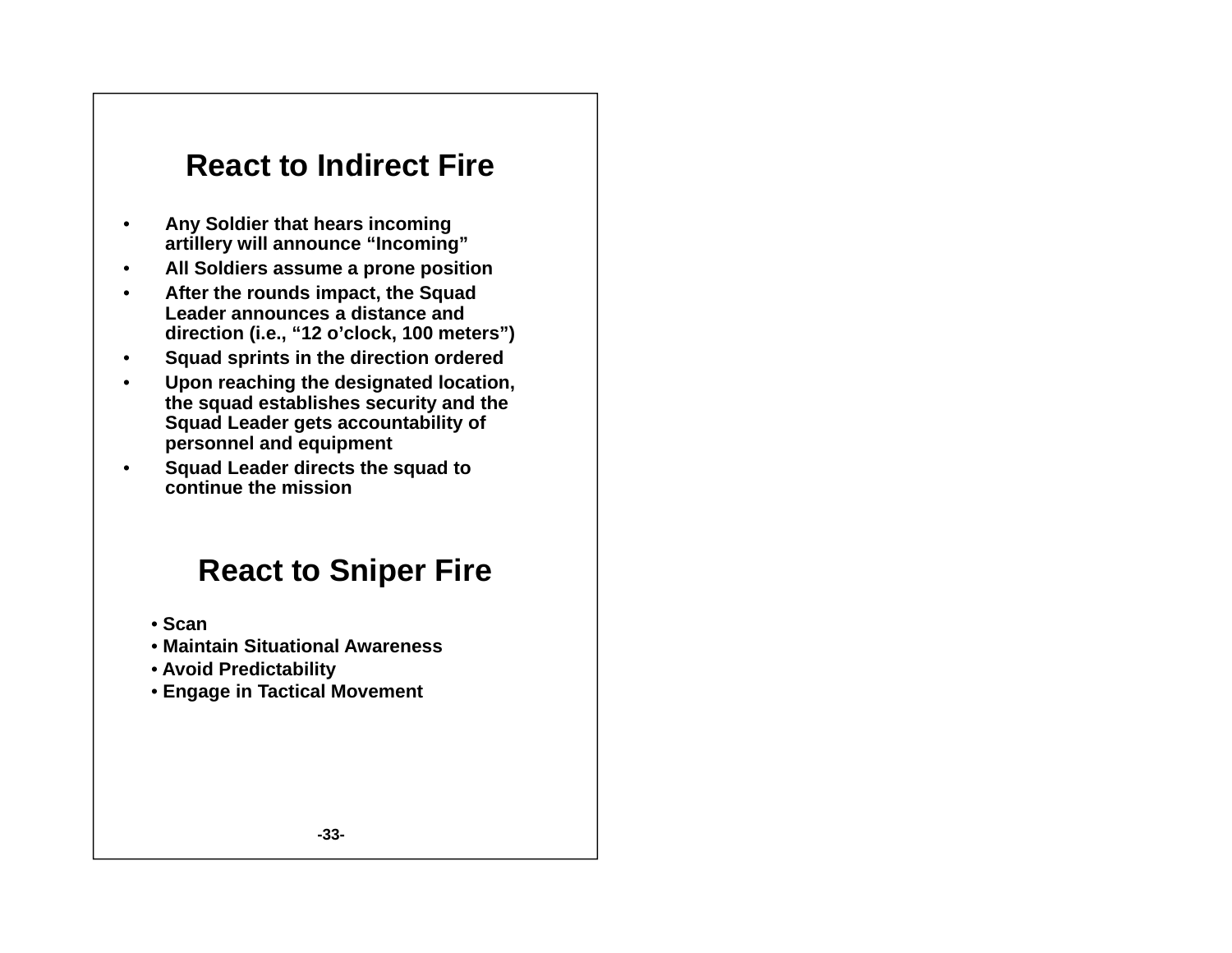### **React to d ect e to Indirect Fire**

- • **Any Soldier that hears incoming artillery will announce "Incoming"**
- •**All Soldiers assume a prone position**
- • **After the rounds impact the Squad the impact, Leader announces a distance and direction (i.e., "12 o'clock, 100 meters")**
- •**Squad sprints in the direction ordered**
- • **Upon reaching the designated location, the squad establishes security and the Squad Leader gets accountability of personnel and equipment**
- • **Squad Leader directs the squad to continue the mission**

### **React to Sniper Fire**

- **Scan**
- **Maintain Situational Awareness**
- **Avoid Predictability**
- **Engage in Tactical Movement**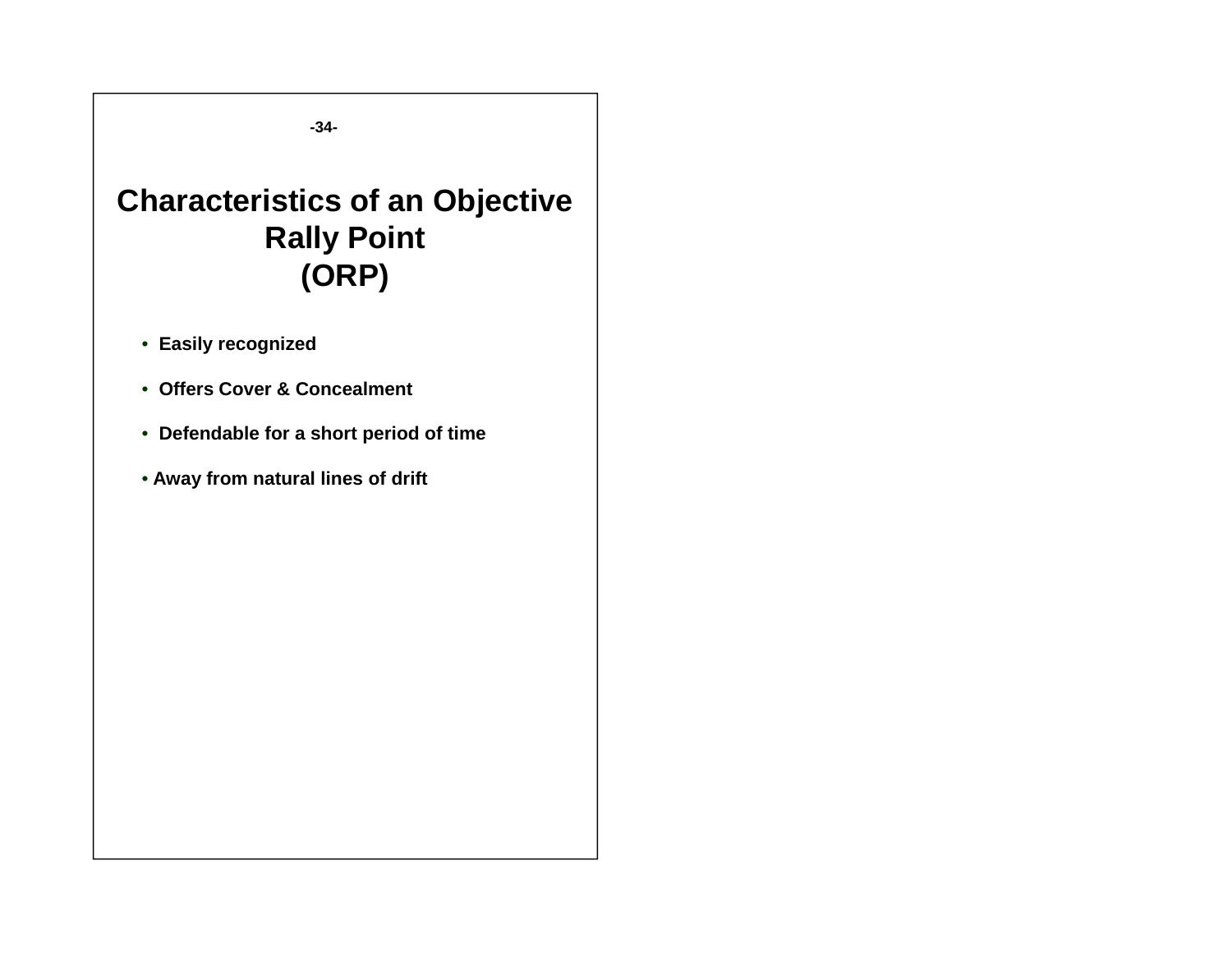**-34-**

## **Characteristics of an Objective Rally Point (ORP)**

- **Easily recognized**
- **Offers Cover & Concealment**
- **Defendable for a short period of time**
- **Away from natural lines of drift**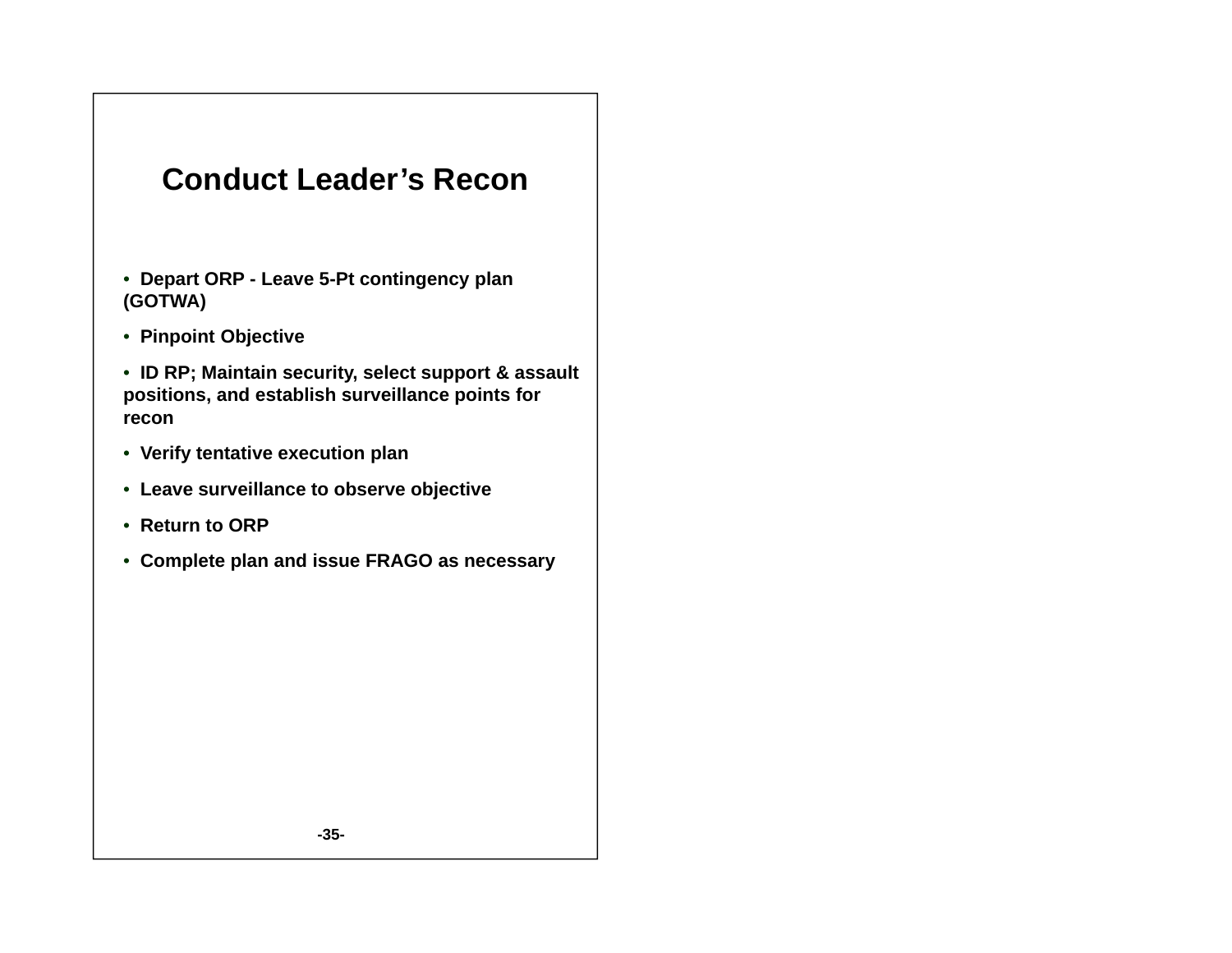### **Conduct Leader's Recon**

- **Depart ORP - Leave 5-Pt contingency plan (GOTWA)**
- **Pinpoint Objective**

• **ID RP; Maintain security, select support & assault positions, and establish surveillance points for recon**

- **Verify tentative execution plan**
- **Leave surveillance to observe objective**
- **Return to ORP**
- **Complete plan and issue FRAGO as necessary**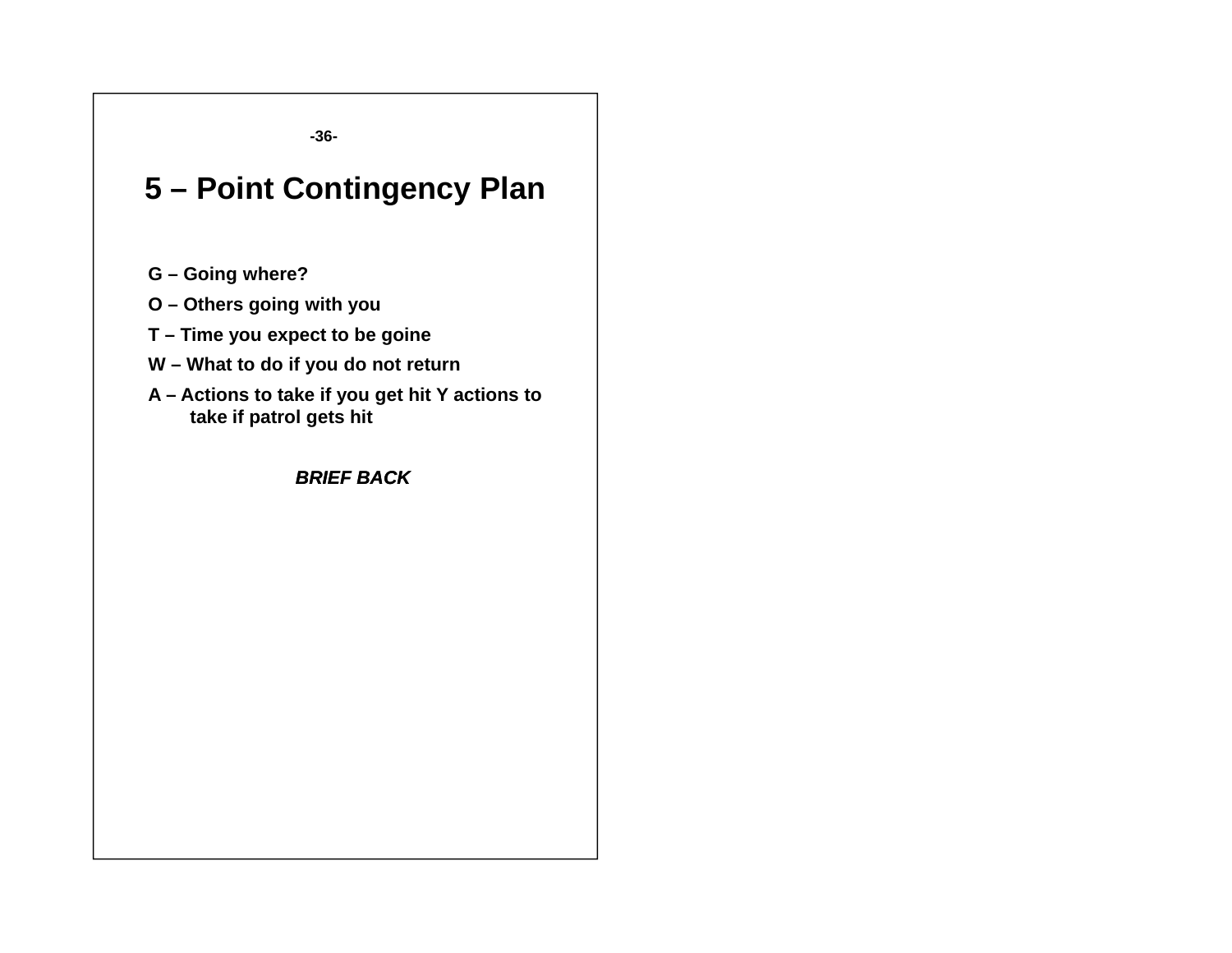**-36-**

## **5 – Point Contingency Plan**

- **G – Going where?**
- **O – Others going with you**
- **T – Time you expect to be goine**
- **W – What to do if you do not return**
- **A – Actions to take if you get hit Y actions to take if patrol gets hit**

*BRIEF BACK*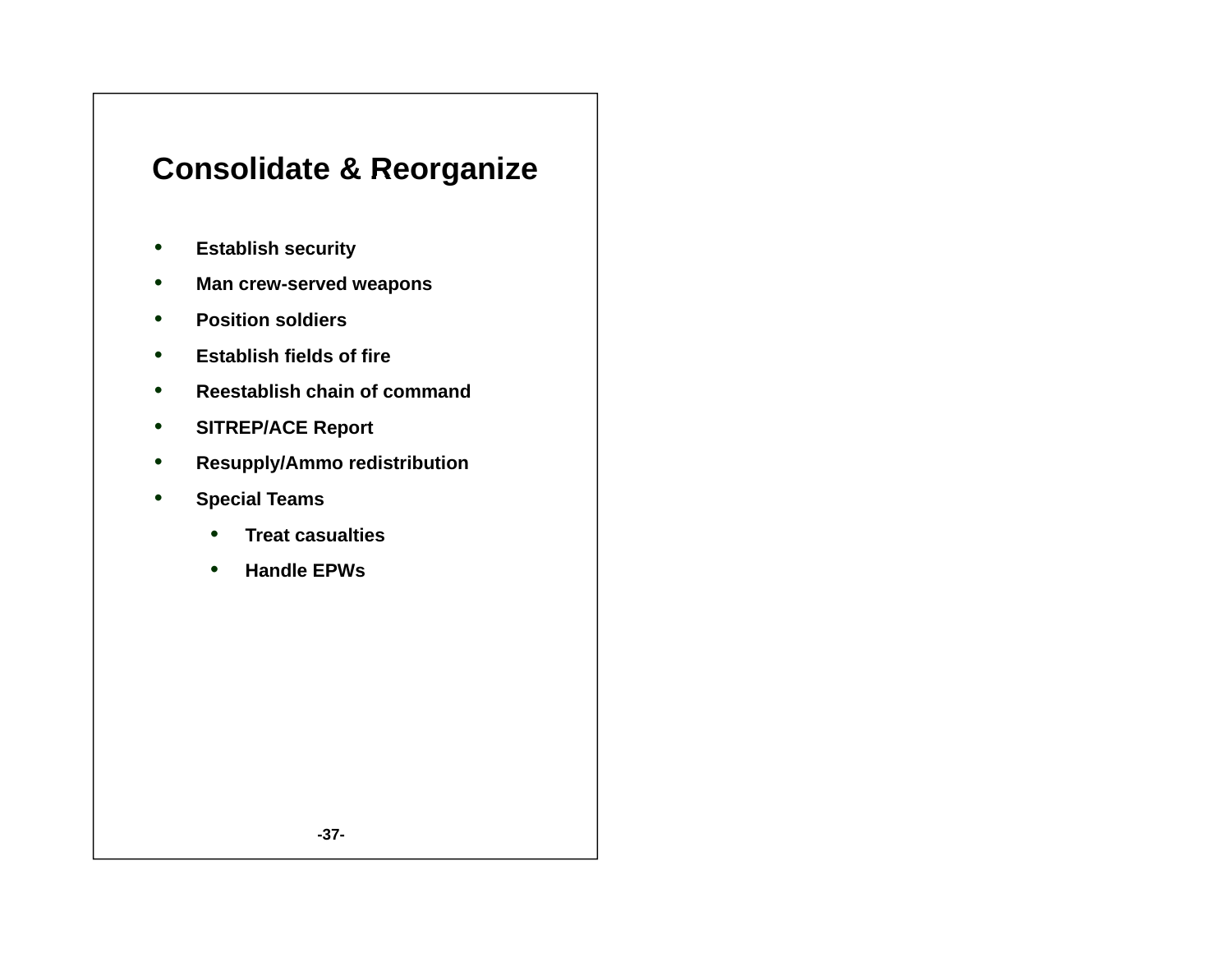## **Consolidate & Reorganize**

- •**Establish security**
- $\bullet$ **Man crew-served weapons**
- •**Position soldiers**
- •**Establish fields of fire**
- $\bullet$ **Reestablish chain of command**
- •**SITREP/ACE Report**
- $\bullet$ **Resupply/Ammo redistribution**
- $\bullet$  **Special Teams**
	- •**Treat casualties**
	- •**Handle EPWs**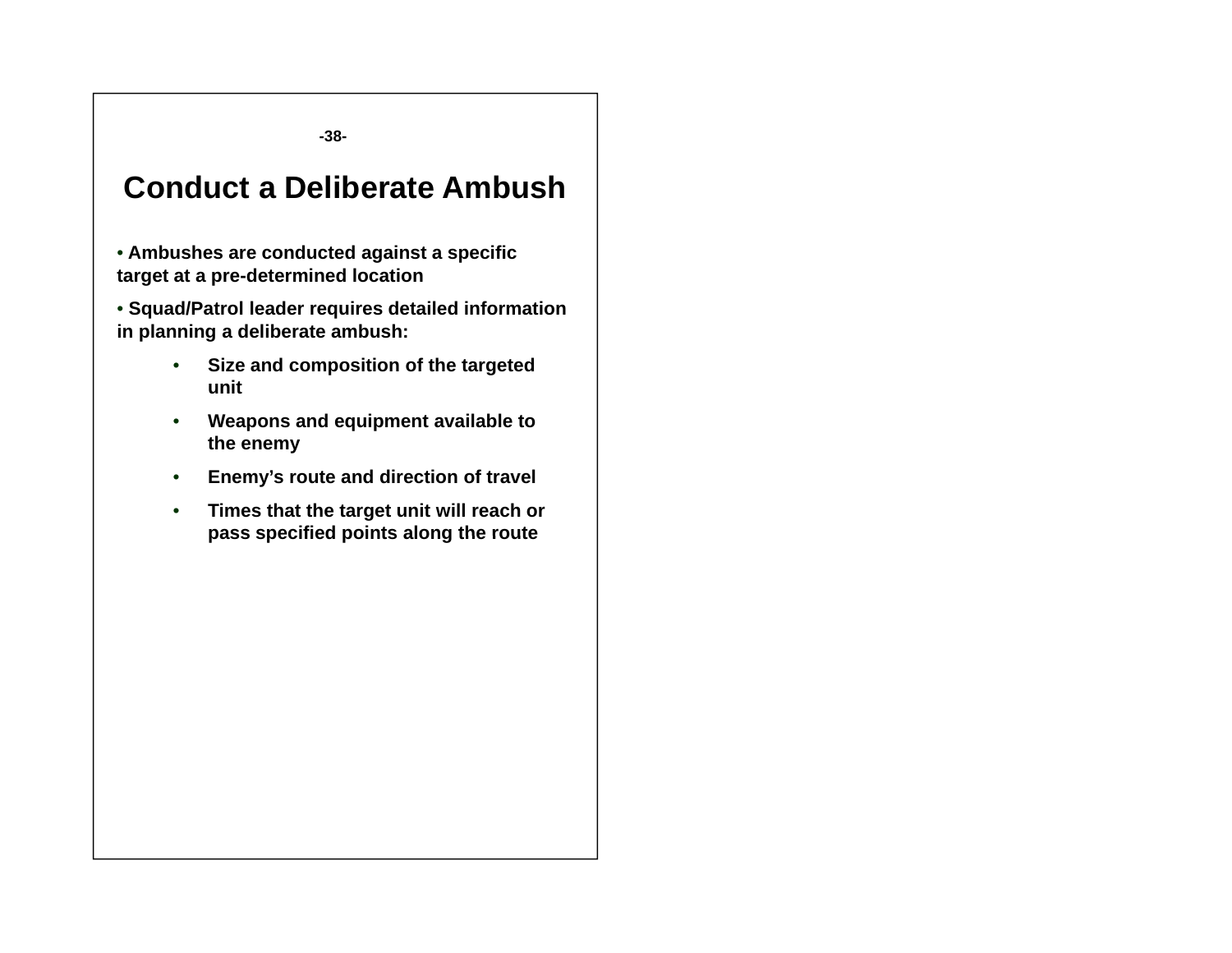**-38-**

### **Conduct a Deliberate Ambush**

• **Ambushes are conducted against a specific target at a pre-determined location**

• **Squad/Patrol leader requires detailed information in planning a deliberate ambush:**

- • **Size and composition of the targeted unit**
- • **W d i t il bl t Weapons and equipment available to the enemy**
- •**Enemy's route and direction of travel**
- • **Times that the target unit will reach or pass specified points along the route**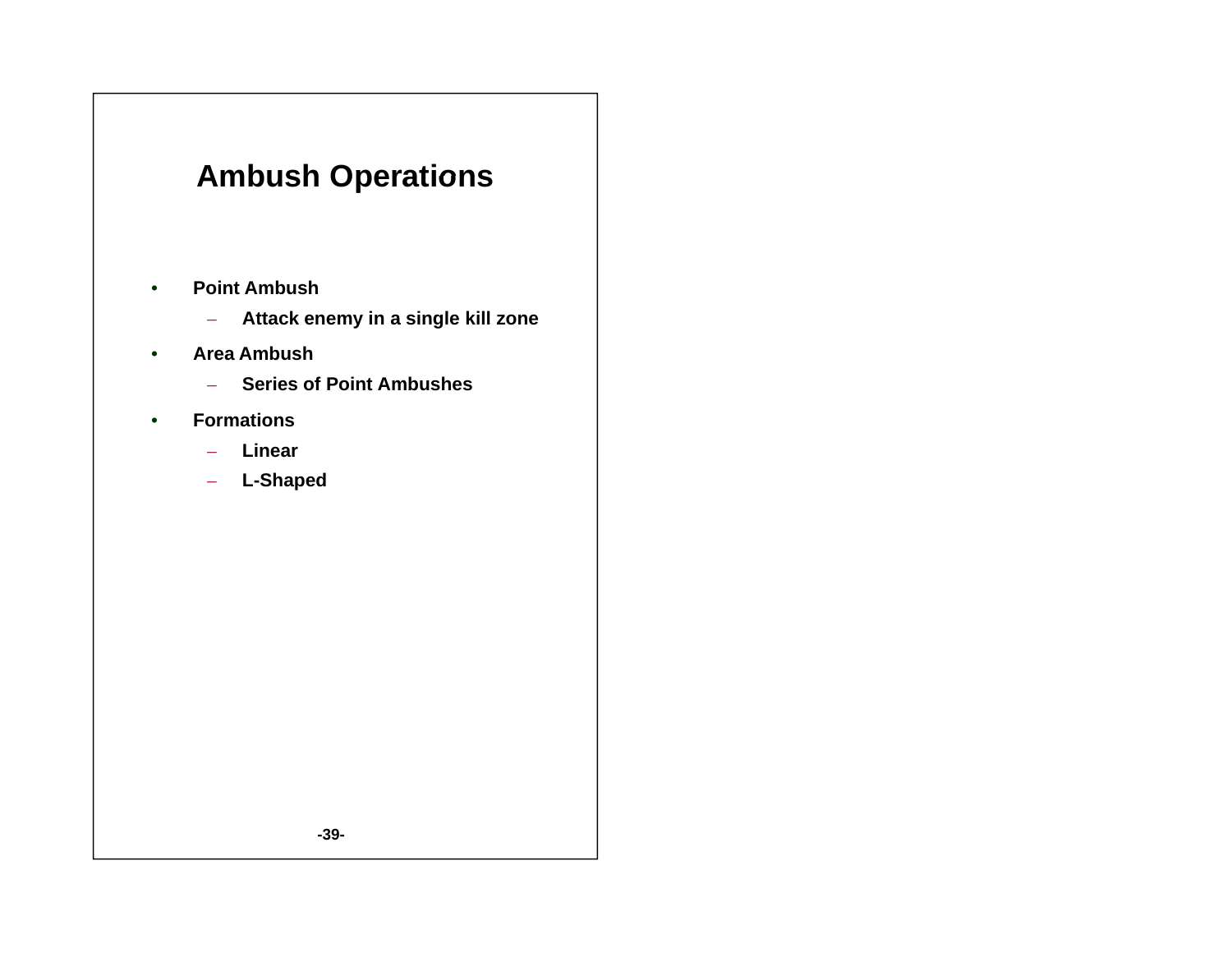## **Ambush Operations**

- • **Point Ambush**
	- $\rightarrow$ **Attack enemy in a single kill zone**
- $\bullet$  **Area Ambush**
	- $\equiv$ **Series of Point Ambushes**
- • **F ti orma ons**
	- **Linear**
	- **L-Shaped**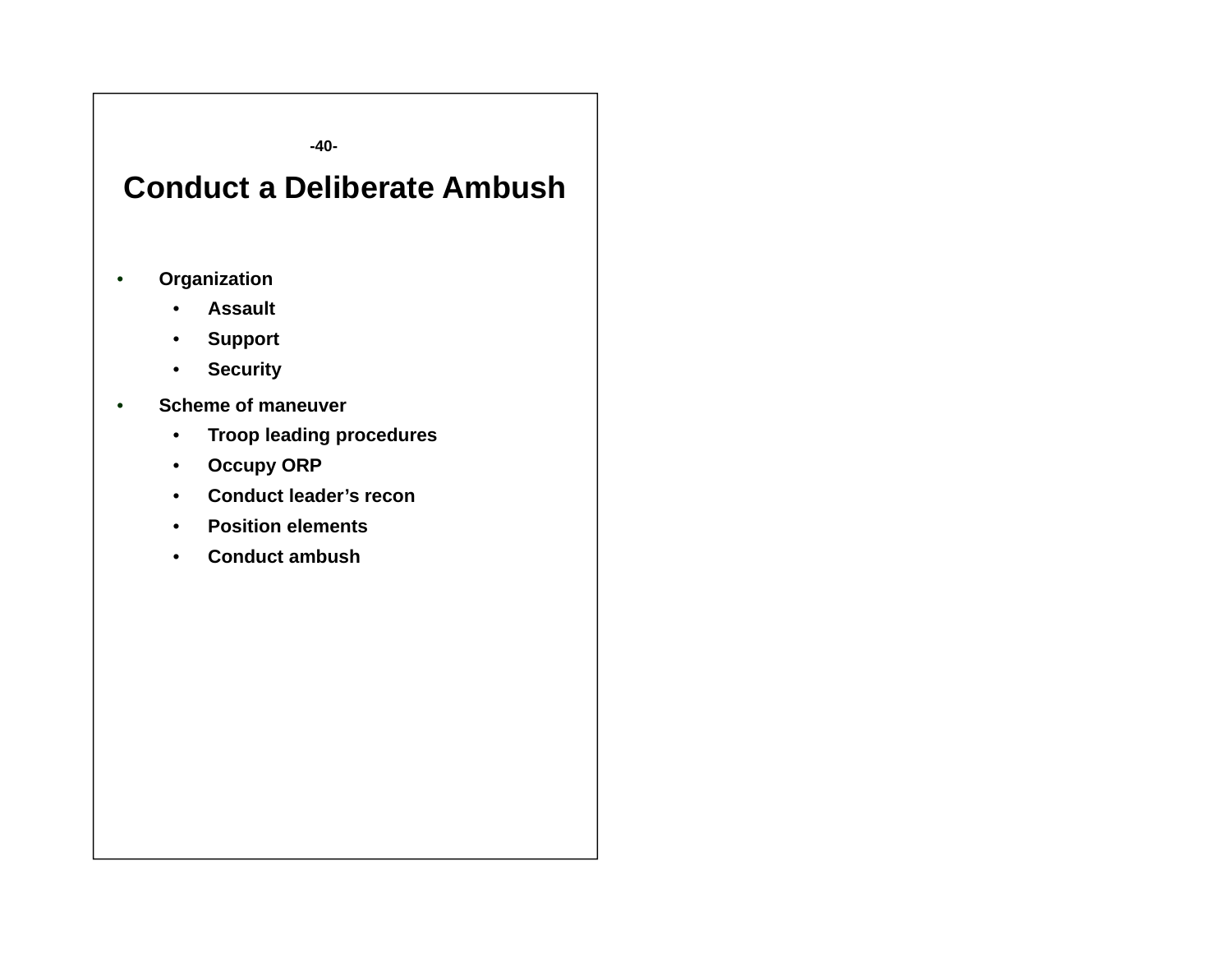**-40-**

## **Conduct a Deliberate Ambush**

- • **Organization**
	- •**Assault**
	- •**Support**
	- $\bullet$ **Security**
- • **Scheme of maneuver**
	- •**Troop leading procedures**
	- $\bullet$ **Occupy ORP**
	- $\bullet$ **Conduct leader's recon**
	- •**Position elements**
	- •**Conduct ambush**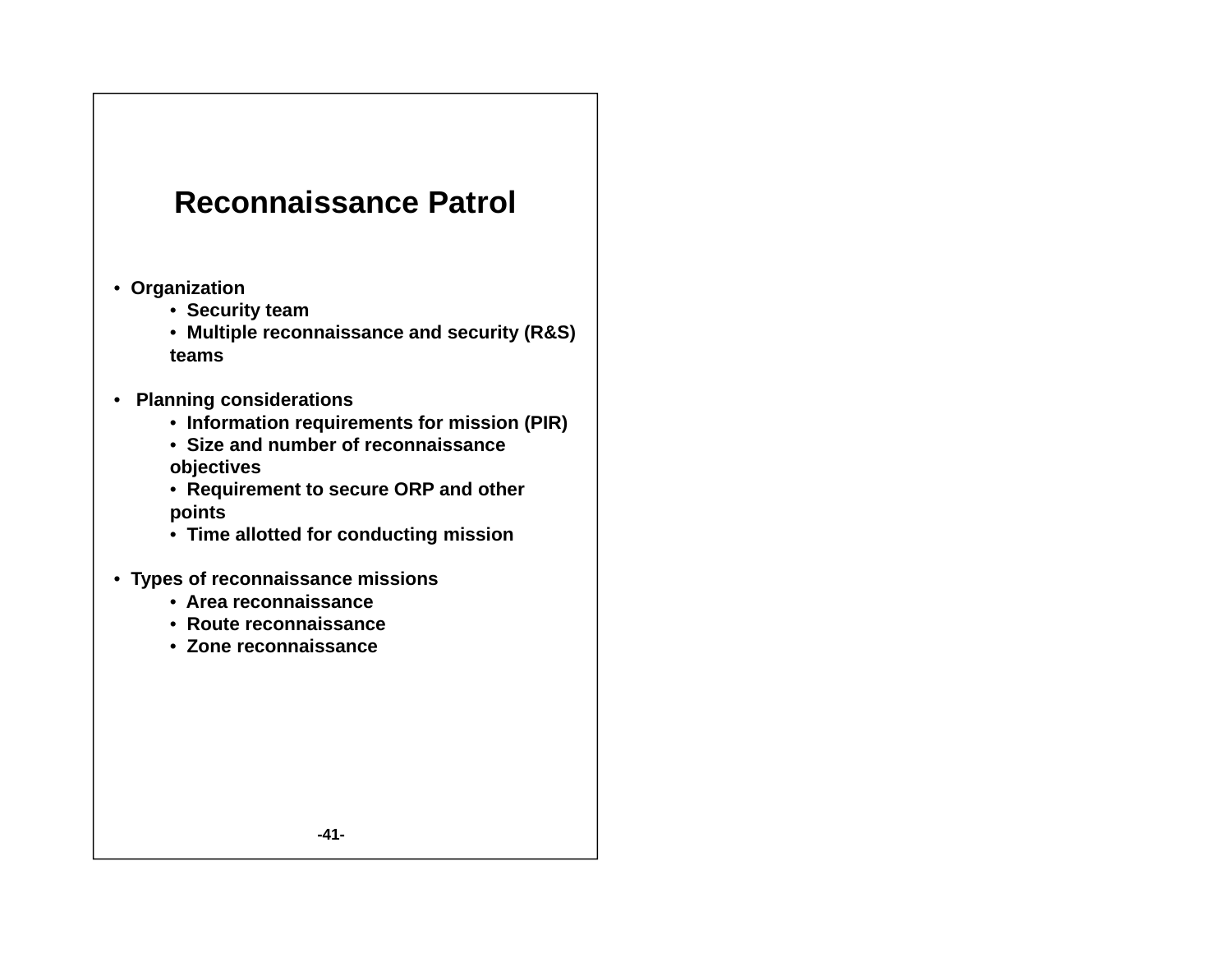### **Reconnaissance Patrol**

- **Or ganization**
	- **Security team**
	- **Multiple reconnaissance and security (R&S) teams**
- **Planning considerations**
	- **I f ti i t f i i (PIR) Information requirements for mission**
	- **Size and number of reconnaissance objectives**
	- **Requirement to secure ORP and other points**
	- **Time allotted for conducting mission**
- **Types of reconnaissance missions**
	- **Area reconnaissance**
	- **Route reconnaissance**
	- **Zone reconnaissance**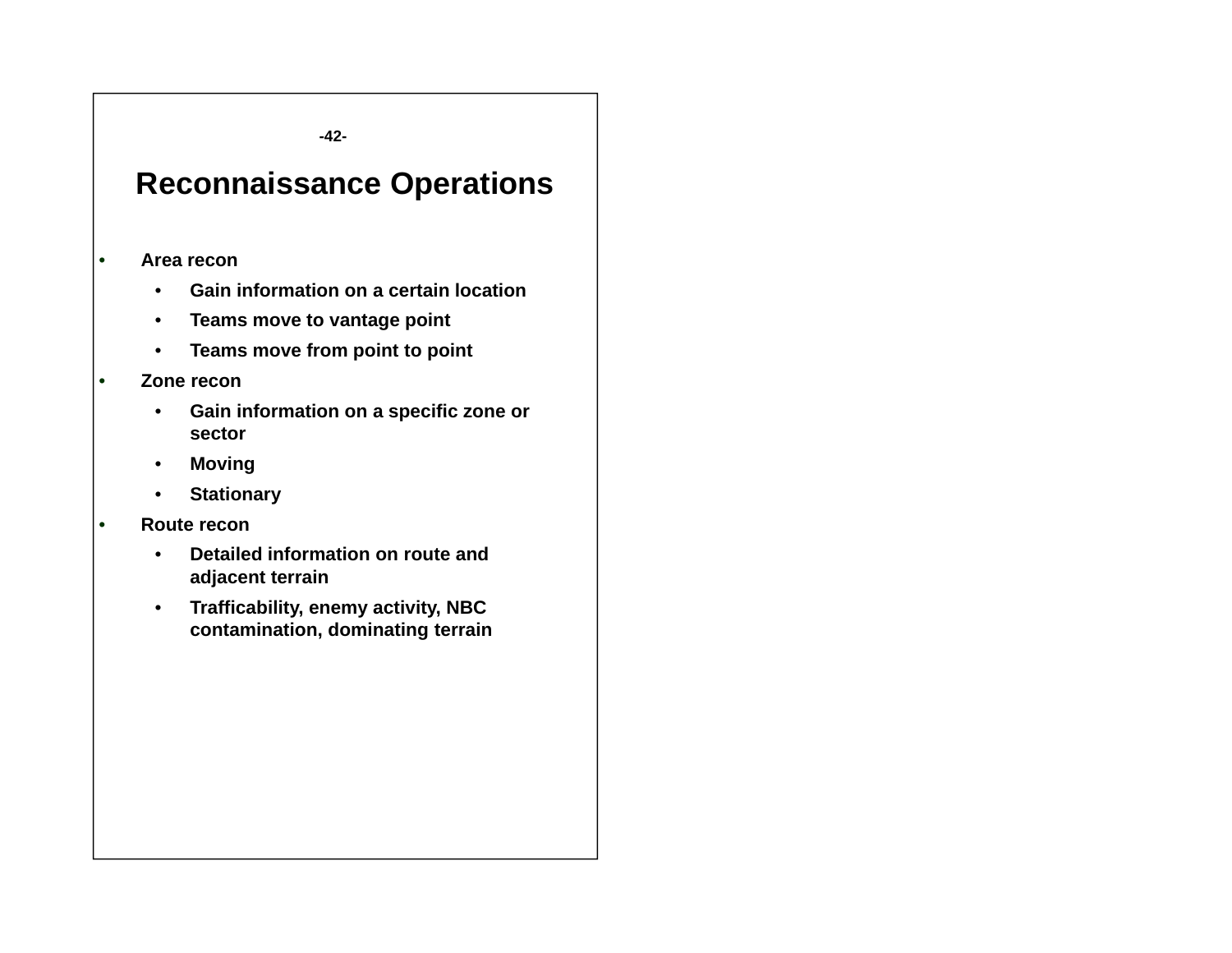**-42-**

### **R i O ti Reconnaissance Operations**

- • **Area recon**
	- •**Gain information on a certain location**
	- •**Teams move to vantage point**
	- $\bullet$ **Teams move from point to point**
- • **Zone recon**
	- • **Gain information on <sup>a</sup> specific zone or on sector**
	- $\bullet$ **Moving**
	- $\bullet$ **Stationary**
- • **Route recon**
	- • **Detailed information on route and adjacent terrain**
	- $\bullet$  **Trafficability, enemy activity, NBC contamination, dominating terrain**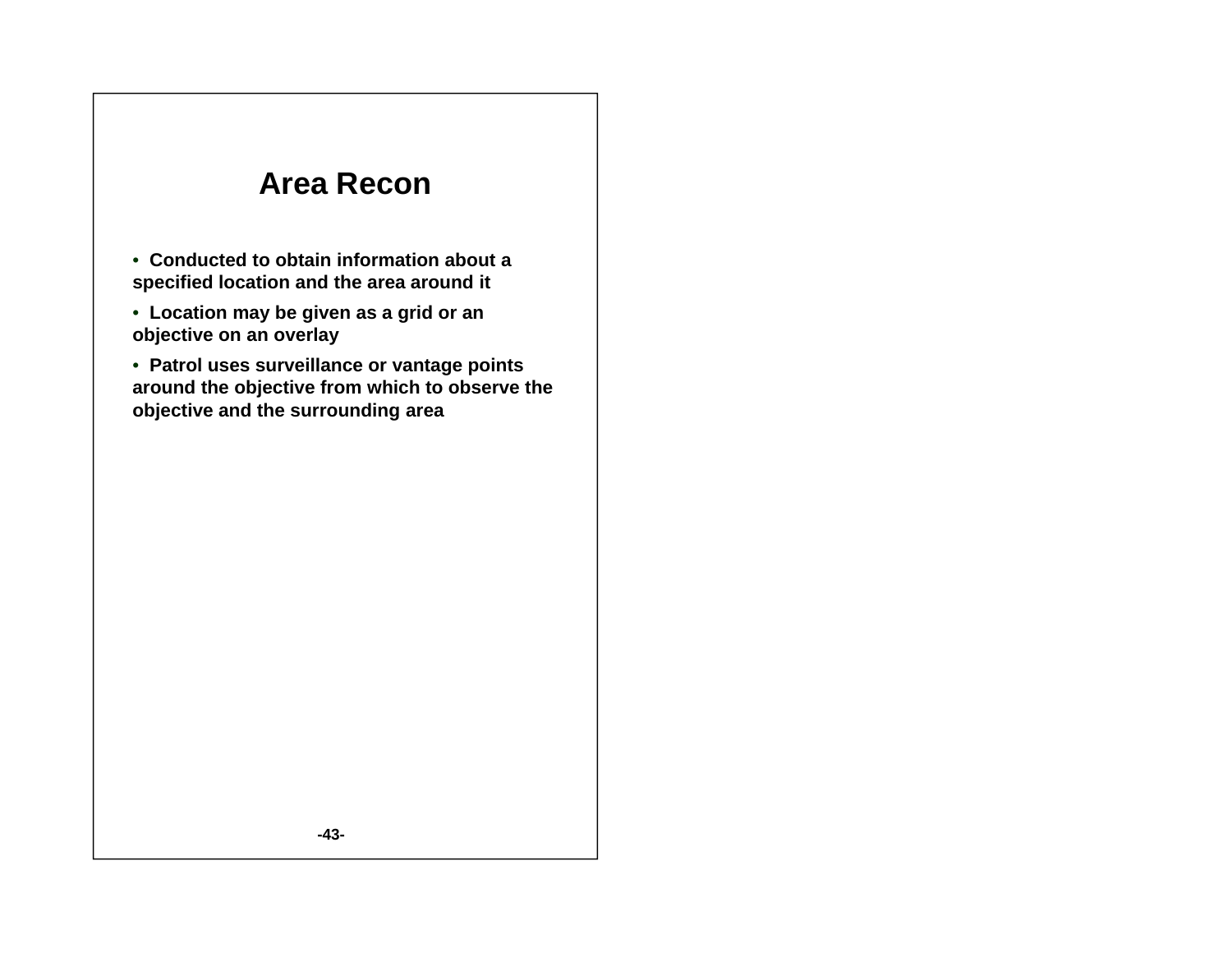### **A R Area Recon**

- **Conducted to obtain information about a specified location and the area around it**
- **Location may be given as a grid or an objective on an overlay**

• **Patrol uses surveillance or vantage points around the objective from which to observe the objective and the surrounding area**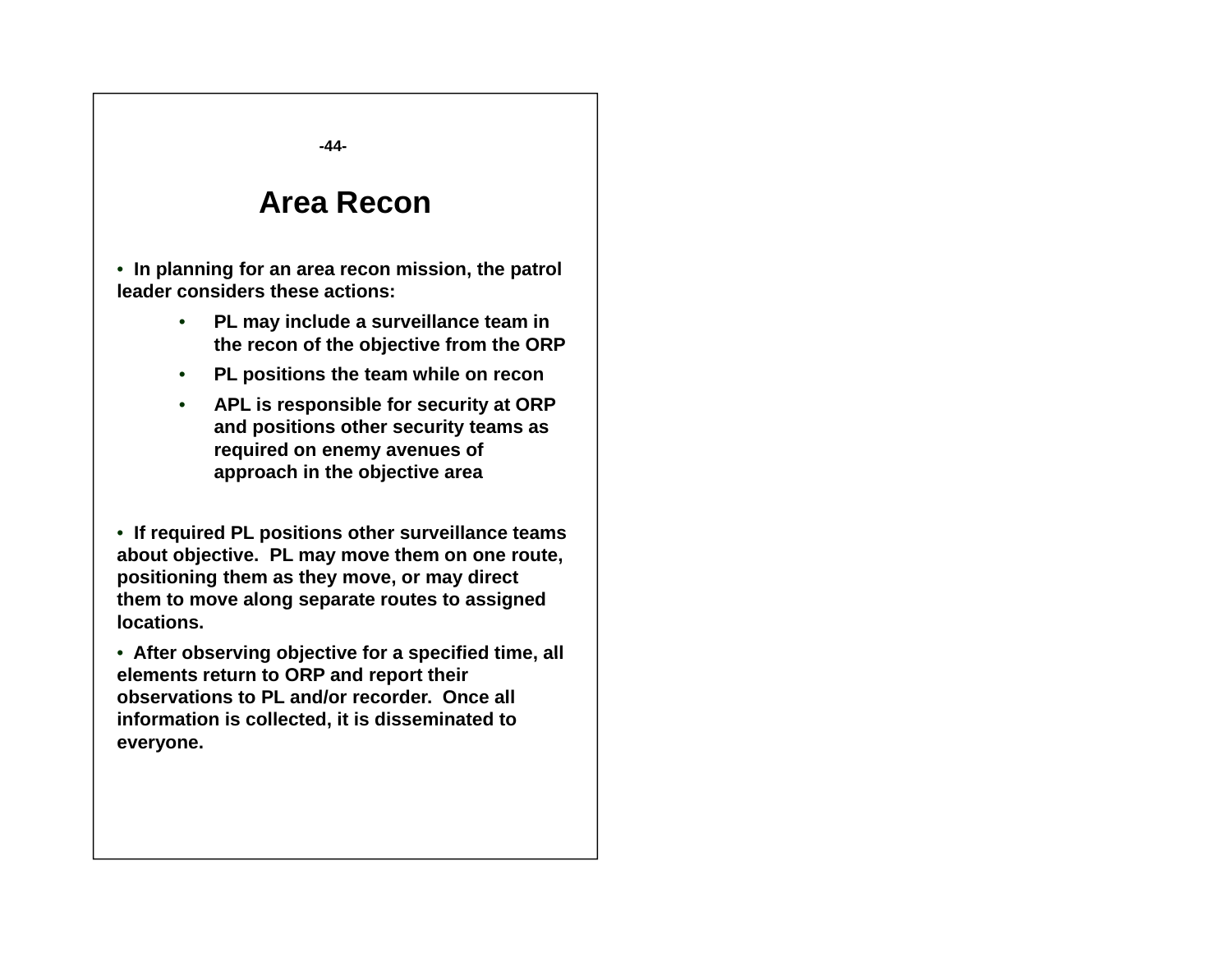**-44-**

### **Area Recon**

• **In planning for an area recon mission, the patrol leader considers these actions:**. . . . . . . . . . . . . . .

- • **PL may include a surveillance team in the recon of the objective from the ORP**
- **PL positions the team while on recon**
- **APL is responsible for security at ORP and positions other security teams as required on enemy avenues of approach in the objective area**

• **If required PL positions other surveillance teams about objective. PL may move them on one route, positioning them as they move, or may direct them to move along separate routes to assigned locations.**

• **After observing objective for <sup>a</sup> specified time all time, elements return to ORP and report their observations to PL and/or recorder. Once all information is collected, it is disseminated to everyone.**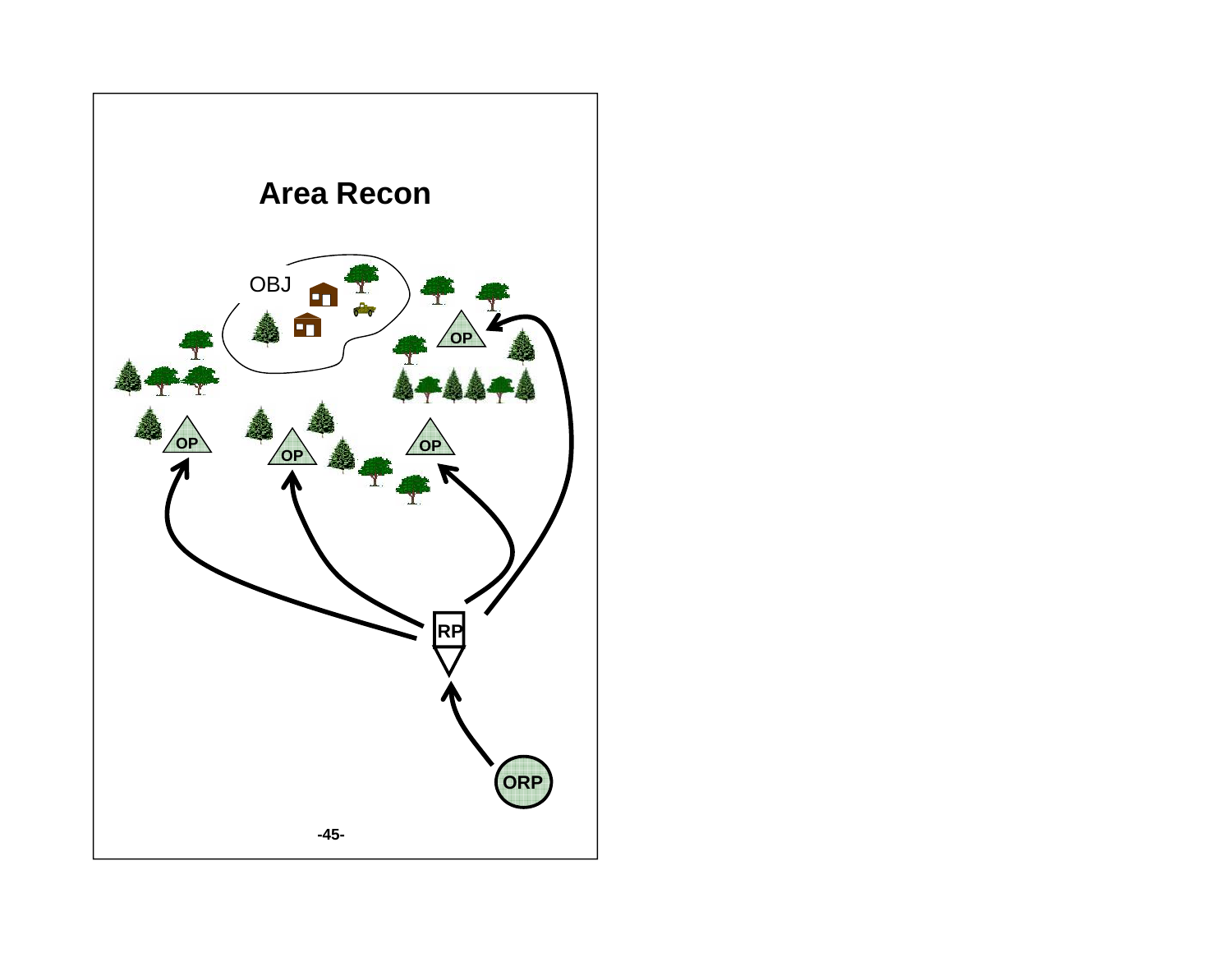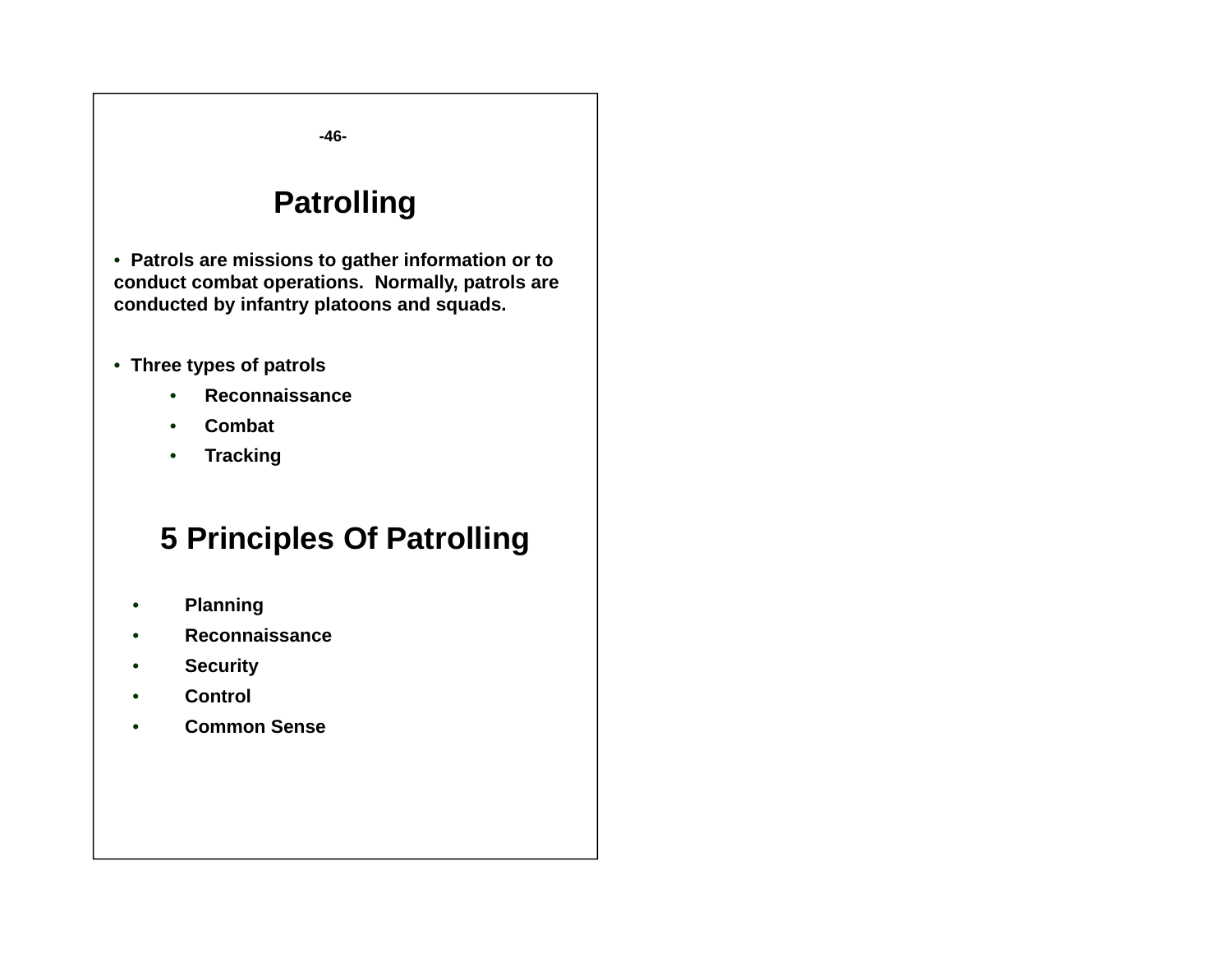**-46-**

## **Patrolling**

• **Patrols are missions to gather information or to conduct combat operations. Normally, patrols are conducted by infantry platoons and squads.** 

- **Three types of patrols**
	- •**Reconnaissance**
	- •**Combat**
	- $\bullet$ **Tracking**

## **5 Principles Of Patrolling**

- •**Planning**
- •**Reconnaissance**
- •**Security**
- •**Control**
- •**Common Sense**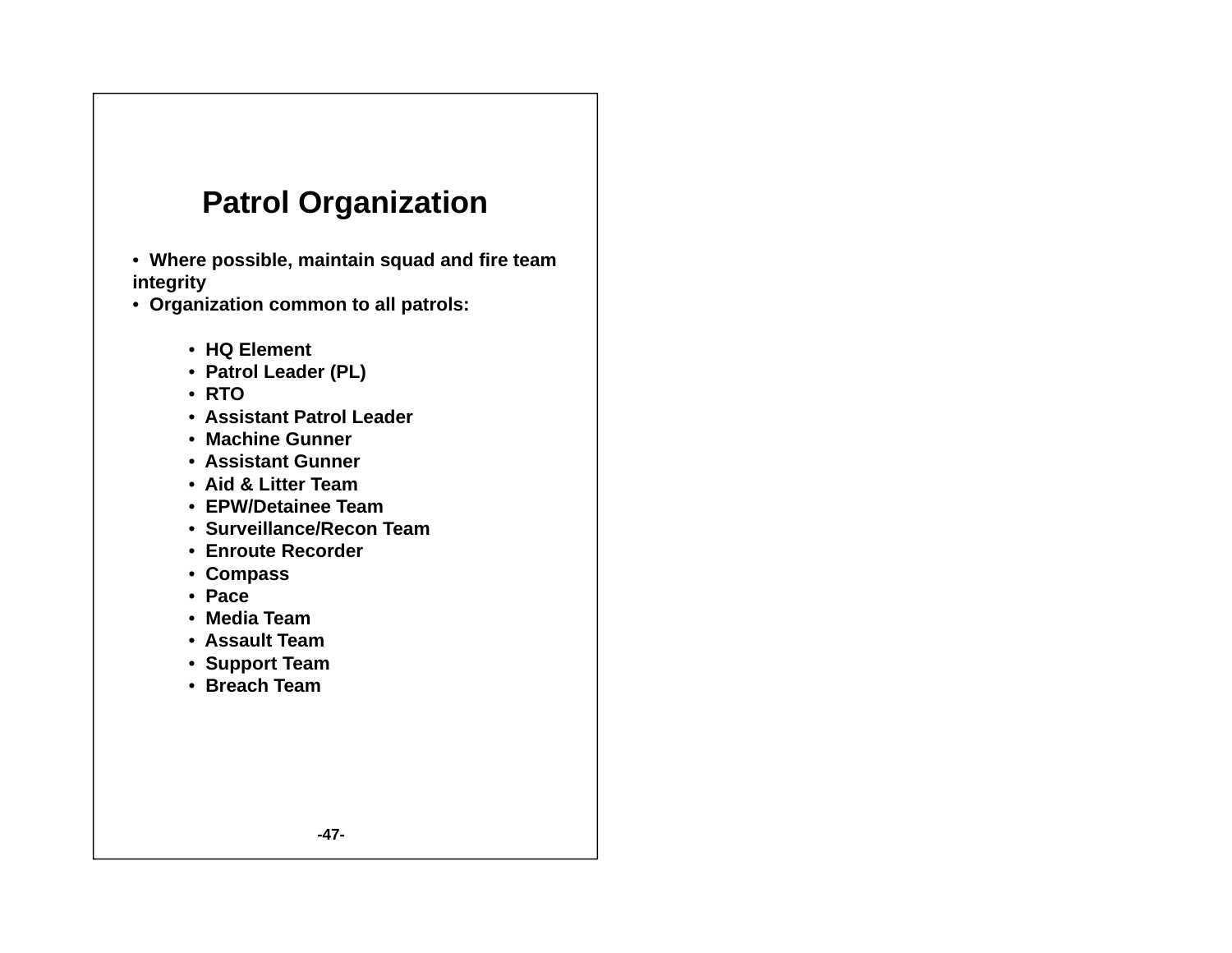## **Patrol Organization**

- **Where possible, maintain squad and fire team integrity**
- **Organization common to all patrols:**
	- **HQ Element**
	- **Patrol Leader (PL)**
	- **RTO**
	- **Assistant Patrol Leader**
	- **Machine Gunner**
	- **Assistant Gunner**
	- **Aid & Litter Team**
	- **EPW/Detainee Team**
	- **Surveillance/Recon Team**
	- **Enroute Recorder**
	- **Compass**
	- **Pace**
	- **Media Team**
	- **Assault Team**
	- **Support Team**
	- **Breach Team**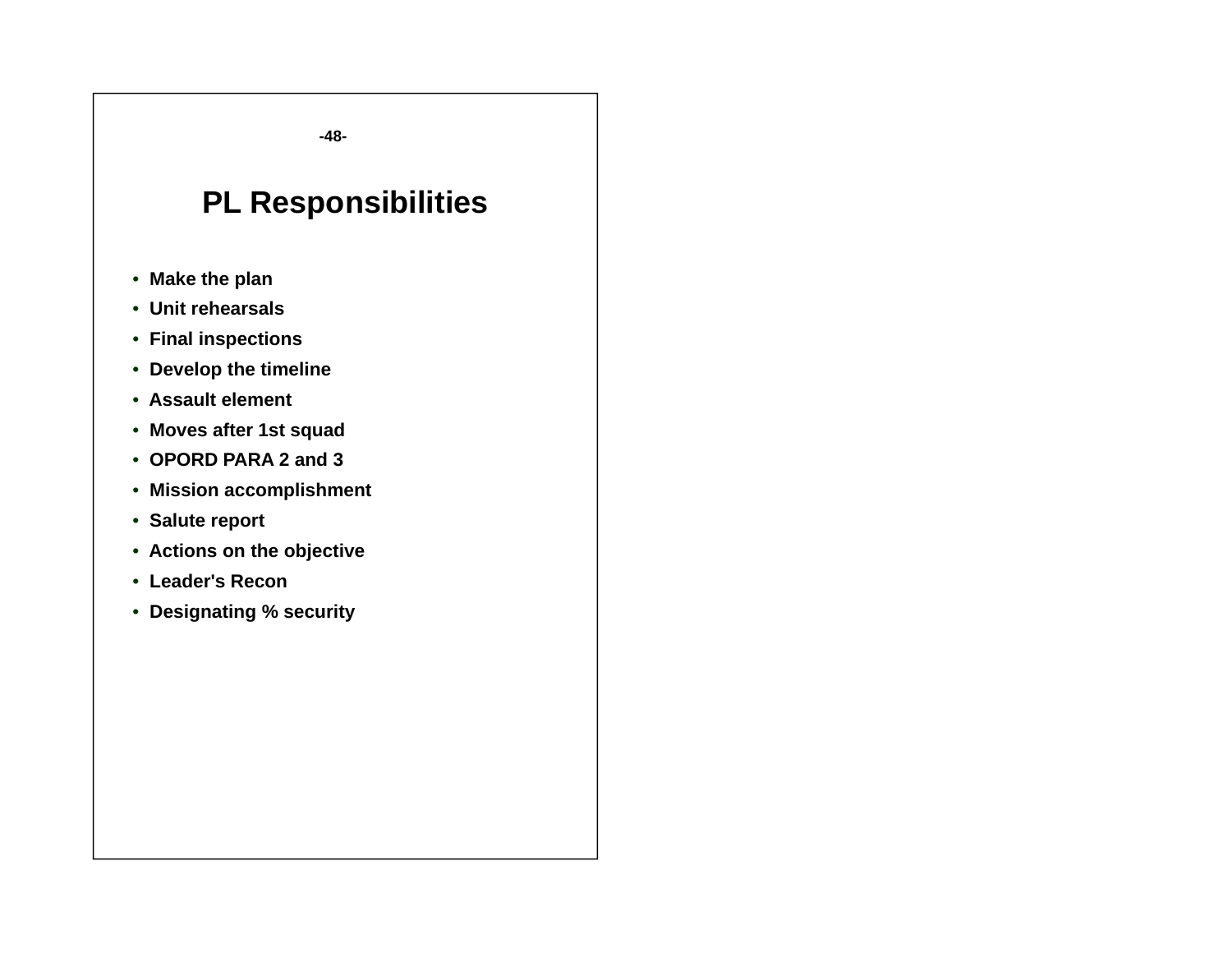**-48-**

## **PL Responsibilities**

- **Make the plan**
- **Unit rehearsals**
- **Final inspections**
- **Develop the timeline**
- **Assault element**
- **Moves after 1st squad**
- **OPORD PARA 2 and 3**
- **Mission accomplishment**
- **Salute report**
- **Actions on the objective**
- **Leader's Recon**
- **Designating % security**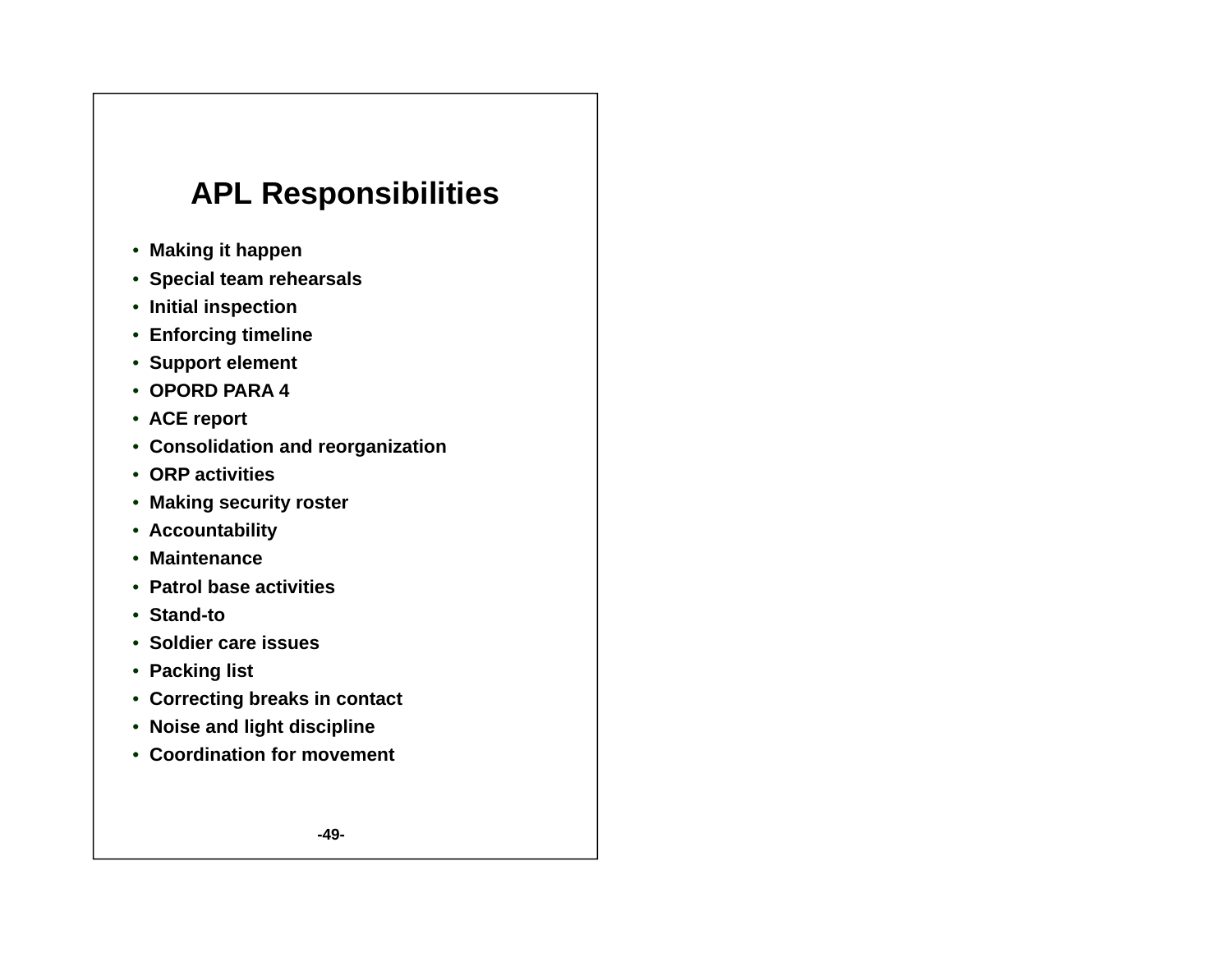## **APL Responsibilities**

- **Making it happen**
- **Special team rehearsals**
- **Initial inspection**
- **Enforcing timeline**
- **Support element**
- **OPORD PARA 4**
- **ACE report**
- **Consolidation and reorganization**
- **ORP activities**
- **Making security roster**
- **Accountability**
- **Maintenance**
- **Patrol base activities**
- **Stand-to**
- **Soldier care issues**
- **Packing list**
- **Correcting breaks in contact**
- **Noise and light discipline**
- **Coordination for movement**

**-49-**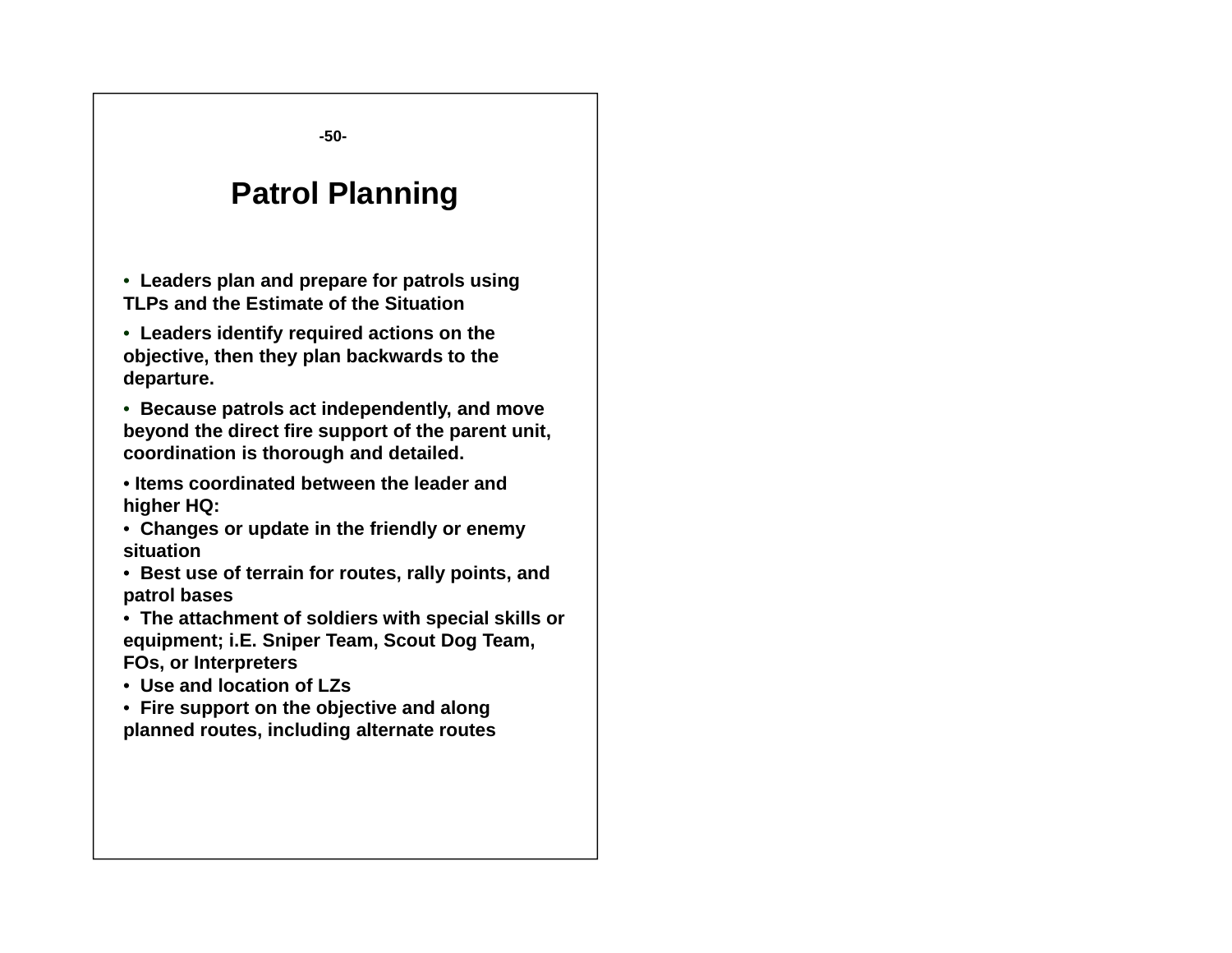**-50-**

## **Patrol Planning**

• **Leaders plan and prepare for patrols using TLPs and the Estimate of the Situation**

• **Leaders identify required actions on the objective, then they plan backwards to the departure.** 

• **Because p p y, atrols act independently, and move beyond the direct fire support of the parent unit, coordination is thorough and detailed.**

• **Items coordinated between the leader and higher HQ:**

• **Changp y y es or update in the friendly or enemy situation**

• **Best use of terrain for routes, rally points, and patrol bases**

• **The attachment of soldiers with special skills or equipment; i.E. Sniper Team, Scout Dog Team, FOs, or Interpreters**

• **Use and location of LZs**

• **Fire support on the objective and along planned routes, including alternate routes**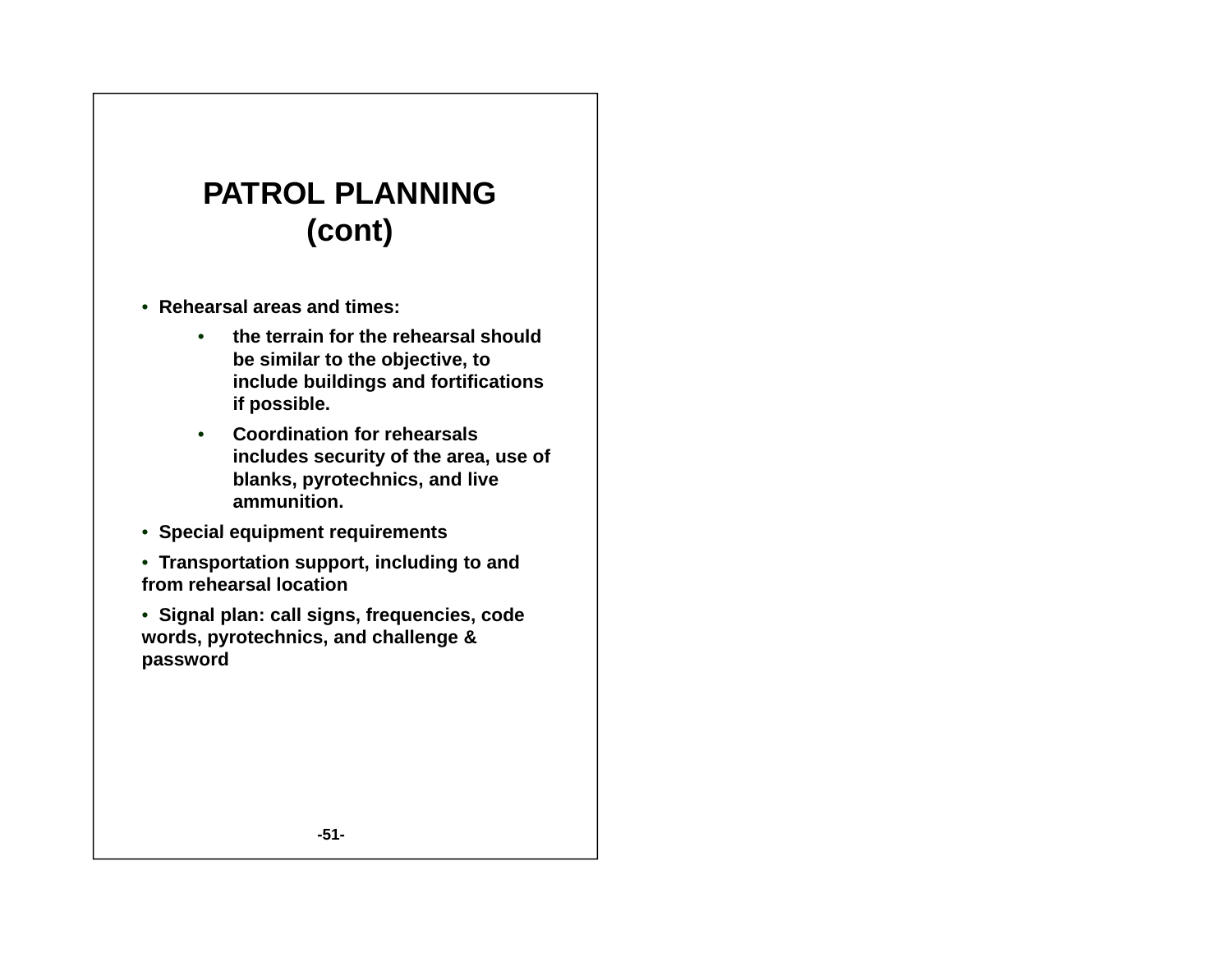# **PATROL PLANNING(cont)**

- **Rehearsal areas and times:** 
	- **the terrain for the rehearsal should be similar to the objective, to include buildings and fortifications if possible.**
	- **Coordination for rehearsals includes security of the area, use of blanks, pyrotechnics, and live ammunition.**
- **Special equipment requirements**
- **Transportation support, including to and from rehearsal location**
- **Signal plan: call signs, frequencies, code words, pyrotechnics, and challenge & passwor d**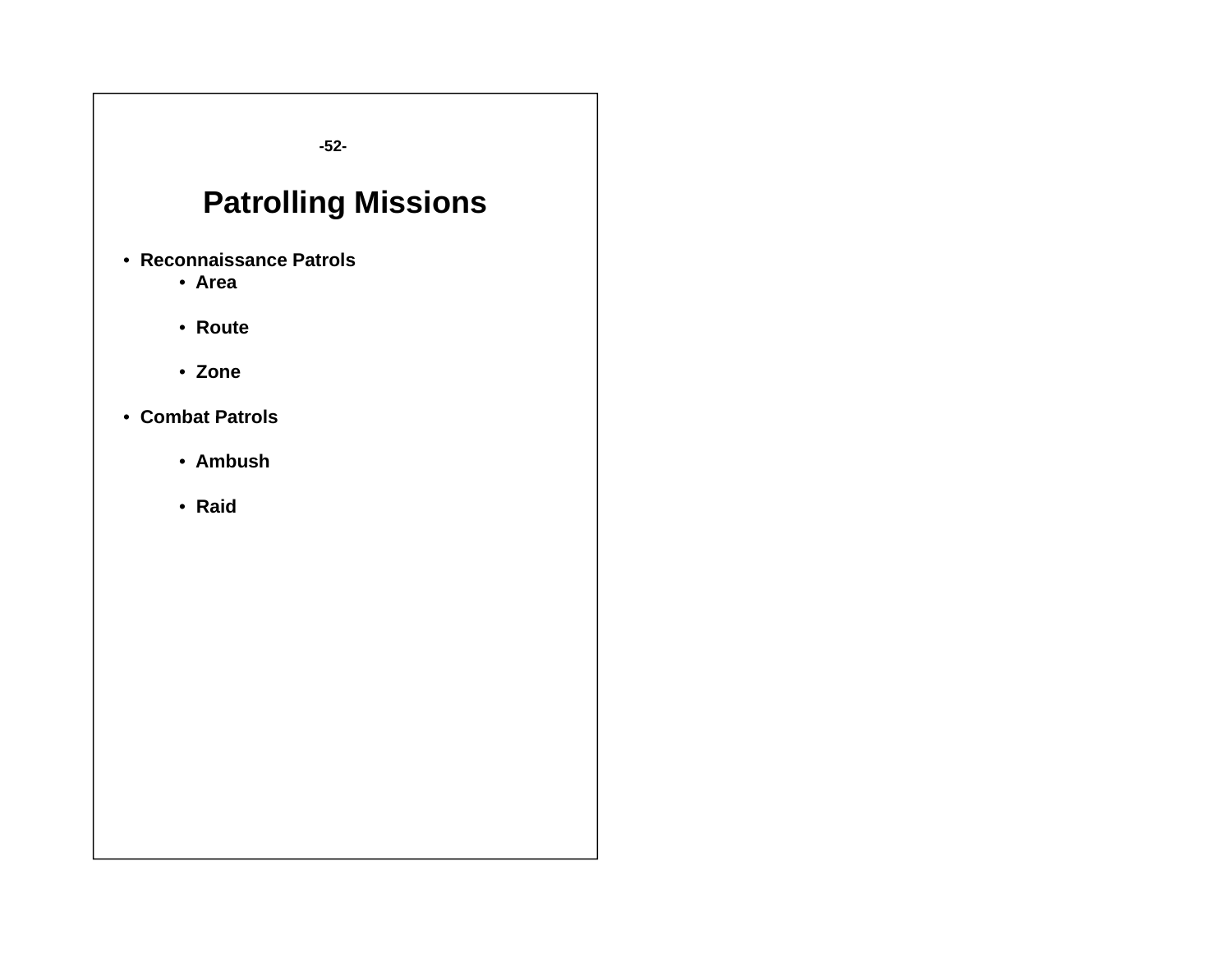**-52-**

# **Patrolling Missions**

- **Reconnaissance Patrols**
	- **Area**
	- **Route**
	- **Zone**
- **Combat Patrols**
	- **Ambush**
	- **Raid**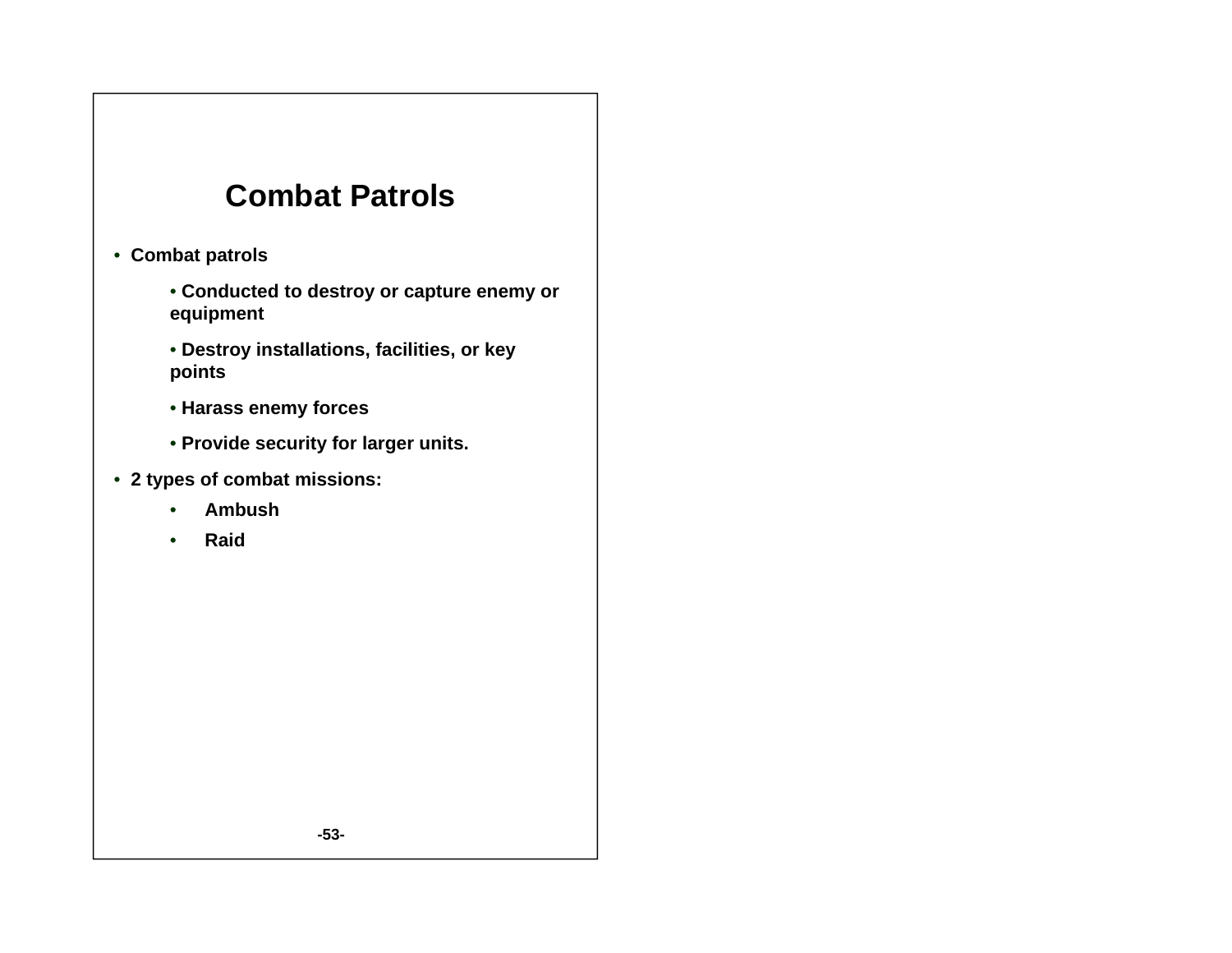## **Combat Patrols**

- **Combat patrols**
	- **Conducted to destroy or capture enemy or equipment**
	- **Destroy installations, facilities, or key points**
	- **Harass enem y forces**
	- **Provide security for larger units.**
- **2 types of combat missions:**
	- •**Ambush**
	- •**R id a**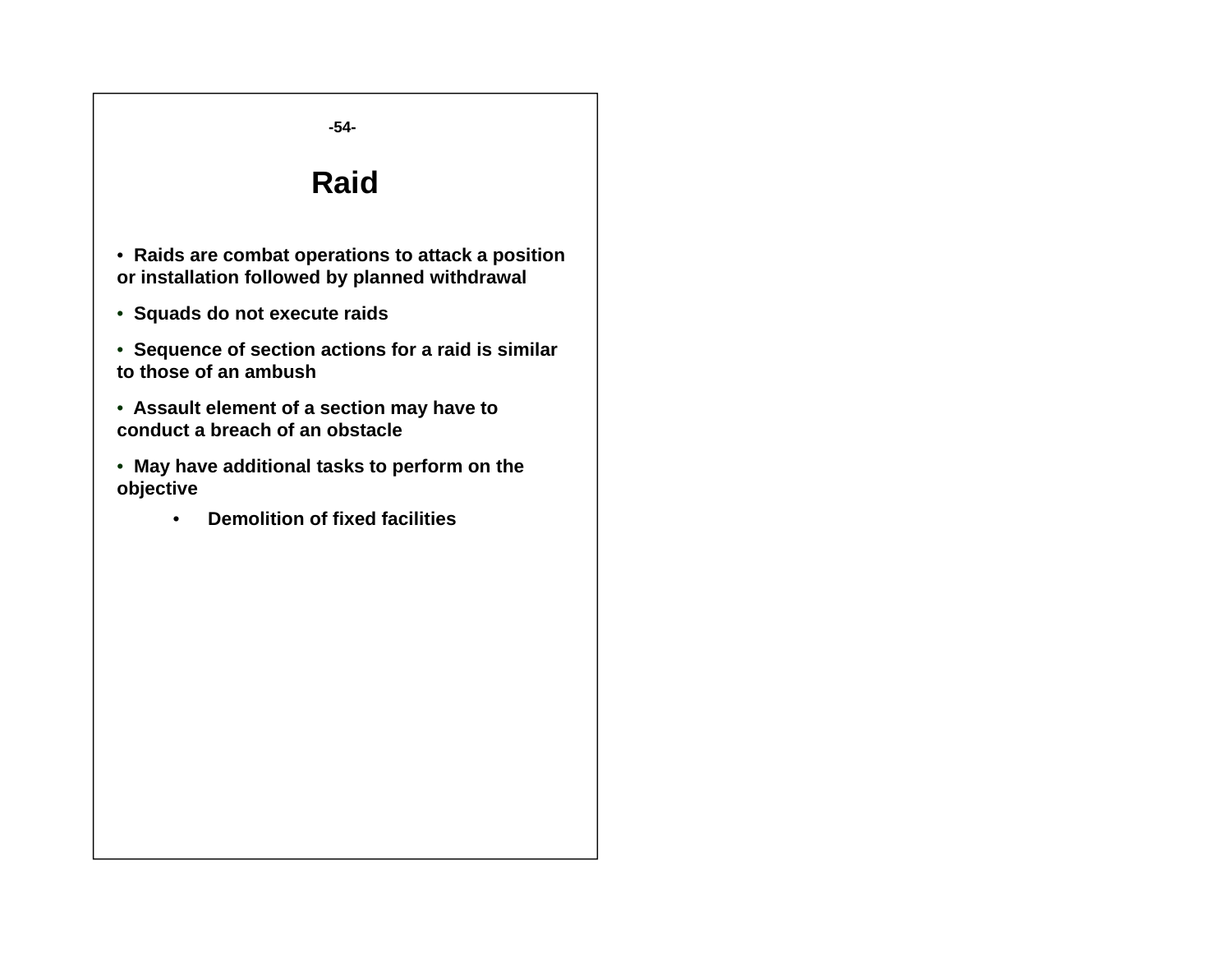#### **-54-**

#### **R id a**

• **Raids are combat operations to attack a position or installation followed by planned withdrawal**

• **Squads do not execute raids**

• **Sequence of section actions for a raid is similar to those of an ambush**

• **Assault element of a section may have to conduct a breach of an obstacle**

• **May have additional tasks to perform on the objective**

> •**Demolition of fixed facilities**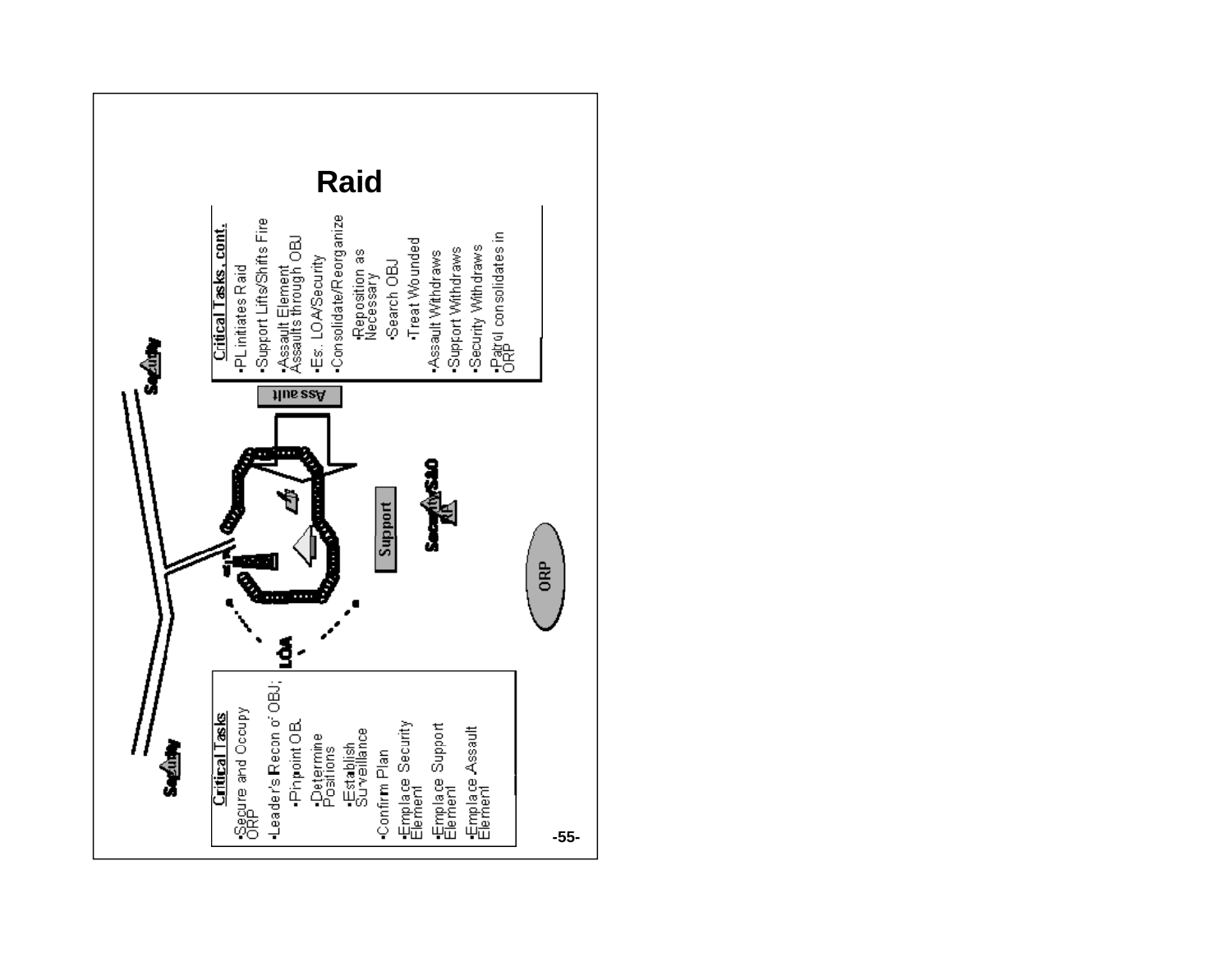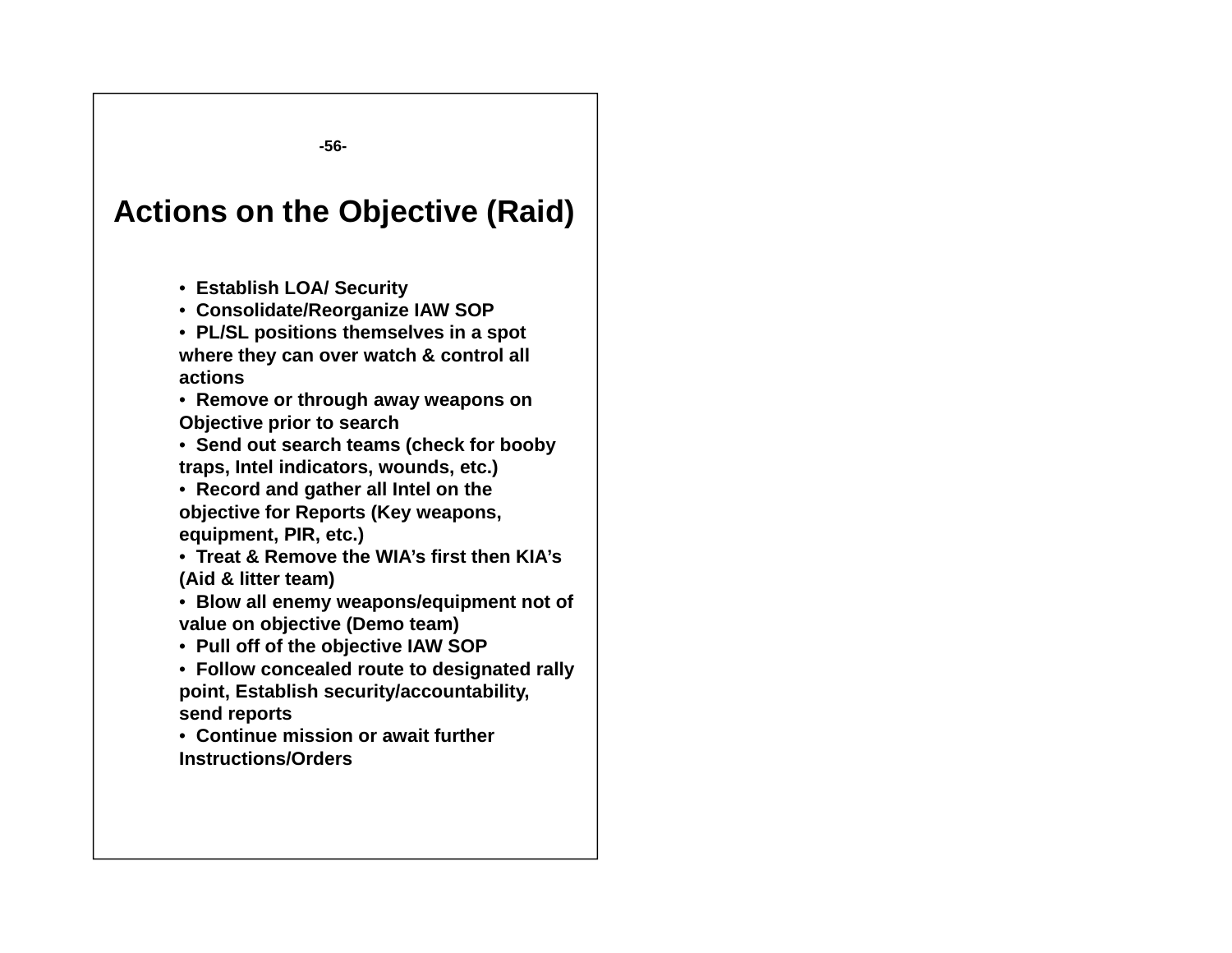**-56-**

### **Actions on the Objective (Raid)**

- **Establish LOA/ Security**
- **Consolidate/Reorganize IAW SOP**
- **PL/SL positions themselves in a spot where they can over watch & control all actions**
- **Remove or through away weapons on Obj ti i t h Objective prior to search**
- **Send out search teams (check for booby traps, Intel indicators, wounds, etc.)**
- **Record and gather all Intel on the objective for Reports (Key weapons, equipment PIR etc ) equipment, PIR, etc.)**
- **Treat & Remove the WIA's first then KIA's (Aid & litter team)**
- **Blow all enemy weapons/equipment not of value on objective (Demo team)**
- **Pull off of the objective IAW SOP**
- **Follow concealed route to designated rally point, Establish security/accountability, send reports**
- **Continue mission or await further Instructions/Orders**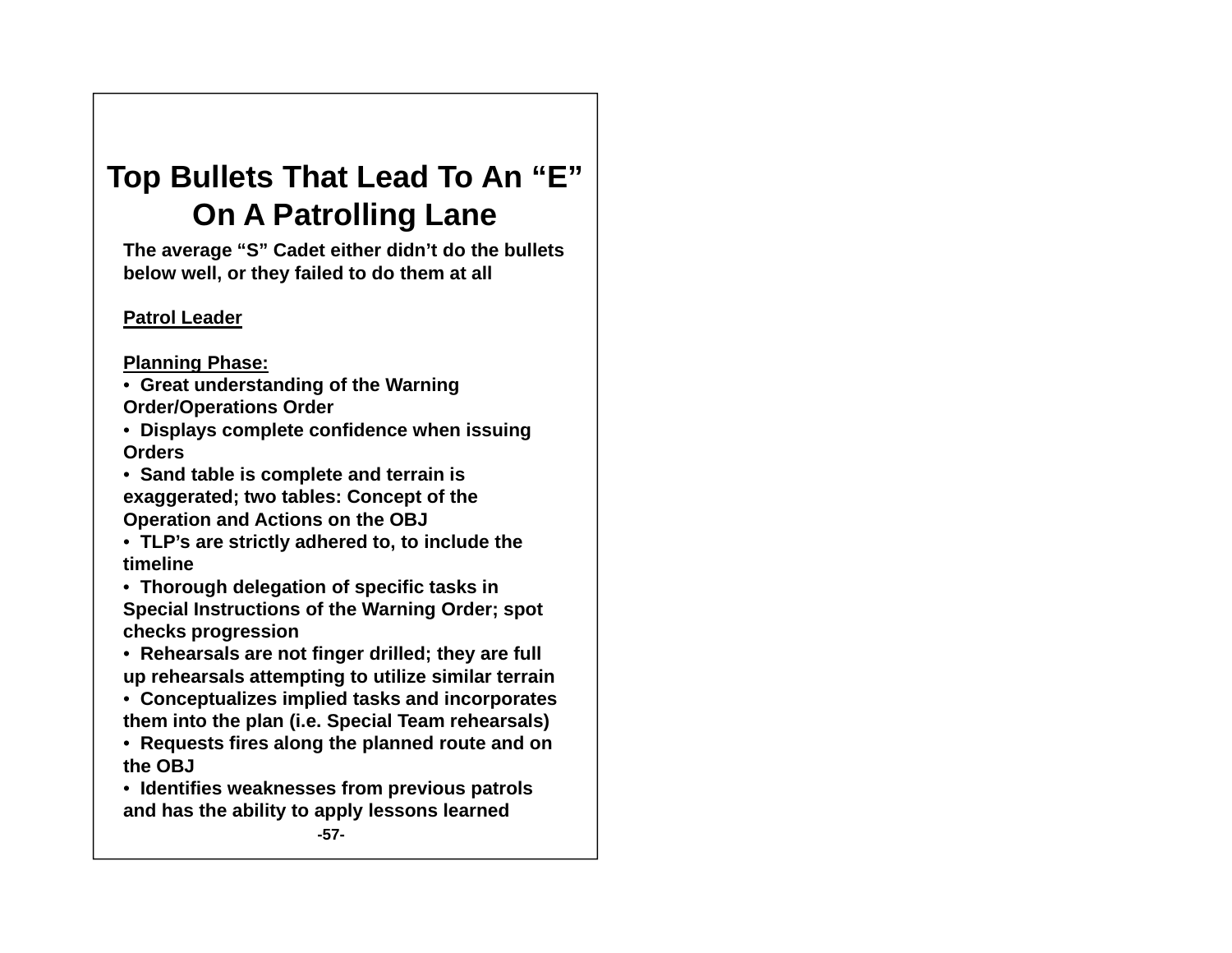#### **Top Bullets That Lead To An " E "On A Patrolling Lane**

**The average "S" Cadet either didn't do the bullets below well, or they failed to do them at all**

#### **Patrol Leader**

#### **Planning Phase:**

- **Great understanding of the Warning Order/O perations Order**
- **Displays complete confidence when issuing Orders**
- **Sand table is complete and terrain is exaggerated; two tables: Concept of the Operation and Actions on the OBJ**

 $\bullet\,$  TLP's are strictly adhered to, to include the **timeline**

- **Thorough delegation of specific tasks in Special Instructions of the Warning Order; spot checks progression**
- **Rehearsals are not finger drilled; they are full up rehearsals attempting to utilize similar terrain**
- **Conceptualizes implied tasks and incorporates them into the plan (i.e. Special Team rehearsals)**
- **Requests fires along the planned route and on the OBJ**
- **Identifies weaknesses from previous patrols and has the ability to apply lessons learned**

**-57-**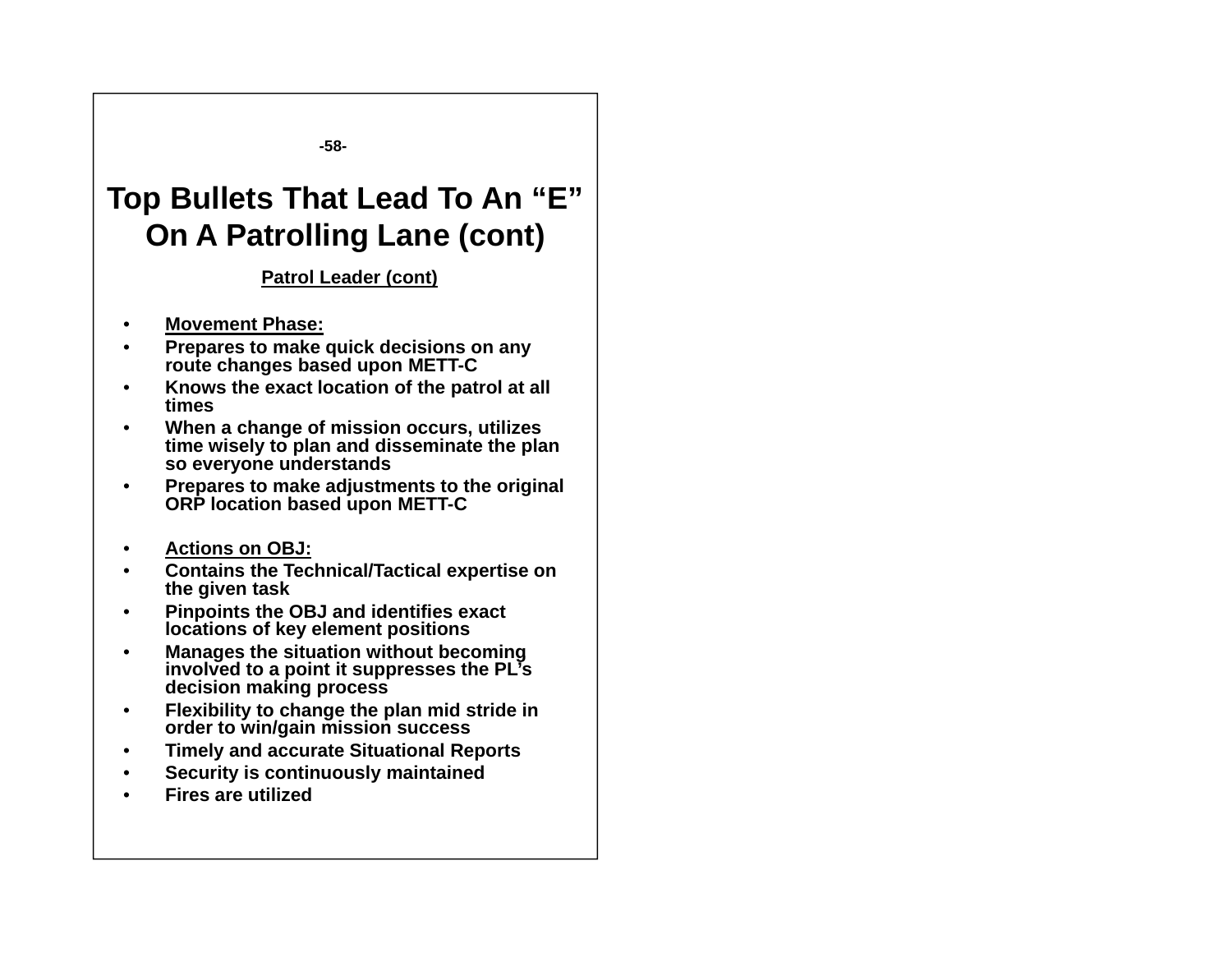**-58-**

## **Top Bullets That Lead To An "E" On A Patrolling Lane (cont)**

#### **Patrol Leader (cont)**

- $\bullet$ **Movement Phase:**
- • **Prepares to make quick decisions on any route changes based upon METT-C**
- • **Knows the exact location of the patrol at all times**
- • **When a change of mission occurs, utilizes time wisely to plan and disseminate the plan so everyone understands**
- • **Prepares to make adjustments to the original ORP location based upon METT-C**
- •**Actions on OBJ:**
- • **Contains the Technical/Tactical expertise on the given task**
- • **Pinpoints the OBJ and identifies exact locations of key element positions**
- • **Manages the situation without becoming involved to a point it suppresses the PL's decision making process**
- • **Flexibility to change the plan mid stride in order to win/gain mission success**
- •**Timely and accurate Situational Reports**
- •**Security is continuously maintained**
- •**Fires are utilized**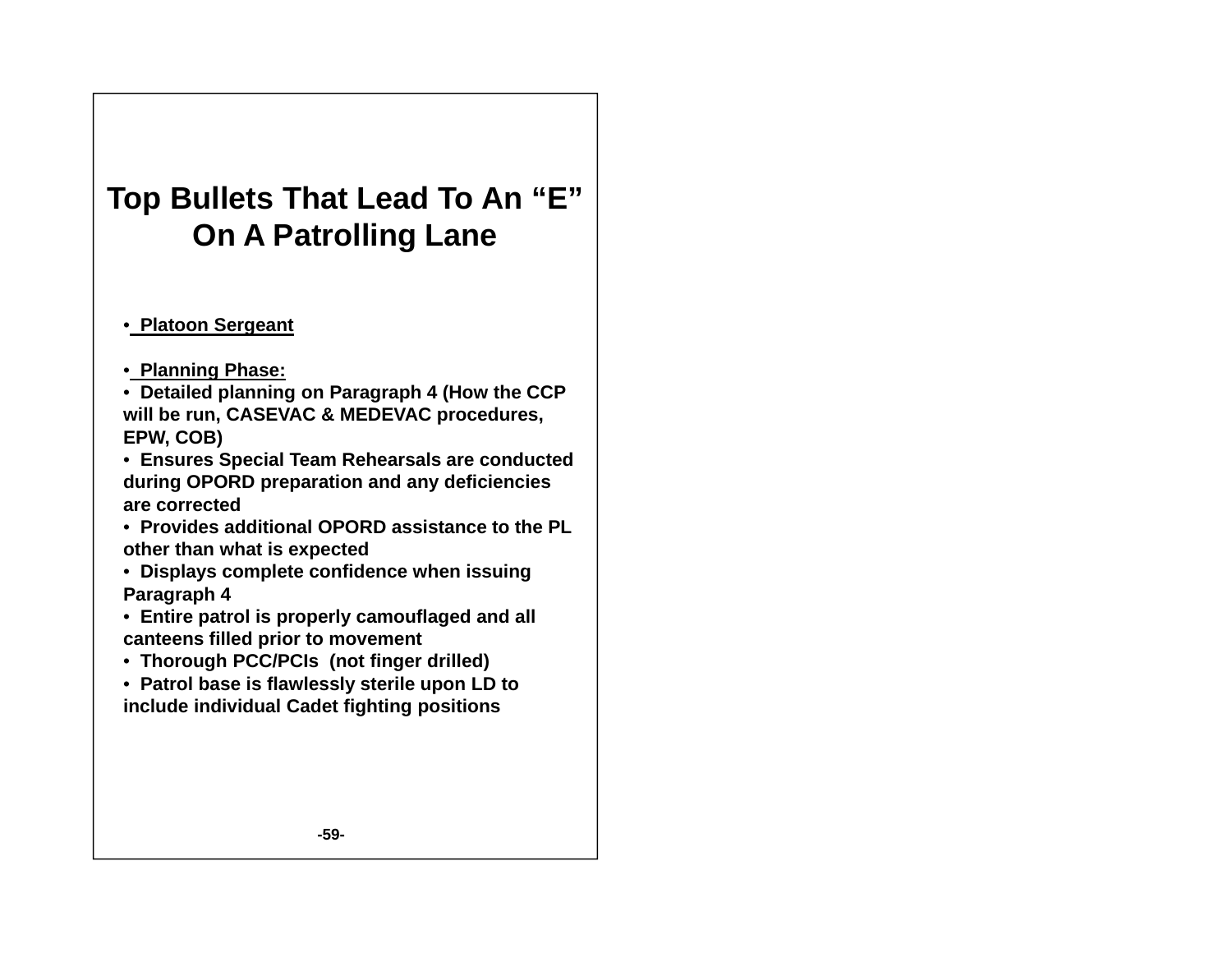# **Top Bullets That Lead To An "E" On A Patrolling Lane**

#### • **Platoon Sergeant**

- **Planning Phase:**
- **Detailed planning on Paragraph 4 (How the CCP will be run CASEVAC & MEDEVAC procedures run, procedures, EPW, COB)**
- **Ensures Special Team Rehearsals are conducted during OPORD preparation and any deficiencies are corrected**
- **Provides additional OPORD assistance to the PL other than what is expected**
- **Displays complete confidence when issuing Paragraph 4**
- **Entire patrol is properly camouflaged and all canteens filled prior to movement**
- Thorough PCC/PCIs (not finger drilled)
- **Patrol base is flawlessly sterile upon LD to include individual Cadet fighting positions**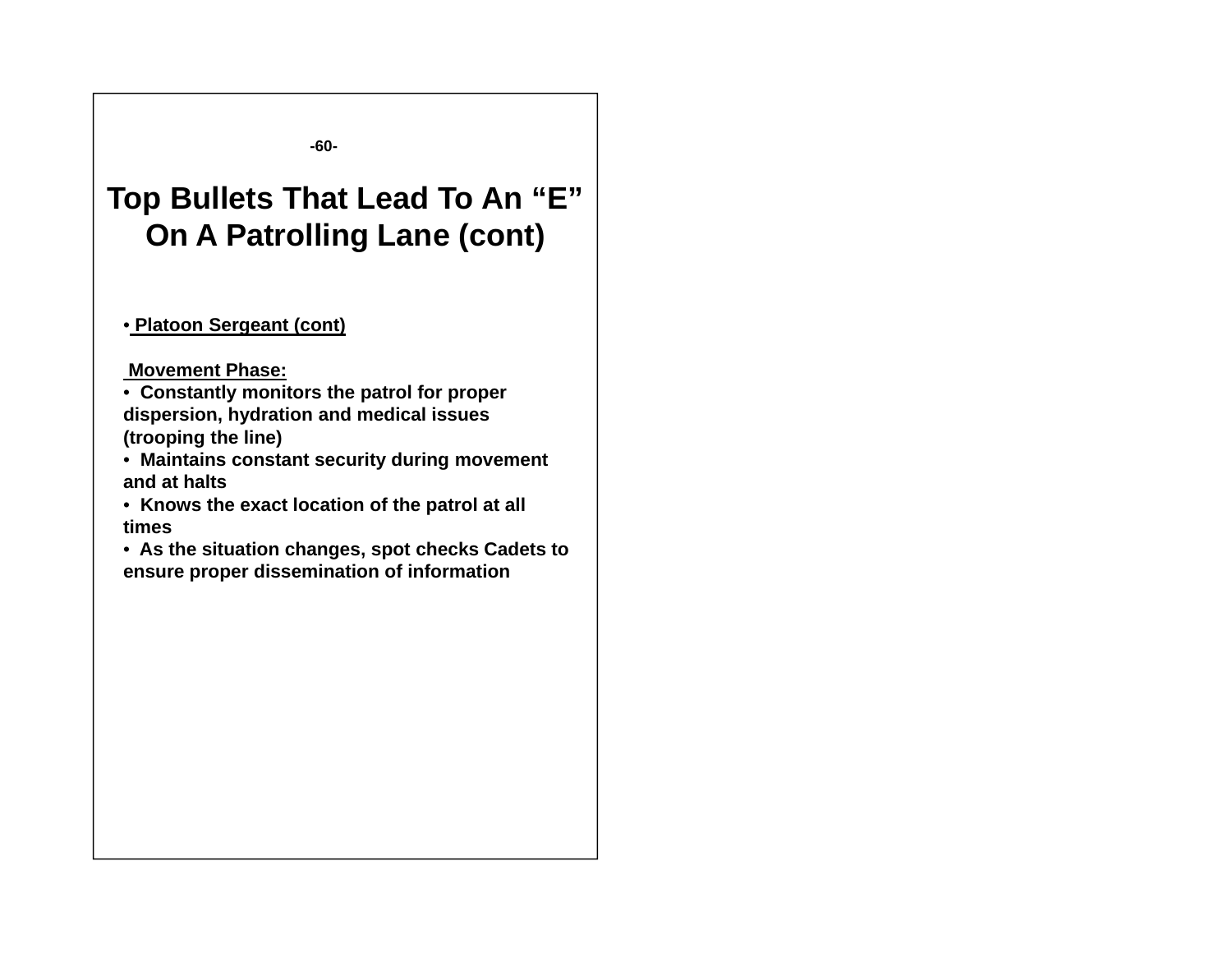**-60-**

## **Top Bullets That Lead To An "E" On A Patrolling Lane (cont)**

#### • **Platoon Sergeant (cont)**

#### **Movement Phase:**

• **Constantly monitors the patrol for proper dispersion hydration and medical issues dispersion, (trooping the line)**

• **Maintains constant security during movement and at halts**

• **Knows the exact location of the patrol at all times**

• **As the situation changes, spot checks Cadets to ensure proper dissemination of information**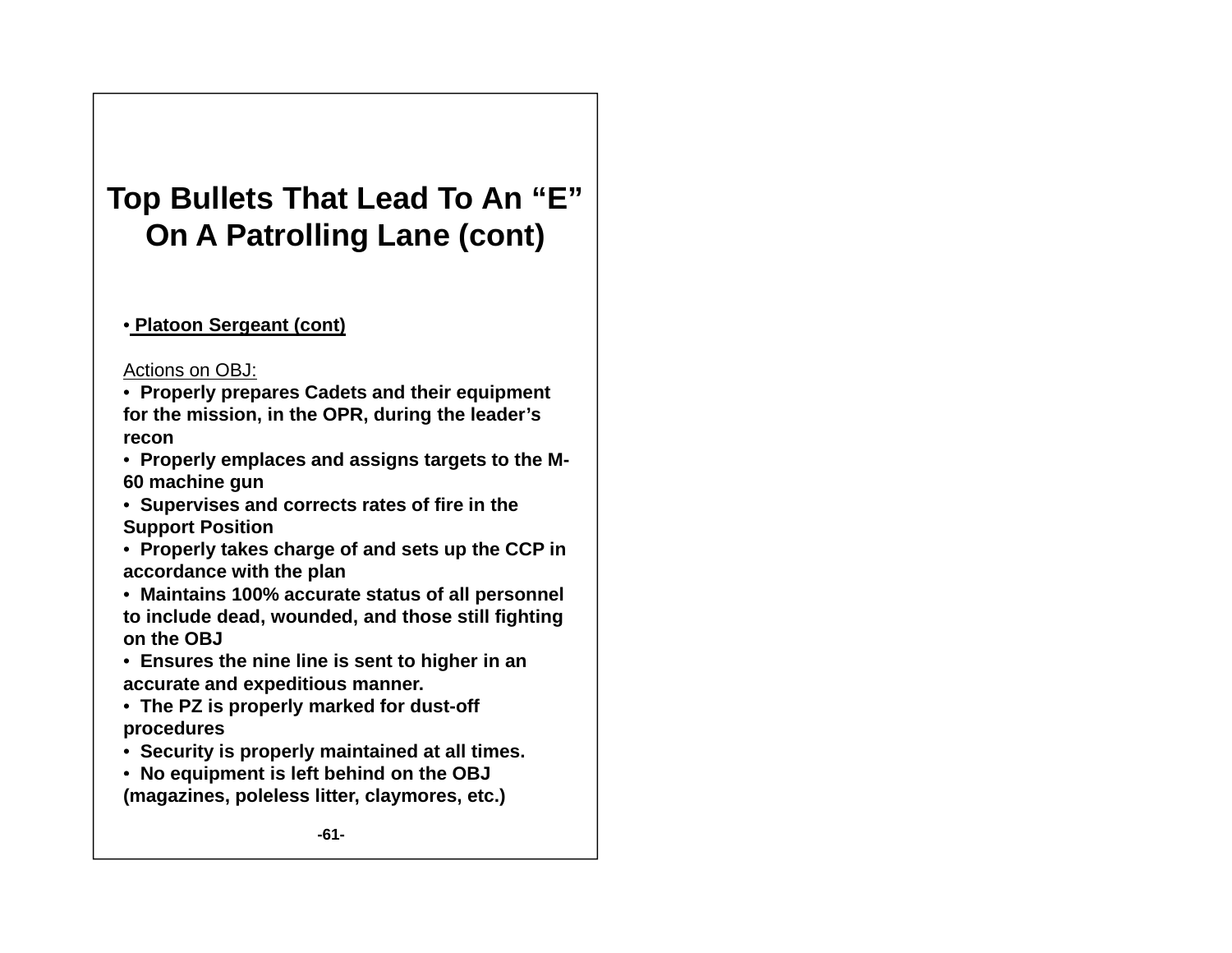# **Top Bullets That Lead To An "E" On A Patrolling Lane (cont)**

#### • **Platoon Sergeant (cont)**

#### Actions on OBJ:

- **Properly prepares Cadets and their equipment for the mission in the OPR during the leader mission, OPR, s' recon**
- **Properly emplaces and assigns targets to the M-60 machine gun**
- **Supervises and corrects rates of fire in the Support Position**
- **Properly takes charge of and sets up the CCP in accordance with the plan**
- **Maintains 100% accurate status of all personnel to include dead, wounded, and those still fighting on the OBJ**
- $\bullet\,$  Ensures the nine line is sent to higher in an **accurate and expeditious manner.**
- **The PZ is properly marked for dust-off procedures**
- **Security is properly maintained at all times.**
- **No equipment is left behind on the OBJ (magazines, poleless litter, claymores, etc.)**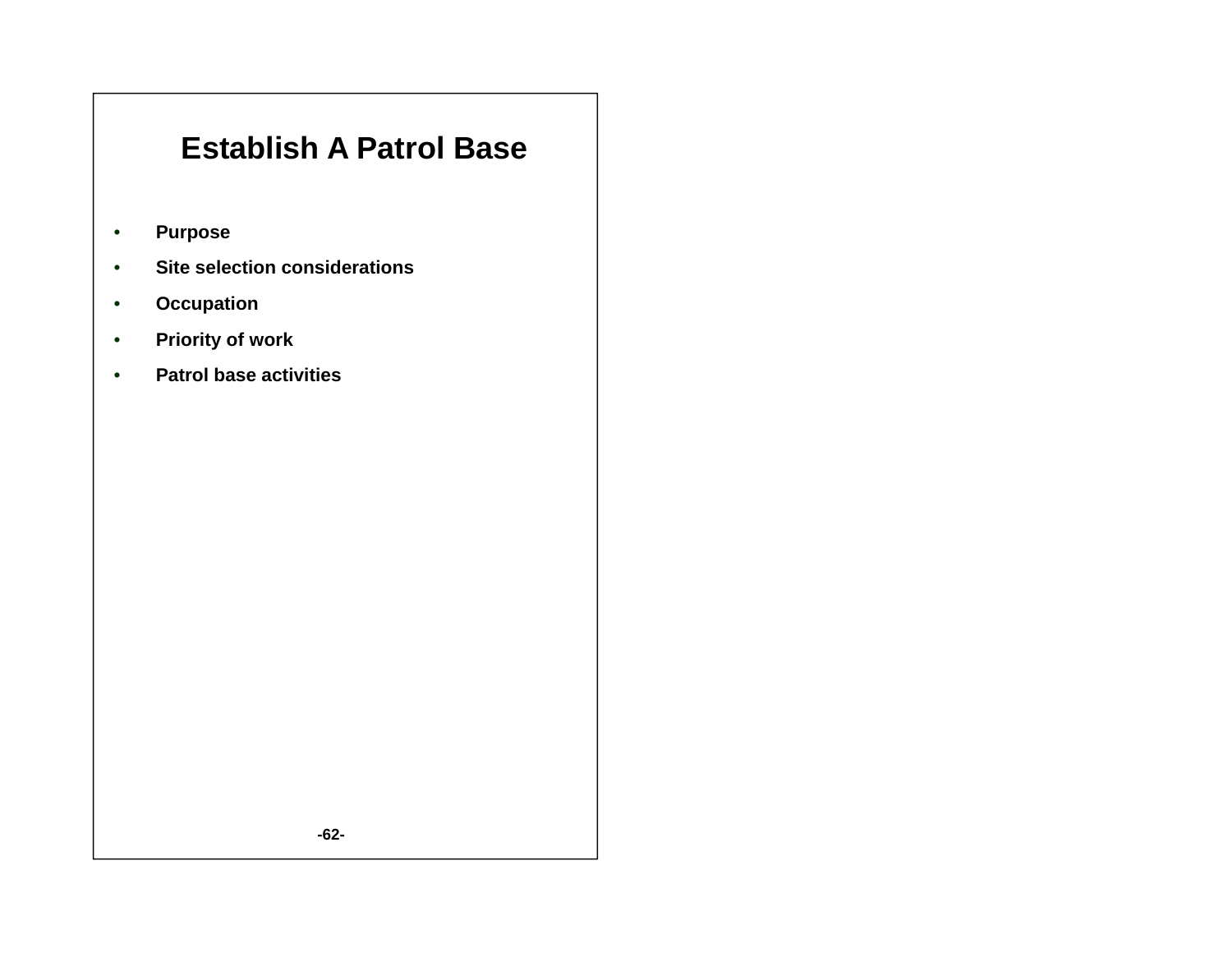## **Establish A Patrol Base**

- •**Purpose**
- •**Site selection considerations**
- •**Occupation**
- •**Priority of work**
- •**Patrol base activities**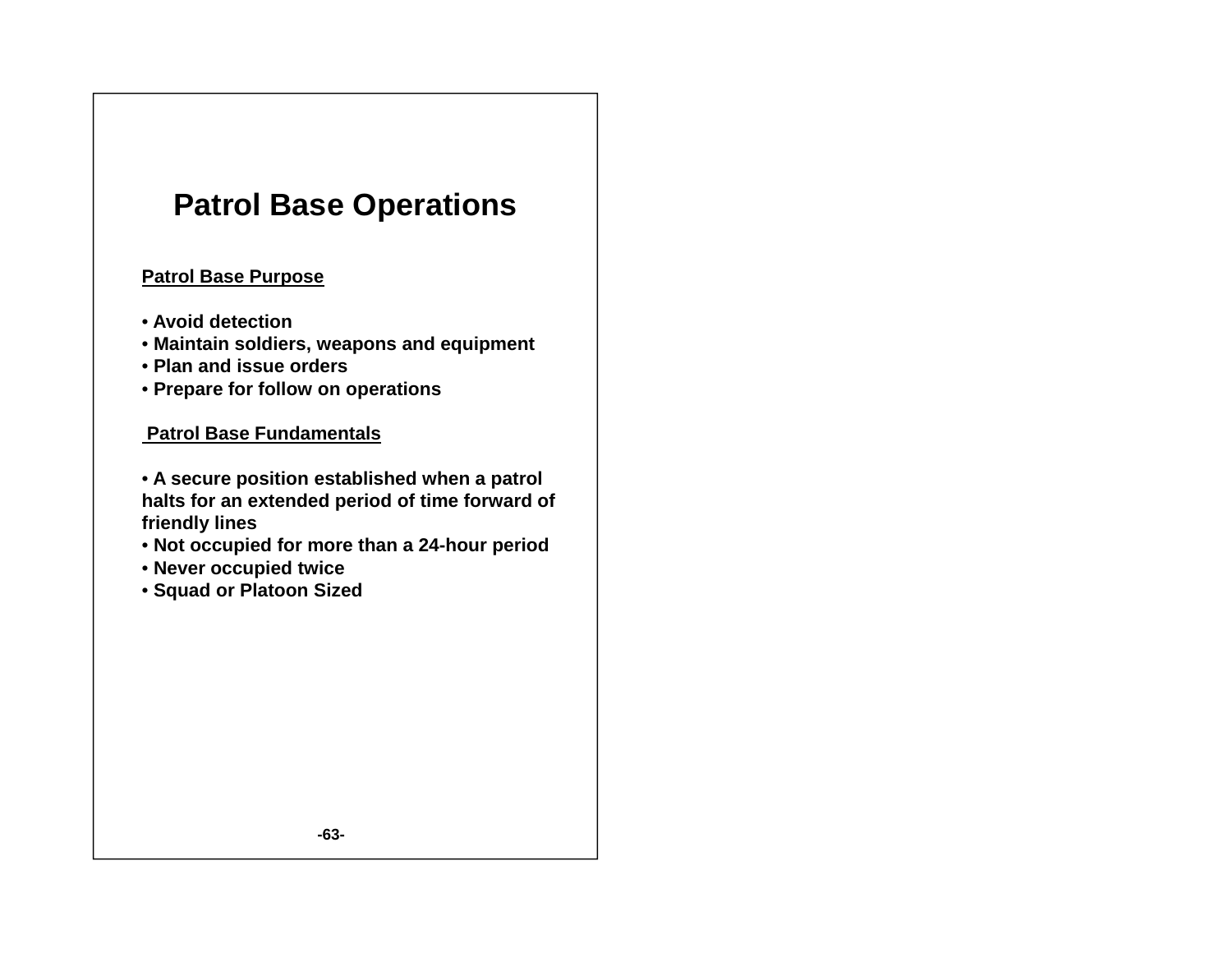## **Patrol Base Operations**

#### **Patrol Base Purpose**

- **Avoid detection**
- **Maintain soldiers, weapons and equipment**
- **Plan and issue orders**
- **Prepare for follow on operations**

#### **Patrol Base Fundamentals**

- **A secure position established when a patrol halts for an extended period of time forward of friendly lines**
- **Not occupied for more than a 24-hour period**
- **Never occupied twice**
- **Squad or Platoon Sized**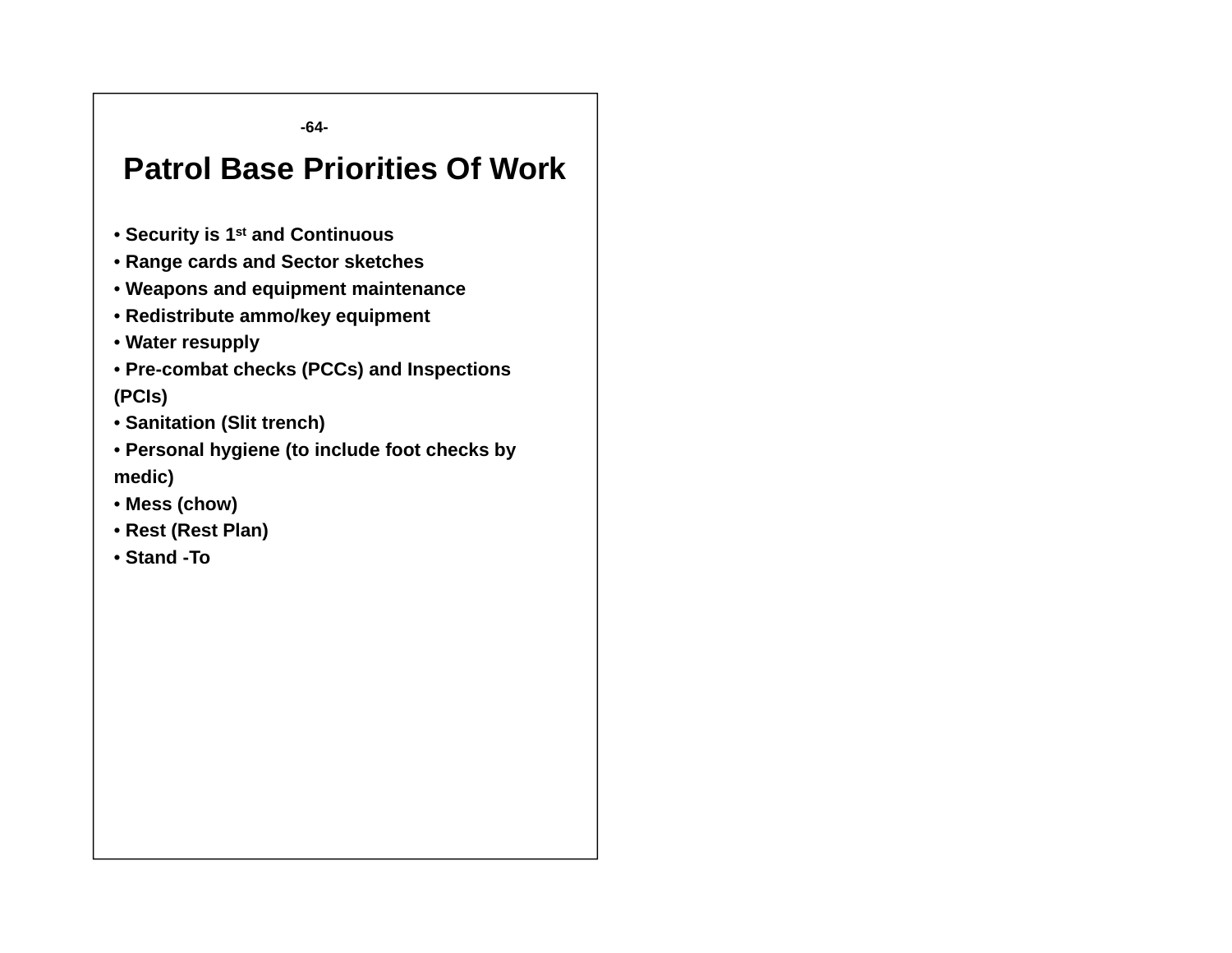**-64-**

## **Patrol Base Priorities Of Work**

- **Security is 1st and Continuous**
- **Range cards and Sector sketches**
- **Weap qp ons and equipment maintenance**
- **Redistribute ammo/key equipment**
- **Water resupply**
- **Pre-combat checks (PCCs) and Inspections (PCIs)**
- **Sanitation (Slit trench)**
- **Personal hygiene (to include foot checks by medic)**
- **Mess (chow)**
- **Rest (Rest Plan)**
- **Stand -To**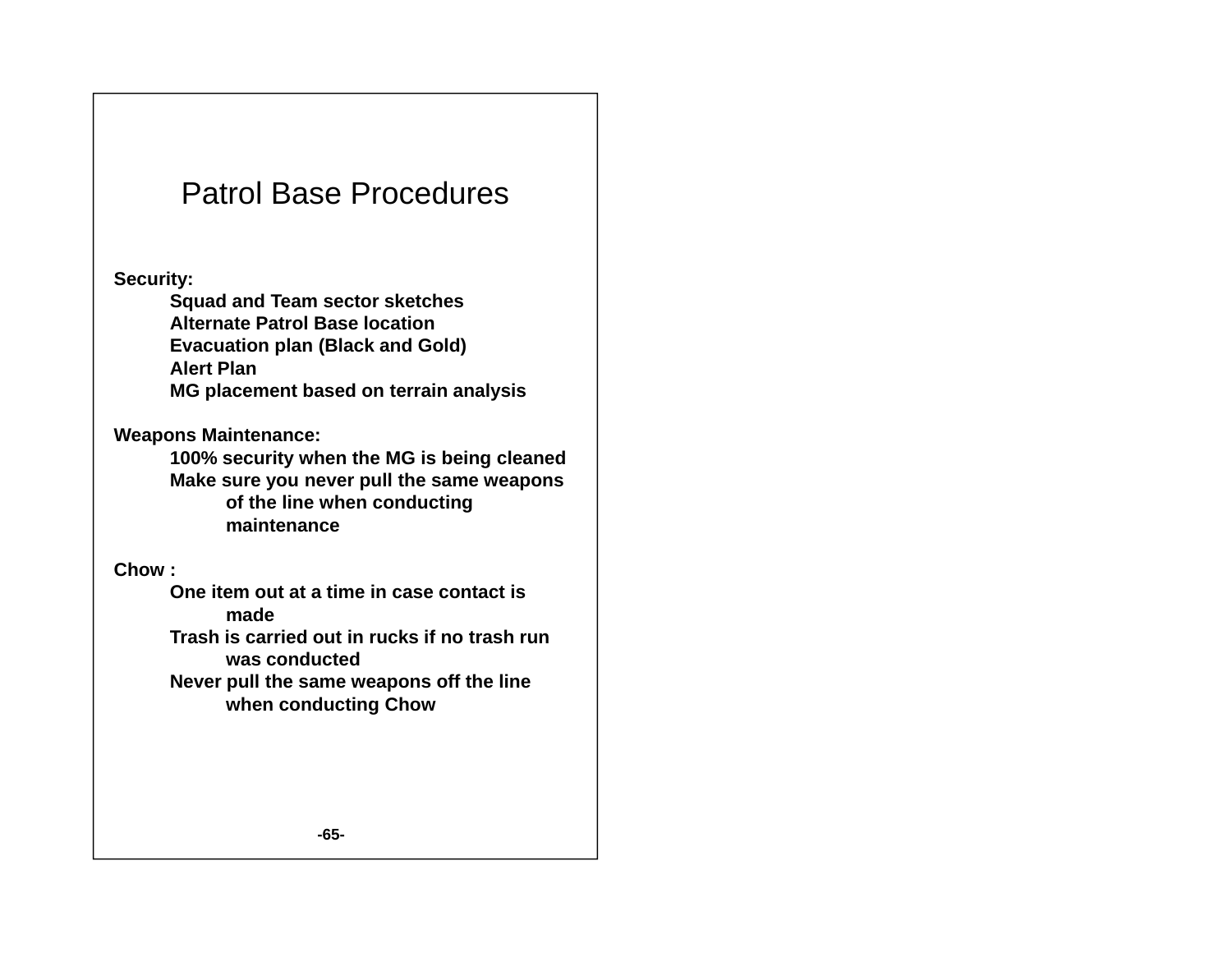### Patrol Base Procedures

**Security:** 

**S d dT t k t h Squad and Team sector sketches Alternate Patrol Base locationEvacuation plan (Black and Gold) Alert PlanMG placement based on terrain analysis**

**Weapons Maintenance:**

**100% security when the MG is being cleaned Make sure you never pull the same weapons of the line when conducting maintenance** 

**Chow :**

**One item out at a time in case contact is made**

**Trash is carried out in rucks if no trash run was conducted** 

**Never pull the same weapons off the line when conducting Chow**